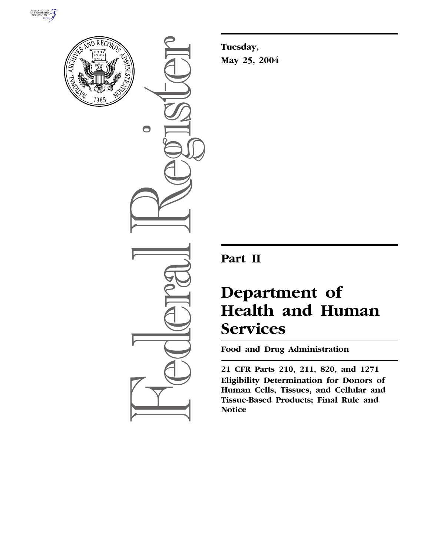



 $\bigcirc$ 

**Tuesday, May 25, 2004**

# **Part II**

# **Department of Health and Human Services**

**Food and Drug Administration** 

**21 CFR Parts 210, 211, 820, and 1271 Eligibility Determination for Donors of Human Cells, Tissues, and Cellular and Tissue-Based Products; Final Rule and Notice**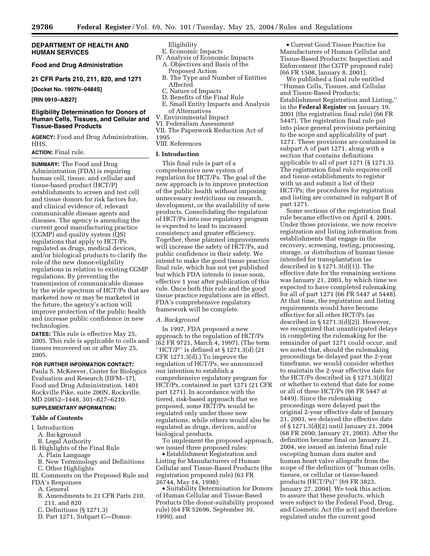# **DEPARTMENT OF HEALTH AND HUMAN SERVICES**

# **Food and Drug Administration**

### **21 CFR Parts 210, 211, 820, and 1271**

**[Docket No. 1997N–0484S]**

**[RIN 0910–AB27]**

# **Eligibility Determination for Donors of Human Cells, Tissues, and Cellular and Tissue-Based Products**

**AGENCY:** Food and Drug Administration, HHS.

## **ACTION:** Final rule.

**SUMMARY:** The Food and Drug Administration (FDA) is requiring human cell, tissue, and cellular and tissue-based product (HCT/P) establishments to screen and test cell and tissue donors for risk factors for, and clinical evidence of, relevant communicable disease agents and diseases. The agency is amending the current good manufacturing practice (CGMP) and quality system (QS) regulations that apply to HCT/Ps regulated as drugs, medical devices, and/or biological products to clarify the role of the new donor-eligibility regulations in relation to existing CGMP regulations. By preventing the transmission of communicable disease by the wide spectrum of HCT/Ps that are marketed now or may be marketed in the future, the agency's action will improve protection of the public health and increase public confidence in new technologies.

**DATES:** This rule is effective May 25, 2005. This rule is applicable to cells and tissues recovered on or after May 25, 2005.

#### **FOR FURTHER INFORMATION CONTACT:**

Paula S. McKeever, Center for Biologics Evaluation and Research (HFM–17), Food and Drug Administration, 1401 Rockville Pike, suite 200N, Rockville, MD 20852–1448, 301–827–6210.

# **SUPPLEMENTARY INFORMATION:**

#### **Table of Contents**

# I. Introduction

- A. Background
- B. Legal Authority
- II. Highlights of the Final Rule
	- A. Plain Language
	- B. New Terminology and Definitions
	- C. Other Highlights
- III. Comments on the Proposed Rule and
- FDA's Responses
	- A. General
	- B. Amendments to 21 CFR Parts 210, 211, and 820
	- C. Definitions (§ 1271.3)
	- D. Part 1271, Subpart C—Donor-

# Eligibility

- E. Economic Impacts
- IV. Analysis of Economic Impacts A. Objectives and Basis of the Proposed Action
	- B. The Type and Number of Entities Affected
	- C. Nature of Impacts
	- D. Benefits of the Final Rule
	- E. Small Entity Impacts and Analysis of Alternatives
- V. Environmental Impact
- VI. Federalism Assessment
- VII. The Paperwork Reduction Act of
- 1995
- VIII. References

# **I. Introduction**

This final rule is part of a comprehensive new system of regulation for HCT/Ps. The goal of the new approach is to improve protection of the public health without imposing unnecessary restrictions on research, development, or the availability of new products. Consolidating the regulation of HCT/Ps into one regulatory program is expected to lead to increased consistency and greater efficiency. Together, these planned improvements will increase the safety of HCT/Ps, and public confidence in their safety. We intend to make the good tissue practice final rule, which has not yet published but which FDA intends to issue soon, effective 1 year after publication of this rule. Once both this rule and the good tissue practice regulations are in effect, FDA's comprehensive regulatory framework will be complete.

#### *A. Background*

In 1997, FDA proposed a new approach to the regulation of HCT/Ps (62 FR 9721, March 4, 1997). (The term ''HCT/P'' is defined at § 1271.3(d) (21 CFR 1271.3(d).) To improve the regulation of HCT/Ps, we announced our intention to establish a comprehensive regulatory program for HCT/Ps, contained in part 1271 (21 CFR part 1271). In accordance with the tiered, risk-based approach that we proposed, some HCT/Ps would be regulated only under these new regulations, while others would also be regulated as drugs, devices, and/or biological products.

To implement the proposed approach, we issued three proposed rules:

• Establishment Registration and Listing for Manufacturers of Human Cellular and Tissue-Based Products (the registration proposed rule) (63 FR 26744, May 14, 1998);

• Suitability Determination for Donors of Human Cellular and Tissue-Based Products (the donor-suitability proposed rule) (64 FR 52696, September 30, 1999); and

• Current Good Tissue Practice for Manufacturers of Human Cellular and Tissue-Based Products; Inspection and Enforcement (the CGTP proposed rule) (66 FR 1508, January 8, 2001).

We published a final rule entitled ''Human Cells, Tissues, and Cellular and Tissue-Based Products; Establishment Registration and Listing,'' in the **Federal Register** on January 19, 2001 (the registration final rule) (66 FR 5447). The registration final rule put into place general provisions pertaining to the scope and applicability of part 1271. These provisions are contained in subpart A of part 1271, along with a section that contains definitions applicable to all of part 1271 (§ 1271.3). The registration final rule requires cell and tissue establishments to register with us and submit a list of their HCT/Ps; the procedures for registration and listing are contained in subpart B of part 1271.

Some sections of the registration final rule became effective on April 4, 2001. Under those provisions, we now receive registration and listing information from establishments that engage in the recovery, screening, testing, processing, storage, or distribution of human tissue intended for transplantation (as described in § 1271.3(d)(1)). The effective date for the remaining sections was January 21, 2003, by which time we expected to have completed rulemaking for all of part 1271 (66 FR 5447 at 5448). At that time, the registration and listing requirements would have become effective for all other HCT/Ps (as described in § 1271.3(d)(2)). However, we recognized that unanticipated delays in completing the rulemaking for the remainder of part 1271 could occur, and we noted that, should the rulemaking proceedings be delayed past the 2-year timeframe, we would consider whether to maintain the 2-year effective date for the HCT/Ps described in § 1271.3(d)(2) or whether to extend that date for some or all of these HCT/Ps (66 FR 5447 at 5449). Since the rulemaking proceedings were delayed past the original 2-year effective date of January 21, 2003, we delayed the effective date of § 1271.3(d)(2) until January 21, 2004 (68 FR 2690, January 21, 2003). After the definition became final on January 21, 2004, we issued an interim final rule excepting human dura mater and human heart valve allografts from the scope of the definition of ''human cells, tissues, or cellular or tissue-based products (HCT/Ps)'' (69 FR 3823, January 27, 2004). We took this action to assure that these products, which were subject to the Federal Food, Drug, and Cosmetic Act (the act) and therefore regulated under the current good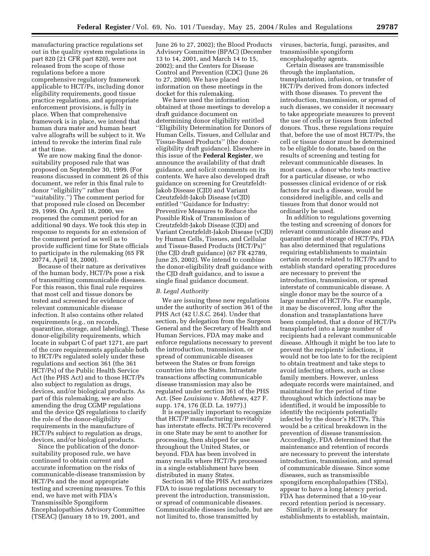manufacturing practice regulations set out in the quality system regulations in part 820 (21 CFR part 820), were not released from the scope of those regulations before a more comprehensive regulatory framework applicable to HCT/Ps, including donor eligibility requirements, good tissue practice regulations, and appropriate enforcement provisions, is fully in place. When that comprehensive framework is in place, we intend that human dura mater and human heart valve allografts will be subject to it. We intend to revoke the interim final rule at that time.

We are now making final the donorsuitability proposed rule that was proposed on September 30, 1999. (For reasons discussed in comment 26 of this document, we refer in this final rule to donor ''eligibility'' rather than ''suitability.'') The comment period for that proposed rule closed on December 29, 1999. On April 18, 2000, we reopened the comment period for an additional 90 days. We took this step in response to requests for an extension of the comment period as well as to provide sufficient time for State officials to participate in the rulemaking (65 FR 20774, April 18, 2000).

Because of their nature as derivatives of the human body, HCT/Ps pose a risk of transmitting communicable diseases. For this reason, this final rule requires that most cell and tissue donors be tested and screened for evidence of relevant communicable disease infection. It also contains other related requirements (e.g., on records, quarantine, storage, and labeling). These donor-eligibility requirements, which locate in subpart C of part 1271, are part of the core requirements applicable both to HCT/Ps regulated solely under these regulations and section 361 (the 361 HCT/Ps) of the Public Health Service Act (the PHS Act) and to those HCT/Ps also subject to regulation as drugs, devices, and/or biological products. As part of this rulemaking, we are also amending the drug CGMP regulations and the device QS regulations to clarify the role of the donor-eligibility requirements in the manufacture of HCT/Ps subject to regulation as drugs, devices, and/or biological products.

Since the publication of the donorsuitability proposed rule, we have continued to obtain current and accurate information on the risks of communicable-disease transmission by HCT/Ps and the most appropriate testing and screening measures. To this end, we have met with FDA's Transmissible Spongiform Encephalopathies Advisory Committee (TSEAC) (January 18 to 19, 2001, and

June 26 to 27, 2002); the Blood Products Advisory Committee (BPAC) (December 13 to 14, 2001, and March 14 to 15, 2002); and the Centers for Disease Control and Prevention (CDC) (June 26 to 27, 2000). We have placed information on these meetings in the docket for this rulemaking.

We have used the information obtained at those meetings to develop a draft guidance document on determining donor eligibility entitled ''Eligibility Determination for Donors of Human Cells, Tissues, and Cellular and Tissue-Based Products'' (the donoreligibility draft guidance). Elsewhere in this issue of the **Federal Register**, we announce the availability of that draft guidance, and solicit comments on its contents. We have also developed draft guidance on screening for Creutzfeldt-Jakob Disease (CJD) and Variant Creutzfeldt-Jakob Disease (vCJD) entitled ''Guidance for Industry: Preventive Measures to Reduce the Possible Risk of Transmission of Creutzfeldt-Jakob Disease (CJD) and Variant Creutzfeldt-Jakob Disease (vCJD) by Human Cells, Tissues, and Cellular and Tissue-Based Products (HCT/Ps)'' (the CJD draft guidance) (67 FR 42789, June 25, 2002). We intend to combine the donor-eligibility draft guidance with the CJD draft guidance, and to issue a single final guidance document.

#### *B. Legal Authority*

We are issuing these new regulations under the authority of section 361 of the PHS Act (42 U.S.C. 264). Under that section, by delegation from the Surgeon General and the Secretary of Health and Human Services, FDA may make and enforce regulations necessary to prevent the introduction, transmission, or spread of communicable diseases between the States or from foreign countries into the States. Intrastate transactions affecting communicable disease transmission may also be regulated under section 361 of the PHS Act. (See *Louisiana* v. *Mathews*, 427 F. supp. 174, 176 (E.D. La. 1977).)

It is especially important to recognize that HCT/P manufacturing inevitably has interstate effects. HCT/Ps recovered in one State may be sent to another for processing, then shipped for use throughout the United States, or beyond. FDA has been involved in many recalls where HCT/Ps processed in a single establishment have been distributed in many States.

Section 361 of the PHS Act authorizes FDA to issue regulations necessary to prevent the introduction, transmission, or spread of communicable diseases. Communicable diseases include, but are not limited to, those transmitted by

viruses, bacteria, fungi, parasites, and transmissible spongiform encephalopathy agents.

Certain diseases are transmissible through the implantation, transplantation, infusion, or transfer of HCT/Ps derived from donors infected with those diseases. To prevent the introduction, transmission, or spread of such diseases, we consider it necessary to take appropriate measures to prevent the use of cells or tissues from infected donors. Thus, these regulations require that, before the use of most HCT/Ps, the cell or tissue donor must be determined to be eligible to donate, based on the results of screening and testing for relevant communicable diseases. In most cases, a donor who tests reactive for a particular disease, or who possesses clinical evidence of or risk factors for such a disease, would be considered ineligible, and cells and tissues from that donor would not ordinarily be used.

In addition to regulations governing the testing and screening of donors for relevant communicable disease and quarantine and storage of HCT/Ps, FDA has also determined that regulations requiring establishments to maintain certain records related to HCT/Ps and to establish standard operating procedures are necessary to prevent the introduction, transmission, or spread interstate of communicable disease. A single donor may be the source of a large number of HCT/Ps. For example, it may be discovered, long after the donation and transplantations have been completed, that a donor of HCT/Ps transplanted into a large number of recipients had a relevant communicable disease. Although it might be too late to prevent the recipients' infections, it would not be too late to for the recipient to obtain treatment and take steps to avoid infecting others, such as close family members. However, unless adequate records were maintained, and maintained for the period of time throughout which infections may be identified, it would be impossible to identify the recipients potentially infected by the donor's HCTPs. This would be a critical breakdown in the prevention of disease transmission. Accordingly, FDA determined that the maintenance and retention of records are necessary to prevent the interstate introduction, transmission, and spread of communicable disease. Since some diseases, such as transmissible spongiform encephalopathies (TSEs), appear to have a long latency period, FDA has determined that a 10-year record retention period is necessary.

Similarly, it is necessary for establishments to establish, maintain,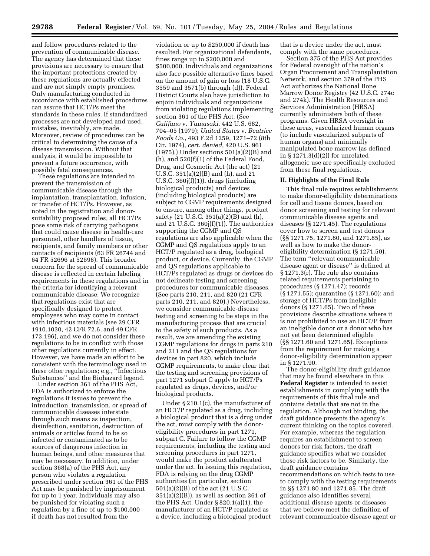and follow procedures related to the prevention of communicable disease. The agency has determined that these provisions are necessary to ensure that the important protections created by these regulations are actually effected and are not simply empty promises. Only manufacturing conducted in accordance with established procedures can assure that HCT/Ps meet the standards in these rules. If standardized processes are not developed and used, mistakes, inevitably, are made. Moreover, review of procedures can be critical to determining the cause of a disease transmission. Without that analysis, it would be impossible to prevent a future occurrence, with possibly fatal consequences.

These regulations are intended to prevent the transmission of communicable disease through the implantation, transplantation, infusion, or transfer of HCT/Ps. However, as noted in the registration and donorsuitability proposed rules, all HCT/Ps pose some risk of carrying pathogens that could cause disease in health-care personnel, other handlers of tissue, recipients, and family members or other contacts of recipients (63 FR 26744 and 64 FR 52696 at 52698). This broader concern for the spread of communicable disease is reflected in certain labeling requirements in these regulations and in the criteria for identifying a relevant communicable disease. We recognize that regulations exist that are specifically designed to protect employees who may come in contact with infectious materials (see 29 CFR 1910.1030, 42 CFR 72.6, and 49 CFR 173.196), and we do not consider these regulations to be in conflict with those other regulations currently in effect. However, we have made an effort to be consistent with the terminology used in these other regulations; e.g., ''Infectious Substances'' and the Biohazard legend.

Under section 361 of the PHS Act, FDA is authorized to enforce the regulations it issues to prevent the introduction, transmission, or spread of communicable diseases interstate through such means as inspection, disinfection, sanitation, destruction of animals or articles found to be so infected or contaminated as to be sources of dangerous infection in human beings, and other measures that may be necessary. In addition, under section 368(a) of the PHS Act, any person who violates a regulation prescribed under section 361 of the PHS Act may be punished by imprisonment for up to 1 year. Individuals may also be punished for violating such a regulation by a fine of up to \$100,000 if death has not resulted from the

violation or up to \$250,000 if death has resulted. For organizational defendants, fines range up to \$200,000 and \$500,000. Individuals and organizations also face possible alternative fines based on the amount of gain or loss (18 U.S.C. 3559 and 3571(b) through (d)). Federal District Courts also have jurisdiction to enjoin individuals and organizations from violating regulations implementing section 361 of the PHS Act. (See *Califano* v. *Yamasaki*, 442 U.S. 682, 704–05 (1979); *United States* v. *Beatrice Foods Co.*, 493 F.2d 1259, 1271–72 (8th Cir. 1974), *cert. denied*, 420 U.S. 961 (1975).) Under sections 501(a)(2)(B) and (h), and 520(f)(1) of the Federal Food, Drug, and Cosmetic Act (the act) (21 U.S.C. 351(a)(2)(B) and (h), and 21 U.S.C.  $360j(f)(1)$ , drugs (including biological products) and devices (including biological products) are subject to CGMP requirements designed to ensure, among other things, product safety (21 U.S.C. 351(a)(2)(B) and (h), and 21 U.S.C.  $360j(f)(1)$ . The authorities supporting the CGMP and QS regulations are also applicable when the CGMP and QS regulations apply to an HCT/P regulated as a drug, biological product, or device. Currently, the CGMP and QS regulations applicable to HCT/Ps regulated as drugs or devices do not delineate testing and screening procedures for communicable diseases. (See parts 210, 211, and 820 (21 CFR parts 210, 211, and 820).) Nevertheless, we consider communicable-disease testing and screening to be steps in the manufacturing process that are crucial to the safety of such products. As a result, we are amending the existing CGMP regulations for drugs in parts 210 and 211 and the QS regulations for devices in part 820, which include CGMP requirements, to make clear that the testing and screening provisions of part 1271 subpart C apply to HCT/Ps regulated as drugs, devices, and/or biological products.

Under § 210.1(c), the manufacturer of an HCT/P regulated as a drug, including a biological product that is a drug under the act, must comply with the donoreligibility procedures in part 1271, subpart C. Failure to follow the CGMP requirements, including the testing and screening procedures in part 1271, would make the product adulterated under the act. In issuing this regulation, FDA is relying on the drug CGMP authorities (in particular, section 501(a)(2)(B) of the act (21 U.S.C.  $351(a)(2)(B)$ , as well as section 361 of the PHS Act. Under § 820.1(a)(1), the manufacturer of an HCT/P regulated as a device, including a biological product

that is a device under the act, must comply with the same procedures.

Section 375 of the PHS Act provides for Federal oversight of the nation's Organ Procurement and Transplantation Network, and section 379 of the PHS Act authorizes the National Bone Marrow Donor Registry (42 U.S.C. 274c and 274k). The Health Resources and Services Administration (HRSA) currently administers both of these programs. Given HRSA oversight in these areas, vascularized human organs (to include vascularized subparts of human organs) and minimally manipulated bone marrow (as defined in § 1271.3(d)(2)) for unrelated allogeneic use are specifically excluded from these final regulations.

#### **II. Highlights of the Final Rule**

This final rule requires establishments to make donor-eligibility determinations for cell and tissue donors, based on donor screening and testing for relevant communicable disease agents and diseases (§ 1271.45). The regulations cover how to screen and test donors (§§ 1271.75, 1271.80, and 1271.85), as well as how to make the donoreligibility determination (§ 1271.50). The term ''relevant communicable disease agent or disease'' is defined at § 1271.3(r). The rule also contains related requirements pertaining to procedures (§ 1271.47); records (§ 1271.55); quarantine (§ 1271.60); and storage of HCT/Ps from ineligible donors (§ 1271.65). Two of these provisions describe situations where it is not prohibited to use an HCT/P from an ineligible donor or a donor who has not yet been determined eligible (§§ 1271.60 and 1271.65). Exceptions from the requirement for making a donor-eligibility determination appear in § 1271.90.

The donor-eligibility draft guidance that may be found elsewhere in this **Federal Register** is intended to assist establishments in complying with the requirements of this final rule and contains details that are not in the regulation. Although not binding, the draft guidance presents the agency's current thinking on the topics covered. For example, whereas the regulation requires an establishment to screen donors for risk factors, the draft guidance specifies what we consider those risk factors to be. Similarly, the draft guidance contains recommendations on which tests to use to comply with the testing requirements in §§ 1271.80 and 1271.85. The draft guidance also identifies several additional disease agents or diseases that we believe meet the definition of relevant communicable disease agent or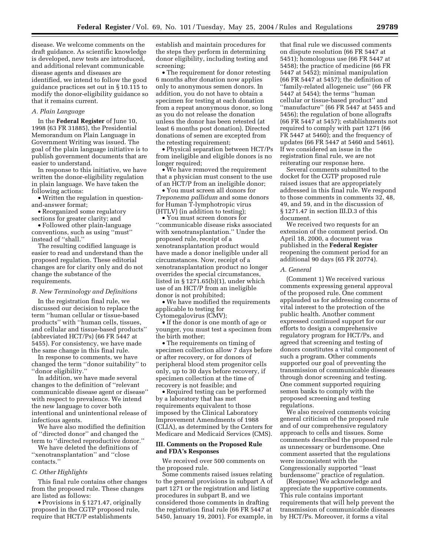disease. We welcome comments on the draft guidance. As scientific knowledge is developed, new tests are introduced, and additional relevant communicable disease agents and diseases are identified, we intend to follow the good guidance practices set out in § 10.115 to modify the donor-eligibility guidance so that it remains current.

# *A. Plain Language*

In the **Federal Register** of June 10, 1998 (63 FR 31885), the Presidential Memorandum on Plain Language in Government Writing was issued. The goal of the plain language initiative is to publish government documents that are easier to understand.

In response to this initiative, we have written the donor-eligibility regulation in plain language. We have taken the following actions:

• Written the regulation in questionand-answer format;

• Reorganized some regulatory sections for greater clarity; and

• Followed other plain-language conventions, such as using ''must'' instead of ''shall.''

The resulting codified language is easier to read and understand than the proposed regulation. These editorial changes are for clarity only and do not change the substance of the requirements.

#### *B. New Terminology and Definitions*

In the registration final rule, we discussed our decision to replace the term ''human cellular or tissue-based products'' with ''human cells, tissues, and cellular and tissue-based products'' (abbreviated HCT/Ps) (66 FR 5447 at 5455). For consistency, we have made the same change in this final rule.

In response to comments, we have changed the term ''donor suitability'' to ''donor eligibility.''

In addition, we have made several changes to the definition of ''relevant communicable disease agent or disease'' with respect to prevalence. We intend the new language to cover both intentional and unintentional release of infectious agents.

We have also modified the definition of ''directed donor'' and changed the term to ''directed reproductive donor.''

We have deleted the definitions of ''xenotransplantation'' and ''close contacts.''

#### *C. Other Highlights*

This final rule contains other changes from the proposed rule. These changes are listed as follows:

• Provisions in § 1271.47, originally proposed in the CGTP proposed rule, require that HCT/P establishments

establish and maintain procedures for the steps they perform in determining donor eligibility, including testing and screening;

• The requirement for donor retesting 6 months after donation now applies only to anonymous semen donors. In addition, you do not have to obtain a specimen for testing at each donation from a repeat anonymous donor, so long as you do not release the donation unless the donor has been retested (at least 6 months post donation). Directed donations of semen are excepted from the retesting requirement;

• Physical separation between HCT/Ps from ineligible and eligible donors is no longer required;

• We have removed the requirement that a physician must consent to the use of an HCT/P from an ineligible donor;

• You must screen all donors for *Treponema pallidum* and some donors for Human T-lymphotropic virus (HTLV) (in addition to testing);

• You must screen donors for ''communicable disease risks associated with xenotransplantation.'' Under the proposed rule, receipt of a xenotransplantation product would have made a donor ineligible under all circumstances. Now, receipt of a xenotransplantation product no longer overrides the special circumstances, listed in § 1271.65(b)(1), under which use of an HCT/P from an ineligible donor is not prohibited;

• We have modified the requirements applicable to testing for Cytomegalovirus (CMV);

• If the donor is one month of age or younger, you must test a specimen from the birth mother;

• The requirements on timing of specimen collection allow 7 days before or after recovery, or for donors of peripheral blood stem progenitor cells only, up to 30 days before recovery, if specimen collection at the time of recovery is not feasible; and

• Required testing can be performed by a laboratory that has met requirements equivalent to those imposed by the Clinical Laboratory Improvement Amendments of 1988 (CLIA), as determined by the Centers for Medicare and Medicaid Services (CMS).

# **III. Comments on the Proposed Rule and FDA's Responses**

We received over 500 comments on the proposed rule.

Some comments raised issues relating to the general provisions in subpart A of part 1271 or the registration and listing procedures in subpart B, and we considered those comments in drafting the registration final rule (66 FR 5447 at 5450, January 19, 2001). For example, in

that final rule we discussed comments on dispute resolution (66 FR 5447 at 5451); homologous use (66 FR 5447 at 5458); the practice of medicine (66 FR 5447 at 5452); minimal manipulation (66 FR 5447 at 5457); the definition of ''family-related allogeneic use'' (66 FR 5447 at 5454); the terms ''human cellular or tissue-based product'' and "manufacture" (66 FR 5447 at 5455 and 5456); the regulation of bone allografts (66 FR 5447 at 5457); establishments not required to comply with part 1271 (66 FR 5447 at 5460); and the frequency of updates (66 FR 5447 at 5460 and 5461). If we considered an issue in the registration final rule, we are not reiterating our response here.

Several comments submitted to the docket for the CGTP proposed rule raised issues that are appropriately addressed in this final rule. We respond to those comments in comments 32, 48, 49, and 59, and in the discussion of § 1271.47 in section III.D.3 of this document.

We received two requests for an extension of the comment period. On April 18, 2000, a document was published in the **Federal Register** reopening the comment period for an additional 90 days (65 FR 20774).

#### *A. General*

(Comment 1) We received various comments expressing general approval of the proposed rule. One comment applauded us for addressing concerns of vital interest to the protection of the public health. Another comment expressed continued support for our efforts to design a comprehensive regulatory program for HCT/Ps, and agreed that screening and testing of donors constitutes a vital component of such a program. Other comments supported our goal of preventing the transmission of communicable diseases through donor screening and testing. One comment supported requiring semen banks to comply with the proposed screening and testing regulations.

We also received comments voicing general criticism of the proposed rule and of our comprehensive regulatory approach to cells and tissues. Some comments described the proposed rule as unnecessary or burdensome. One comment asserted that the regulations were inconsistent with the Congressionally supported ''least burdensome'' practice of regulation.

(Response) We acknowledge and appreciate the supportive comments. This rule contains important requirements that will help prevent the transmission of communicable diseases by HCT/Ps. Moreover, it forms a vital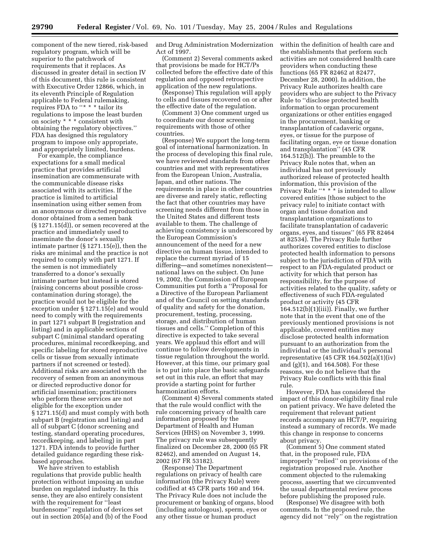component of the new tiered, risk-based regulatory program, which will be superior to the patchwork of requirements that it replaces. As discussed in greater detail in section IV of this document, this rule is consistent with Executive Order 12866, which, in its eleventh Principle of Regulation applicable to Federal rulemaking, requires FDA to ''\* \* \* tailor its regulations to impose the least burden on society \* \* \* consistent with obtaining the regulatory objectives.'' FDA has designed this regulatory program to impose only appropriate, and appropriately limited, burdens.

For example, the compliance expectations for a small medical practice that provides artificial insemination are commensurate with the communicable disease risks associated with its activities. If the practice is limited to artificial insemination using either semen from an anonymous or directed reproductive donor obtained from a semen bank (§ 1271.15(d)), or semen recovered at the practice and immediately used to inseminate the donor's sexually intimate partner (§ 1271.15(e)), then the risks are minimal and the practice is not required to comply with part 1271. If the semen is not immediately transferred to a donor's sexually intimate partner but instead is stored (raising concerns about possible crosscontamination during storage), the practice would not be eligible for the exception under § 1271.15(e) and would need to comply with the requirements in part 1271 subpart B (registration and listing) and in applicable sections of subpart C (minimal standard operating procedures, minimal recordkeeping, and specific labeling for stored reproductive cells or tissue from sexually intimate partners if not screened or tested). Additional risks are associated with the recovery of semen from an anonymous or directed reproductive donor for artificial insemination; practitioners who perform these services are not eligible for the exception under § 1271.15(d) and must comply with both subpart B (registration and listing) and all of subpart C (donor screening and testing, standard operating procedures, recordkeeping, and labeling) in part 1271. FDA intends to provide further detailed guidance regarding these riskbased approaches.

We have striven to establish regulations that provide public health protection without imposing an undue burden on regulated industry. In this sense, they are also entirely consistent with the requirement for ''least burdensome'' regulation of devices set out in section 205(a) and (b) of the Food and Drug Administration Modernization Act of 1997.

(Comment 2) Several comments asked that provisions be made for HCT/Ps collected before the effective date of this regulation and opposed retrospective application of the new regulations.

(Response) This regulation will apply to cells and tissues recovered on or after the effective date of the regulation.

(Comment 3) One comment urged us to coordinate our donor screening requirements with those of other countries.

(Response) We support the long-term goal of international harmonization. In the process of developing this final rule, we have reviewed standards from other countries and met with representatives from the European Union, Australia, Japan, and other nations. The requirements in place in other countries are diverse and rarely static, reflecting the fact that other countries may have screening needs different from those in the United States and different tests available to them. The challenge of achieving consistency is underscored by the European Commission's announcement of the need for a new directive on human tissue, intended to replace the current myriad of 15 differing—and sometimes nonexistent national laws on the subject. On June 19, 2002, the Commission of European Communities put forth a ''Proposal for a Directive of the European Parliament and of the Council on setting standards of quality and safety for the donation, procurement, testing, processing, storage, and distribution of human tissues and cells.'' Completion of this directive is expected to take several years. We applaud this effort and will continue to follow developments in tissue regulation throughout the world. However, at this time, our primary goal is to put into place the basic safeguards set out in this rule, an effort that may provide a starting point for further harmonization efforts.

(Comment 4) Several comments stated that the rule would conflict with the rule concerning privacy of health care information proposed by the Department of Health and Human Services (HHS) on November 3, 1999. The privacy rule was subsequently finalized on December 28, 2000 (65 FR 82462), and amended on August 14, 2002 (67 FR 53182).

(Response) The Department regulations on privacy of health care information (the Privacy Rule) were codified at 45 CFR parts 160 and 164. The Privacy Rule does not include the procurement or banking of organs, blood (including autologous), sperm, eyes or any other tissue or human product

within the definition of health care and the establishments that perform such activities are not considered health care providers when conducting these functions (65 FR 82462 at 82477, December 28, 2000). In addition, the Privacy Rule authorizes health care providers who are subject to the Privacy Rule to ''disclose protected health information to organ procurement organizations or other entities engaged in the procurement, banking or transplantation of cadaveric organs, eyes, or tissue for the purpose of facilitating organ, eye or tissue donation and transplantation'' (45 CFR 164.512(h)). The preamble to the Privacy Rule notes that, when an individual has not previously authorized release of protected health information, this provision of the Privacy Rule "\* \*<sup>\*</sup> is intended to allow covered entities [those subject to the privacy rule] to initiate contact with organ and tissue donation and transplantation organizations to facilitate transplantation of cadaveric organs, eyes, and tissues'' (65 FR 82464 at 82534). The Privacy Rule further authorizes covered entities to disclose protected health information to persons subject to the jurisdiction of FDA with respect to an FDA-regulated product or activity for which that person has responsibility, for the purpose of activities related to the quality, safety or effectiveness of such FDA-regulated product or activity (45 CFR  $164.512(b)(1)(iii)$ . Finally, we further note that in the event that one of the previously mentioned provisions is not applicable, covered entities may disclose protected health information pursuant to an authorization from the individual or the individual's personal representative  $(45 \text{ CFR } 164.502(a)(1)(iv))$ and (g)(1), and 164.508). For these reasons, we do not believe that the Privacy Rule conflicts with this final rule.

However, FDA has considered the impact of this donor-eligibility final rule on patient privacy. We have deleted the requirement that relevant patient records accompany an HCT/P, requiring instead a summary of records. We made this change in response to concerns about privacy.

(Comment 5) One comment stated that, in the proposed rule, FDA improperly ''relied'' on provisions of the registration proposed rule. Another comment objected to the rulemaking process, asserting that we circumvented the usual departmental review process before publishing the proposed rule.

(Response) We disagree with both comments. In the proposed rule, the agency did not ''rely'' on the registration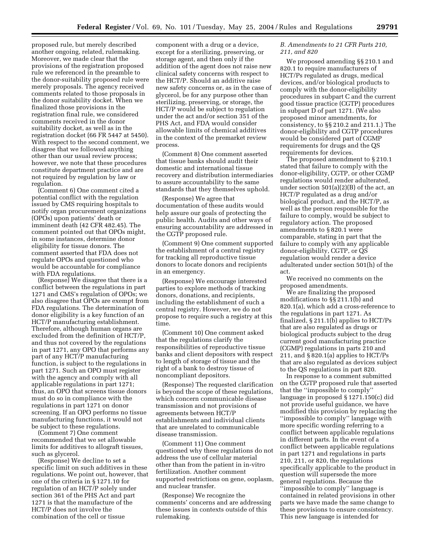proposed rule, but merely described another ongoing, related, rulemaking. Moreover, we made clear that the provisions of the registration proposed rule we referenced in the preamble to the donor-suitability proposed rule were merely proposals. The agency received comments related to those proposals in the donor suitability docket. When we finalized those provisions in the registration final rule, we considered comments received in the donor suitability docket, as well as in the registration docket (66 FR 5447 at 5450). With respect to the second comment, we disagree that we followed anything other than our usual review process; however, we note that these procedures constitute department practice and are not required by regulation by law or regulation.

(Comment 6) One comment cited a potential conflict with the regulation issued by CMS requiring hospitals to notify organ procurement organizations (OPOs) upon patients' death or imminent death (42 CFR 482.45). The comment pointed out that OPOs might, in some instances, determine donor eligibility for tissue donors. The comment asserted that FDA does not regulate OPOs and questioned who would be accountable for compliance with FDA regulations.

(Response) We disagree that there is a conflict between the regulations in part 1271 and CMS's regulation of OPOs; we also disagree that OPOs are exempt from FDA regulations. The determination of donor eligibility is a key function of an HCT/P manufacturing establishment. Therefore, although human organs are excluded from the definition of HCT/P, and thus not covered by the regulations in part 1271, any OPO that performs any part of any HCT/P manufacturing function, is subject to the regulations in part 1271. Such an OPO must register with the agency and comply with all applicable regulations in part 1271; thus, an OPO that screens tissue donors must do so in compliance with the regulations in part 1271 on donor screening. If an OPO performs no tissue manufacturing functions, it would not be subject to these regulations.

(Comment 7) One comment recommended that we set allowable limits for additives to allograft tissues, such as glycerol.

(Response) We decline to set a specific limit on such additives in these regulations. We point out, however, that one of the criteria in § 1271.10 for regulation of an HCT/P solely under section 361 of the PHS Act and part 1271 is that the manufacture of the HCT/P does not involve the combination of the cell or tissue

component with a drug or a device, except for a sterilizing, preserving, or storage agent, and then only if the addition of the agent does not raise new clinical safety concerns with respect to the HCT/P. Should an additive raise new safety concerns or, as in the case of glycerol, be for any purpose other than sterilizing, preserving, or storage, the HCT/P would be subject to regulation under the act and/or section 351 of the PHS Act, and FDA would consider allowable limits of chemical additives in the context of the premarket review process.

(Comment 8) One comment asserted that tissue banks should audit their domestic and international tissue recovery and distribution intermediaries to assure accountability to the same standards that they themselves uphold.

(Response) We agree that documentation of these audits would help assure our goals of protecting the public health. Audits and other ways of ensuring accountability are addressed in the CGTP proposed rule.

(Comment 9) One comment supported the establishment of a central registry for tracking all reproductive tissue donors to locate donors and recipients in an emergency.

(Response) We encourage interested parties to explore methods of tracking donors, donations, and recipients, including the establishment of such a central registry. However, we do not propose to require such a registry at this time.

(Comment 10) One comment asked that the regulations clarify the responsibilities of reproductive tissue banks and client depositors with respect to length of storage of tissue and the right of a bank to destroy tissue of noncompliant depositors.

(Response) The requested clarification is beyond the scope of these regulations, which concern communicable disease transmission and not provisions of agreements between HCT/P establishments and individual clients that are unrelated to communicable disease transmission.

(Comment 11) One comment questioned why these regulations do not address the use of cellular material other than from the patient in in-vitro fertilization. Another comment supported restrictions on gene, ooplasm, and nuclear transfer.

(Response) We recognize the comments' concerns and are addressing these issues in contexts outside of this rulemaking.

# *B. Amendments to 21 CFR Parts 210, 211, and 820*

We proposed amending §§ 210.1 and 820.1 to require manufacturers of HCT/Ps regulated as drugs, medical devices, and/or biological products to comply with the donor-eligibility procedures in subpart C and the current good tissue practice (CGTP) procedures in subpart D of part 1271. (We also proposed minor amendments, for consistency, to §§ 210.2 and 211.1.) The donor-eligibility and CGTP procedures would be considered part of CGMP requirements for drugs and the QS requirements for devices.

The proposed amendment to § 210.1 stated that failure to comply with the donor-eligibility, CGTP, or other CGMP regulations would render adulterated, under section 501(a)(2)(B) of the act, an HCT/P regulated as a drug and/or biological product, and the HCT/P, as well as the person responsible for the failure to comply, would be subject to regulatory action. The proposed amendments to § 820.1 were comparable, stating in part that the failure to comply with any applicable donor-eligibility, CGTP, or QS regulation would render a device adulterated under section 501(h) of the act.

We received no comments on the proposed amendments.

We are finalizing the proposed modifications to §§ 211.1(b) and 820.1(a), which add a cross-reference to the regulations in part 1271. As finalized, § 211.1(b) applies to HCT/Ps that are also regulated as drugs or biological products subject to the drug current good manufacturing practice (CGMP) regulations in parts 210 and 211, and § 820.1(a) applies to HCT/Ps that are also regulated as devices subject to the QS regulations in part 820.

In response to a comment submitted on the CGTP proposed rule that asserted that the ''impossible to comply'' language in proposed § 1271.150(c) did not provide useful guidance, we have modified this provision by replacing the ''impossible to comply'' language with more specific wording referring to a conflict between applicable regulations in different parts. In the event of a conflict between applicable regulations in part 1271 and regulations in parts 210, 211, or 820, the regulations specifically applicable to the product in question will supersede the more general regulations. Because the ''impossible to comply'' language is contained in related provisions in other parts we have made the same change to these provisions to ensure consistency. This new language is intended for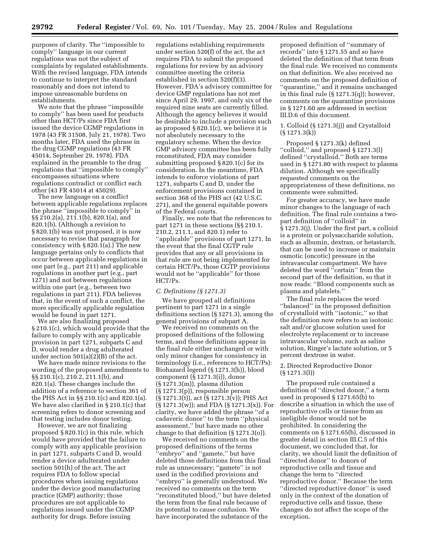purposes of clarity. The ''impossible to comply'' language in our current regulations was not the subject of complaints by regulated establishments. With the revised language, FDA intends to continue to interpret the standard reasonably and does not intend to impose unreasonable burdens on establishments.

We note that the phrase ''impossible to comply'' has been used for products other than HCT/Ps since FDA first issued the device CGMP regulations in 1978 (43 FR 31508, July 21, 1978). Two months later, FDA used the phrase in the drug CGMP regulations (43 FR 45014, September 29, 1978). FDA explained in the preamble to the drug regulations that ''impossible to comply'' encompasses situations where regulations contradict or conflict each other (43 FR 45014 at 45029).

The new language on a conflict between applicable regulations replaces the phrase ''impossible to comply'' in §§ 210.2(a), 211.1(b), 820.1(a), and 820.1(b). (Although a revision to § 820.1(b) was not proposed, it is now necessary to revise that paragraph for consistency with § 820.1(a).) The new language pertains only to conflicts that occur between applicable regulations in one part (e.g., part 211) and applicable regulations in another part (e.g., part 1271) and not between regulations within one part (e.g., between two regulations in part 211). FDA believes that, in the event of such a conflict, the more specifically applicable regulation would be found in part 1271.

We are also finalizing proposed § 210.1(c), which would provide that the failure to comply with any applicable provision in part 1271, subparts C and D, would render a drug adulterated under section  $501(a)(2)(B)$  of the act.

We have made minor revisions to the wording of the proposed amendments to §§ 210.1(c), 210.2, 211.1(b), and 820.1(a). These changes include the addition of a reference to section 361 of the PHS Act in §§ 210.1(c) and 820.1(a). We have also clarified in § 210.1(c) that screening refers to donor screening and that testing includes donor testing.

However, we are not finalizing proposed § 820.1(c) in this rule, which would have provided that the failure to comply with any applicable provision in part 1271, subparts C and D, would render a device adulterated under section 501(h) of the act. The act requires FDA to follow special procedures when issuing regulations under the device good manufacturing practice (GMP) authority; those procedures are not applicable to regulations issued under the CGMP authority for drugs. Before issuing

regulations establishing requirements under section 520(f) of the act, the act requires FDA to submit the proposed regulations for review by an advisory committee meeting the criteria established in section 520(f)(3). However, FDA's advisory committee for device GMP regulations has not met since April 29, 1997, and only six of the required nine seats are currently filled. Although the agency believes it would be desirable to include a provision such as proposed § 820.1(c), we believe it is not absolutely necessary to the regulatory scheme. When the device GMP advisory committee has been fully reconstituted, FDA may consider submitting proposed § 820.1(c) for its consideration. In the meantime, FDA intends to enforce violations of part 1271, subparts C and D, under the enforcement provisions contained in section 368 of the PHS act (42 U.S.C. 271), and the general equitable powers of the Federal courts.

Finally, we note that the references to part 1271 in these sections (§§ 210.1, 210.2, 211.1, and 820.1) refer to ''applicable'' provisions of part 1271. In the event that the final CGTP rule provides that any or all provisions in that rule are not being implemented for certain HCT/Ps, those CGTP provisions would not be ''applicable'' for those HCT/Ps.

#### *C. Definitions (§ 1271.3)*

We have grouped all definitions pertinent to part 1271 in a single definitions section (§ 1271.3), among the general provisions of subpart A.

We received no comments on the proposed definitions of the following terms, and those definitions appear in the final rule either unchanged or with only minor changes for consistency in terminology (i.e., references to HCT/Ps): Biohazard legend (§ 1271.3(h)), blood component (§ 1271.3(i)), donor (§ 1271.3(m)), plasma dilution (§ 1271.3(p)), responsible person (§ 1271.3(t)), act (§ 1271.3(v)); PHS Act (§ 1271.3(w)); and FDA (§ 1271.3(x)). For clarity, we have added the phrase ''of a cadaveric donor'' to the term ''physical assessment,'' but have made no other change to that definition (§ 1271.3(o)).

We received no comments on the proposed definitions of the terms ''embryo'' and ''gamete,'' but have deleted those definitions from this final rule as unnecessary; ''gamete'' is not used in the codified provisions and ''embryo'' is generally understood. We received no comments on the term ''reconstituted blood,'' but have deleted the term from the final rule because of its potential to cause confusion. We have incorporated the substance of the

proposed definition of ''summary of records'' into § 1271.55 and so have deleted the definition of that term from the final rule. We received no comments on that definition. We also received no comments on the proposed definition of ''quarantine,'' and it remains unchanged in this final rule (§ 1271.3(q)); however, comments on the quarantine provisions in § 1271.60 are addressed in section III.D.6 of this document.

# 1. Colloid (§ 1271.3(j)) and Crystalloid (§ 1271.3(k))

Proposed § 1271.3(k) defined ''colloid,'' and proposed § 1271.3(l) defined ''crystalloid.'' Both are terms used in § 1271.80 with respect to plasma dilution. Although we specifically requested comments on the appropriateness of these definitions, no comments were submitted.

For greater accuracy, we have made minor changes to the language of each definition. The final rule contains a twopart definition of ''colloid'' in § 1271.3(j). Under the first part, a colloid is a protein or polysaccharide solution, such as albumin, dextran, or hetastarch, that can be used to increase or maintain osmotic (oncotic) pressure in the intravascular compartment. We have deleted the word ''certain'' from the second part of the definition, so that it now reads: ''Blood components such as plasma and platelets.''

The final rule replaces the word ''balanced'' in the proposed definition of crystalloid with ''isotonic,'' so that the definition now refers to an isotonic salt and/or glucose solution used for electrolyte replacement or to increase intravascular volume, such as saline solution, Ringer's lactate solution, or 5 percent dextrose in water.

#### 2. Directed Reproductive Donor (§ 1271.3(l))

The proposed rule contained a definition of ''directed donor,'' a term used in proposed § 1271.65(b) to describe a situation in which the use of reproductive cells or tissue from an ineligible donor would not be prohibited. In considering the comments on § 1271.65(b), discussed in greater detail in section III.C.5 of this document, we concluded that, for clarity, we should limit the definition of ''directed donor'' to donors of reproductive cells and tissue and change the term to ''directed reproductive donor.'' Because the term ''directed reproductive donor'' is used only in the context of the donation of reproductive cells and tissue, these changes do not affect the scope of the exception.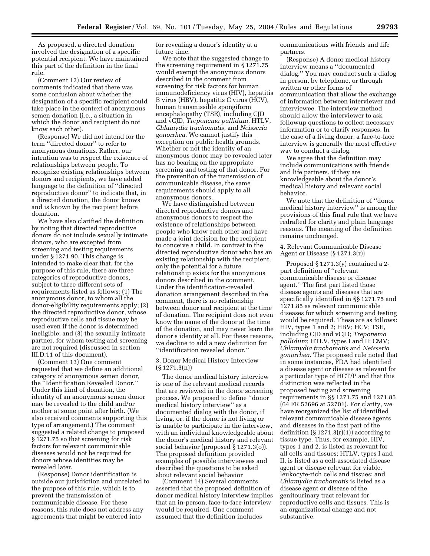As proposed, a directed donation involved the designation of a specific potential recipient. We have maintained this part of the definition in the final rule.

(Comment 12) Our review of comments indicated that there was some confusion about whether the designation of a specific recipient could take place in the context of anonymous semen donation (i.e., a situation in which the donor and recipient do not know each other).

(Response) We did not intend for the term ''directed donor'' to refer to anonymous donations. Rather, our intention was to respect the existence of relationships between people. To recognize existing relationships between donors and recipients, we have added language to the definition of ''directed reproductive donor'' to indicate that, in a directed donation, the donor knows and is known by the recipient before donation.

We have also clarified the definition by noting that directed reproductive donors do not include sexually intimate donors, who are excepted from screening and testing requirements under § 1271.90. This change is intended to make clear that, for the purpose of this rule, there are three categories of reproductive donors, subject to three different sets of requirements listed as follows: (1) The anonymous donor, to whom all the donor-eligibility requirements apply; (2) the directed reproductive donor, whose reproductive cells and tissue may be used even if the donor is determined ineligible; and (3) the sexually intimate partner, for whom testing and screening are not required (discussed in section III.D.11 of this document).

(Comment 13) One comment requested that we define an additional category of anonymous semen donor, the ''Identification Revealed Donor.'' Under this kind of donation, the identity of an anonymous semen donor may be revealed to the child and/or mother at some point after birth. (We also received comments supporting this type of arrangement.) The comment suggested a related change to proposed § 1271.75 so that screening for risk factors for relevant communicable diseases would not be required for donors whose identities may be revealed later.

(Response) Donor identification is outside our jurisdiction and unrelated to the purpose of this rule, which is to prevent the transmission of communicable disease. For these reasons, this rule does not address any agreements that might be entered into

for revealing a donor's identity at a future time.

We note that the suggested change to the screening requirement in § 1271.75 would exempt the anonymous donors described in the comment from screening for risk factors for human immunodeficiency virus (HIV), hepatitis B virus (HBV), hepatitis C virus (HCV), human transmissible spongiform encephalopathy (TSE), including CJD and vCJD, *Treponema pallidum*, HTLV, *Chlamydia trachomatis*, and *Neisseria gonorrhea*. We cannot justify this exception on public health grounds. Whether or not the identity of an anonymous donor may be revealed later has no bearing on the appropriate screening and testing of that donor. For the prevention of the transmission of communicable disease, the same requirements should apply to all anonymous donors.

We have distinguished between directed reproductive donors and anonymous donors to respect the existence of relationships between people who know each other and have made a joint decision for the recipient to conceive a child. In contrast to the directed reproductive donor who has an existing relationship with the recipient, only the potential for a future relationship exists for the anonymous donors described in the comment. Under the identification-revealed donation arrangement described in the comment, there is no relationship between donor and recipient at the time of donation. The recipient does not even know the name of the donor at the time of the donation, and may never learn the donor's identity at all. For these reasons, we decline to add a new definition for ''identification revealed donor.''

3. Donor Medical History Interview (§ 1271.3(n))

The donor medical history interview is one of the relevant medical records that are reviewed in the donor screening process. We proposed to define ''donor medical history interview'' as a documented dialog with the donor, if living, or, if the donor is not living or is unable to participate in the interview, with an individual knowledgeable about the donor's medical history and relevant social behavior (proposed § 1271.3(o)). The proposed definition provided examples of possible interviewees and described the questions to be asked about relevant social behavior

(Comment 14) Several comments asserted that the proposed definition of donor medical history interview implies that an in-person, face-to-face interview would be required. One comment assumed that the definition includes

communications with friends and life partners.

(Response) A donor medical history interview means a ''documented dialog.'' You may conduct such a dialog in person, by telephone, or through written or other forms of communication that allow the exchange of information between interviewer and interviewee. The interview method should allow the interviewer to ask followup questions to collect necessary information or to clarify responses. In the case of a living donor, a face-to-face interview is generally the most effective way to conduct a dialog.

We agree that the definition may include communications with friends and life partners, if they are knowledgeable about the donor's medical history and relevant social behavior.

We note that the definition of ''donor medical history interview'' is among the provisions of this final rule that we have redrafted for clarity and plain language reasons. The meaning of the definition remains unchanged.

4. Relevant Communicable Disease Agent or Disease (§ 1271.3(r))

Proposed § 1271.3(y) contained a 2 part definition of ''relevant communicable disease or disease agent.'' The first part listed those disease agents and diseases that are specifically identified in §§ 1271.75 and 1271.85 as relevant communicable diseases for which screening and testing would be required. These are as follows: HIV, types 1 and 2; HBV; HCV; TSE, including CJD and vCJD; *Treponema pallidum*; HTLV, types I and II; CMV; *Chlamydia trachomatis* and *Neisseria gonorrhea*. The proposed rule noted that in some instances, FDA had identified a disease agent or disease as relevant for a particular type of HCT/P and that this distinction was reflected in the proposed testing and screening requirements in §§ 1271.75 and 1271.85 (64 FR 52696 at 52701). For clarity, we have reorganized the list of identified relevant communicable disease agents and diseases in the first part of the definition  $(\S 1271.3(r)(1))$  according to tissue type. Thus, for example, HIV, types 1 and 2, is listed as relevant for all cells and tissues; HTLV, types I and II, is listed as a cell-associated disease agent or disease relevant for viable, leukocyte-rich cells and tissues; and *Chlamydia trachomatis* is listed as a disease agent or disease of the genitourinary tract relevant for reproductive cells and tissues. This is an organizational change and not substantive.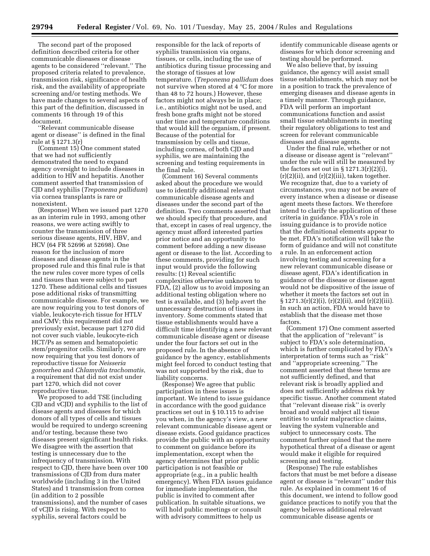The second part of the proposed definition described criteria for other communicable diseases or disease agents to be considered ''relevant.'' The proposed criteria related to prevalence, transmission risk, significance of health risk, and the availability of appropriate screening and/or testing methods. We have made changes to several aspects of this part of the definition, discussed in comments 16 through 19 of this document.

''Relevant communicable disease agent or disease'' is defined in the final rule at § 1271.3(r)

(Comment 15) One comment stated that we had not sufficiently demonstrated the need to expand agency oversight to include diseases in addition to HIV and hepatitis. Another comment asserted that transmission of CJD and syphilis (*Treponema pallidum*) via cornea transplants is rare or nonexistent.

(Response) When we issued part 1270 as an interim rule in 1993, among other reasons, we were acting swiftly to counter the transmission of three serious disease agents, HIV, HBV, and HCV (64 FR 52696 at 52698). One reason for the inclusion of more diseases and disease agents in the proposed rule and this final rule is that the new rules cover more types of cells and tissues than were subject to part 1270. These additional cells and tissues pose additional risks of transmitting communicable disease. For example, we are now requiring you to test donors of viable, leukocyte-rich tissue for HTLV and CMV; this requirement did not previously exist, because part 1270 did not cover such viable, leukocyte-rich HCT/Ps as semen and hematopoietic stem/progenitor cells. Similarly, we are now requiring that you test donors of reproductive tissue for *Neisseria gonorrhea* and *Chlamydia trachomatis*, a requirement that did not exist under part 1270, which did not cover reproductive tissue.

We proposed to add TSE (including CJD and vCJD) and syphilis to the list of disease agents and diseases for which donors of all types of cells and tissues would be required to undergo screening and/or testing, because these two diseases present significant health risks. We disagree with the assertion that testing is unnecessary due to the infrequency of transmission. With respect to CJD, there have been over 100 transmissions of CJD from dura mater worldwide (including 3 in the United States) and 1 transmission from cornea (in addition to 2 possible transmissions), and the number of cases of vCJD is rising. With respect to syphilis, several factors could be

responsible for the lack of reports of syphilis transmission via organs, tissues, or cells, including the use of antibiotics during tissue processing and the storage of tissues at low temperature. (*Treponema pallidum* does not survive when stored at 4 °C for more than 48 to 72 hours.) However, these factors might not always be in place; i.e., antibiotics might not be used, and fresh bone grafts might not be stored under time and temperature conditions that would kill the organism, if present. Because of the potential for transmission by cells and tissue, including cornea, of both CJD and syphilis, we are maintaining the screening and testing requirements in the final rule.

(Comment 16) Several comments asked about the procedure we would use to identify additional relevant communicable disease agents and diseases under the second part of the definition. Two comments asserted that we should specify that procedure, and that, except in cases of real urgency, the agency must afford interested parties prior notice and an opportunity to comment before adding a new disease agent or disease to the list. According to these comments, providing for such input would provide the following results: (1) Reveal scientific complexities otherwise unknown to FDA, (2) allow us to avoid imposing an additional testing obligation where no test is available, and (3) help avert the unnecessary destruction of tissues in inventory. Some comments stated that tissue establishments would have a difficult time identifying a new relevant communicable disease agent or disease under the four factors set out in the proposed rule. In the absence of guidance by the agency, establishments might feel forced to conduct testing that was not supported by the risk, due to liability concerns.

(Response) We agree that public participation in these issues is important. We intend to issue guidance in accordance with the good guidance practices set out in § 10.115 to advise you when, in the agency's view, a new relevant communicable disease agent or disease exists. Good guidance practices provide the public with an opportunity to comment on guidance before its implementation, except when the agency determines that prior public participation is not feasible or appropriate (e.g., in a public health emergency). When FDA issues guidance for immediate implementation, the public is invited to comment after publication. In suitable situations, we will hold public meetings or consult with advisory committees to help us

identify communicable disease agents or diseases for which donor screening and testing should be performed.

We also believe that, by issuing guidance, the agency will assist small tissue establishments, which may not be in a position to track the prevalence of emerging diseases and disease agents in a timely manner. Through guidance, FDA will perform an important communications function and assist small tissue establishments in meeting their regulatory obligations to test and screen for relevant communicable diseases and disease agents.

Under the final rule, whether or not a disease or disease agent is ''relevant'' under the rule will still be measured by the factors set out in  $\S 1271.3(r)(2)(i)$ ,  $(r)(2)(ii)$ , and  $(r)(2)(iii)$ , taken together. We recognize that, due to a variety of circumstances, you may not be aware of every instance when a disease or disease agent meets these factors. We therefore intend to clarify the application of these criteria in guidance. FDA's role in issuing guidance is to provide notice that the definitional elements appear to be met. FDA's notification will take the form of guidance and will not constitute a rule. In an enforcement action involving testing and screening for a new relevant communicable disease or disease agent, FDA's identification in guidance of the disease or disease agent would not be dispositive of the issue of whether it meets the factors set out in  $\S 1271.3(r)(2)(i)$ ,  $(r)(2)(ii)$ , and  $(r)(2)(iii)$ . In such an action, FDA would have to establish that the disease met those factors.

(Comment 17) One comment asserted that the application of ''relevant'' is subject to FDA's sole determination, which is further complicated by FDA's interpretation of terms such as ''risk'' and ''appropriate screening.'' The comment asserted that these terms are not sufficiently defined, and that relevant risk is broadly applied and does not sufficiently address risk by specific tissue. Another comment stated that ''relevant disease risk'' is overly broad and would subject all tissue entities to unfair malpractice claims, leaving the system vulnerable and subject to unnecessary costs. The comment further opined that the mere hypothetical threat of a disease or agent would make it eligible for required screening and testing.

(Response) The rule establishes factors that must be met before a disease agent or disease is ''relevant'' under this rule. As explained in comment 16 of this document, we intend to follow good guidance practices to notify you that the agency believes additional relevant communicable disease agents or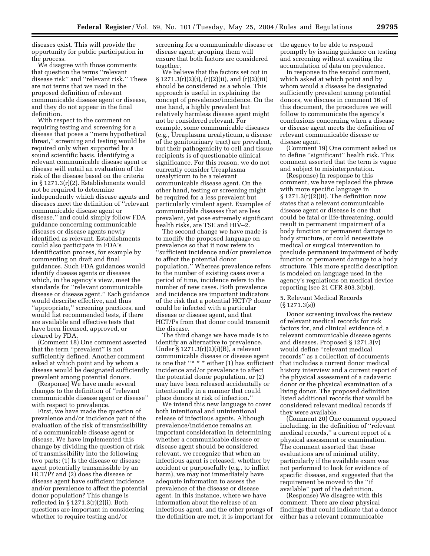diseases exist. This will provide the opportunity for public participation in the process.

We disagree with those comments that question the terms ''relevant disease risk'' and ''relevant risk.'' These are not terms that we used in the proposed definition of relevant communicable disease agent or disease, and they do not appear in the final definition.

With respect to the comment on requiring testing and screening for a disease that poses a ''mere hypothetical threat,'' screening and testing would be required only when supported by a sound scientific basis. Identifying a relevant communicable disease agent or disease will entail an evaluation of the risk of the disease based on the criteria in § 1271.3(r)(2). Establishments would not be required to determine independently which disease agents and diseases meet the definition of ''relevant communicable disease agent or disease,'' and could simply follow FDA guidance concerning communicable diseases or disease agents newly identified as relevant. Establishments could also participate in FDA's identification process, for example by commenting on draft and final guidances. Such FDA guidances would identify disease agents or diseases which, in the agency's view, meet the standards for ''relevant communicable disease or disease agent.'' Each guidance would describe effective, and thus ''appropriate,'' screening practices, and would list recommended tests, if there are available and effective tests that have been licensed, approved, or cleared by FDA.

(Comment 18) One comment asserted that the term ''prevalent'' is not sufficiently defined. Another comment asked at which point and by whom a disease would be designated sufficiently prevalent among potential donors.

(Response) We have made several changes to the definition of ''relevant communicable disease agent or disease'' with respect to prevalence.

First, we have made the question of prevalence and/or incidence part of the evaluation of the risk of transmissibility of a communicable disease agent or disease. We have implemented this change by dividing the question of risk of transmissibility into the following two parts: (1) Is the disease or disease agent potentially transmissible by an HCT/P? and (2) does the disease or disease agent have sufficient incidence and/or prevalence to affect the potential donor population? This change is reflected in § 1271.3(r)(2)(i). Both questions are important in considering whether to require testing and/or

screening for a communicable disease or disease agent; grouping them will ensure that both factors are considered together.

We believe that the factors set out in  $\S 1271.3(r)(2)(i)$ ,  $(r)(2)(ii)$ , and  $(r)(2)(iii)$ should be considered as a whole. This approach is useful in explaining the concept of prevalence/incidence. On the one hand, a highly prevalent but relatively harmless disease agent might not be considered relevant. For example, some communicable diseases (e.g., Ureaplasma urealyticum, a disease of the genitourinary tract) are prevalent, but their pathogenicity to cell and tissue recipients is of questionable clinical significance. For this reason, we do not currently consider Ureaplasma urealyticum to be a relevant communicable disease agent. On the other hand, testing or screening might be required for a less prevalent but particularly virulent agent. Examples of communicable diseases that are less prevalent, yet pose extremely significant health risks, are TSE and HIV–2.

The second change we have made is to modify the proposed language on prevalence so that it now refers to ''sufficient incidence and/or prevalence to affect the potential donor population.'' Whereas prevalence refers to the number of existing cases over a period of time, incidence refers to the number of new cases. Both prevalence and incidence are important indicators of the risk that a potential HCT/P donor could be infected with a particular disease or disease agent, and that HCT/Ps from that donor could transmit the disease.

The third change we have made is to identify an alternative to prevalence. Under § 1271.3(r)(2)(i)(B), a relevant communicable disease or disease agent is one that ''\* \* \* either (1) has sufficient incidence and/or prevalence to affect the potential donor population, or (2) may have been released accidentally or intentionally in a manner that could place donors at risk of infection.''

We intend this new language to cover both intentional and unintentional release of infectious agents. Although prevalence/incidence remains an important consideration in determining whether a communicable disease or disease agent should be considered relevant, we recognize that when an infectious agent is released, whether by accident or purposefully (e.g., to inflict harm), we may not immediately have adequate information to assess the prevalence of the disease or disease agent. In this instance, where we have information about the release of an infectious agent, and the other prongs of the definition are met, it is important for the agency to be able to respond promptly by issuing guidance on testing and screening without awaiting the accumulation of data on prevalence.

In response to the second comment, which asked at which point and by whom would a disease be designated sufficiently prevalent among potential donors, we discuss in comment 16 of this document, the procedures we will follow to communicate the agency's conclusions concerning when a disease or disease agent meets the definition of relevant communicable disease or disease agent.

(Comment 19) One comment asked us to define ''significant'' health risk. This comment asserted that the term is vague and subject to misinterpretation.

(Response) In response to this comment, we have replaced the phrase with more specific language in § 1271.3(r)(2)(ii). The definition now states that a relevant communicable disease agent or disease is one that could be fatal or life-threatening, could result in permanent impairment of a body function or permanent damage to body structure, or could necessitate medical or surgical intervention to preclude permanent impairment of body function or permanent damage to a body structure. This more specific description is modeled on language used in the agency's regulations on medical device reporting (see 21 CFR 803.3(bb)).

#### 5. Relevant Medical Records (§ 1271.3(s))

Donor screening involves the review of relevant medical records for risk factors for, and clinical evidence of, a relevant communicable disease agents and diseases. Proposed § 1271.3(v) would define ''relevant medical records'' as a collection of documents that includes a current donor medical history interview and a current report of the physical assessment of a cadaveric donor or the physical examination of a living donor. The proposed definition listed additional records that would be considered relevant medical records if they were available.

(Comment 20) One comment opposed including, in the definition of ''relevant medical records,'' a current report of a physical assessment or examination. The comment asserted that these evaluations are of minimal utility, particularly if the available exam was not performed to look for evidence of specific disease, and suggested that the requirement be moved to the ''if available'' part of the definition.

(Response) We disagree with this comment. There are clear physical findings that could indicate that a donor either has a relevant communicable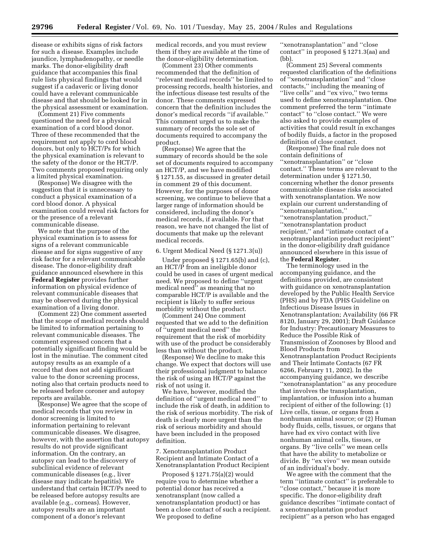disease or exhibits signs of risk factors for such a disease. Examples include jaundice, lymphadenopathy, or needle marks. The donor-eligibility draft guidance that accompanies this final rule lists physical findings that would suggest if a cadaveric or living donor could have a relevant communicable disease and that should be looked for in the physical assessment or examination.

(Comment 21) Five comments questioned the need for a physical examination of a cord blood donor. Three of these recommended that the requirement not apply to cord blood donors, but only to HCT/Ps for which the physical examination is relevant to the safety of the donor or the HCT/P. Two comments proposed requiring only a limited physical examination.

(Response) We disagree with the suggestion that it is unnecessary to conduct a physical examination of a cord blood donor. A physical examination could reveal risk factors for or the presence of a relevant communicable disease.

We note that the purpose of the physical examination is to assess for signs of a relevant communicable disease and for signs suggestive of any risk factor for a relevant communicable disease. The donor-eligibility draft guidance announced elsewhere in this **Federal Register** provides further information on physical evidence of relevant communicable diseases that may be observed during the physical examination of a living donor.

(Comment 22) One comment asserted that the scope of medical records should be limited to information pertaining to relevant communicable diseases. The comment expressed concern that a potentially significant finding would be lost in the minutiae. The comment cited autopsy results as an example of a record that does not add significant value to the donor screening process, noting also that certain products need to be released before coroner and autopsy reports are available.

(Response) We agree that the scope of medical records that you review in donor screening is limited to information pertaining to relevant communicable diseases. We disagree, however, with the assertion that autopsy results do not provide significant information. On the contrary, an autopsy can lead to the discovery of subclinical evidence of relevant communicable diseases (e.g., liver disease may indicate hepatitis). We understand that certain HCT/Ps need to be released before autopsy results are available (e.g., corneas). However, autopsy results are an important component of a donor's relevant

medical records, and you must review them if they are available at the time of the donor-eligibility determination.

(Comment 23) Other comments recommended that the definition of ''relevant medical records'' be limited to processing records, health histories, and the infectious disease test results of the donor. These comments expressed concern that the definition includes the donor's medical records ''if available.'' This comment urged us to make the summary of records the sole set of documents required to accompany the product.

(Response) We agree that the summary of records should be the sole set of documents required to accompany an HCT/P, and we have modified § 1271.55, as discussed in greater detail in comment 29 of this document. However, for the purposes of donor screening, we continue to believe that a larger range of information should be considered, including the donor's medical records, if available. For that reason, we have not changed the list of documents that make up the relevant medical records.

#### 6. Urgent Medical Need (§ 1271.3(u))

Under proposed § 1271.65(b) and (c), an HCT/P from an ineligible donor could be used in cases of urgent medical need. We proposed to define ''urgent medical need'' as meaning that no comparable HCT/P is available and the recipient is likely to suffer serious morbidity without the product.

(Comment 24) One comment requested that we add to the definition of ''urgent medical need'' the requirement that the risk of morbidity with use of the product be considerably less than without the product.

(Response) We decline to make this change. We expect that doctors will use their professional judgment to balance the risk of using an HCT/P against the risk of not using it.

We have, however, modified the definition of ''urgent medical need'' to include the risk of death, in addition to the risk of serious morbidity. The risk of death is clearly more urgent than the risk of serious morbidity and should have been included in the proposed definition.

7. Xenotransplantation Product Recipient and Intimate Contact of a Xenotransplantation Product Recipient

Proposed § 1271.75(a)(2) would require you to determine whether a potential donor has received a xenotransplant (now called a xenotransplantation product) or has been a close contact of such a recipient. We proposed to define

''xenotransplantation'' and ''close contact'' in proposed § 1271.3(aa) and (bb).

(Comment 25) Several comments requested clarification of the definitions of ''xenotransplantation'' and ''close contacts,'' including the meaning of "live cells" and "ex vivo," two terms used to define xenotransplantation. One comment preferred the term ''intimate contact'' to ''close contact.'' We were also asked to provide examples of activities that could result in exchanges of bodily fluids, a factor in the proposed definition of close contact.

(Response) The final rule does not contain definitions of

''xenotransplantation'' or ''close contact.'' These terms are relevant to the determination under § 1271.50, concerning whether the donor presents communicable disease risks associated with xenotransplantation. We now explain our current understanding of ''xenotransplantation,''

''xenotransplantation product,'' ''xenotransplantation product recipient,'' and ''intimate contact of a xenotransplantation product recipient'' in the donor-eligibility draft guidance announced elsewhere in this issue of the **Federal Register**.

The terminology used in the accompanying guidance, and the definitions provided, are consistent with guidance on xenotransplantation developed by the Public Health Service (PHS) and by FDA (PHS Guideline on Infectious Disease Issues in Xenotransplantation; Availability (66 FR 8120, January 29, 2001); Draft Guidance for Industry: Precautionary Measures to Reduce the Possible Risk of Transmission of Zoonoses by Blood and Blood Products from Xenotransplantation Product Recipients and Their Intimate Contacts (67 FR 6266, February 11, 2002). In the accompanying guidance, we describe ''xenotransplantation'' as any procedure that involves the transplantation, implantation, or infusion into a human recipient of either of the following: (1) Live cells, tissue, or organs from a nonhuman animal source; or (2) Human body fluids, cells, tissues, or organs that have had ex vivo contact with live nonhuman animal cells, tissues, or organs. By ''live cells'' we mean cells that have the ability to metabolize or divide. By ''ex vivo'' we mean outside of an individual's body.

We agree with the comment that the term ''intimate contact'' is preferable to ''close contact,'' because it is more specific. The donor-eligibility draft guidance describes ''intimate contact of a xenotransplantation product recipient'' as a person who has engaged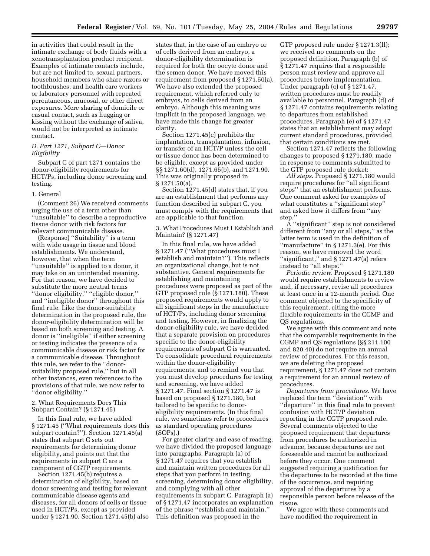in activities that could result in the intimate exchange of body fluids with a xenotransplantation product recipient. Examples of intimate contacts include, but are not limited to, sexual partners, household members who share razors or toothbrushes, and health care workers or laboratory personnel with repeated percutaneous, mucosal, or other direct exposures. Mere sharing of domicile or casual contact, such as hugging or kissing without the exchange of saliva, would not be interpreted as intimate contact.

# *D. Part 1271, Subpart C—Donor Eligibility*

Subpart C of part 1271 contains the donor-eligibility requirements for HCT/Ps, including donor screening and testing.

#### 1. General

(Comment 26) We received comments urging the use of a term other than ''unsuitable'' to describe a reproductive tissue donor with risk factors for relevant communicable disease.

(Response) ''Suitability'' is a term with wide usage in tissue and blood establishments. We understand, however, that when the term ''unsuitable'' is applied to a donor, it may take on an unintended meaning. For that reason, we have decided to substitute the more neutral terms ''donor eligibility,'' ''eligible donor,'' and ''ineligible donor'' throughout this final rule. Like the donor-suitability determination in the proposed rule, the donor-eligibility determination will be based on both screening and testing. A donor is ''ineligible'' if either screening or testing indicates the presence of a communicable disease or risk factor for a communicable disease. Throughout this rule, we refer to the ''donorsuitability proposed rule,'' but in all other instances, even references to the provisions of that rule, we now refer to ''donor eligibility.''

2. What Requirements Does This Subpart Contain? (§ 1271.45)

In this final rule, we have added § 1271.45 (''What requirements does this subpart contain?''). Section 1271.45(a) states that subpart C sets out requirements for determining donor eligibility, and points out that the requirements in subpart C are a component of CGTP requirements.

Section 1271.45(b) requires a determination of eligibility, based on donor screening and testing for relevant communicable disease agents and diseases, for all donors of cells or tissue used in HCT/Ps, except as provided under § 1271.90. Section 1271.45(b) also

states that, in the case of an embryo or of cells derived from an embryo, a donor-eligibility determination is required for both the oocyte donor and the semen donor. We have moved this requirement from proposed § 1271.50(a). We have also extended the proposed requirement, which referred only to embryos, to cells derived from an embryo. Although this meaning was implicit in the proposed language, we have made this change for greater clarity.

Section 1271.45(c) prohibits the implantation, transplantation, infusion, or transfer of an HCT/P unless the cell or tissue donor has been determined to be eligible, except as provided under §§ 1271.60(d), 1271.65(b), and 1271.90. This was originally proposed in § 1271.50(a).

Section 1271.45(d) states that, if you are an establishment that performs any function described in subpart C, you must comply with the requirements that are applicable to that function.

3. What Procedures Must I Establish and Maintain? (§ 1271.47)

In this final rule, we have added § 1271.47 ("What procedures must I establish and maintain?''). This reflects an organizational change, but is not substantive. General requirements for establishing and maintaining procedures were proposed as part of the GTP proposed rule (§ 1271.180). These proposed requirements would apply to all significant steps in the manufacture of HCT/Ps, including donor screening and testing. However, in finalizing the donor-eligibility rule, we have decided that a separate provision on procedures specific to the donor-eligibility requirements of subpart C is warranted. To consolidate procedural requirements within the donor-eligibility requirements, and to remind you that you must develop procedures for testing and screening, we have added § 1271.47. Final section § 1271.47 is based on proposed § 1271.180, but tailored to be specific to donoreligibility requirements. (In this final rule, we sometimes refer to procedures as standard operating procedures (SOPs).)

For greater clarity and ease of reading, we have divided the proposed language into paragraphs. Paragraph (a) of § 1271.47 requires that you establish and maintain written procedures for all steps that you perform in testing, screening, determining donor eligibility, and complying with all other requirements in subpart C. Paragraph (a) of § 1271.47 incorporates an explanation of the phrase ''establish and maintain.'' This definition was proposed in the

GTP proposed rule under § 1271.3(ll); we received no comments on the proposed definition. Paragraph (b) of § 1271.47 requires that a responsible person must review and approve all procedures before implementation. Under paragraph (c) of § 1271.47, written procedures must be readily available to personnel. Paragraph (d) of § 1271.47 contains requirements relating to departures from established procedures. Paragraph (e) of § 1271.47 states that an establishment may adopt current standard procedures, provided that certain conditions are met.

Section 1271.47 reflects the following changes to proposed § 1271.180, made in response to comments submitted to the GTP proposed rule docket:

*All steps*. Proposed § 1271.180 would require procedures for ''all significant steps'' that an establishment performs. One comment asked for examples of what constitutes a ''significant step'' and asked how it differs from ''any step.''

A ''significant'' step is not considered different from ''any or all steps,'' as the latter term is used in the definition of ''manufacture'' in § 1271.3(e). For this reason, we have removed the word ''significant,'' and § 1271.47(a) refers instead to "all steps."

*Periodic review*. Proposed § 1271.180 would require establishments to review and, if necessary, revise all procedures at least once in a 12-month period. One comment objected to the specificity of this requirement, citing the more flexible requirements in the CGMP and QS regulations.

We agree with this comment and note that the comparable requirements in the CGMP and QS regulations (§§ 211.100 and 820.40) do not require an annual review of procedures. For this reason, we are deleting the proposed requirement, § 1271.47 does not contain a requirement for an annual review of procedures.

*Departures from procedures*. We have replaced the term ''deviation'' with ''departure'' in this final rule to prevent confusion with HCT/P deviation reporting in the CGTP proposed rule. Several comments objected to the proposed requirement that departures from procedures be authorized in advance, because departures are not foreseeable and cannot be authorized before they occur. One comment suggested requiring a justification for the departures to be recorded at the time of the occurrence, and requiring approval of the departures by a responsible person before release of the tissue.

We agree with these comments and have modified the requirement in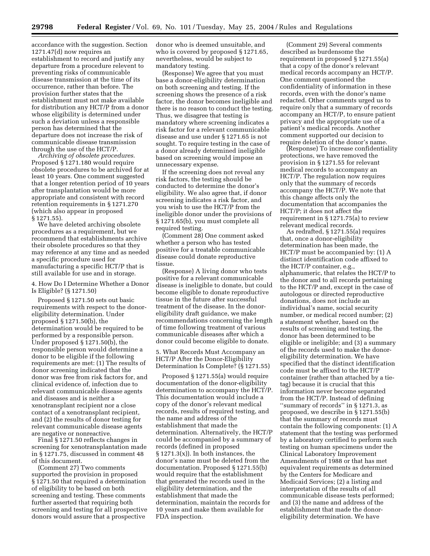accordance with the suggestion. Section 1271.47(d) now requires an establishment to record and justify any departure from a procedure relevent to preventing risks of communicable disease transmission at the time of its occurrence, rather than before. The provision further states that the establishment must not make available for distribution any HCT/P from a donor whose eligibility is determined under such a deviation unless a responsible person has determined that the departure does not increase the risk of communicable disease transmission through the use of the HCT/P.

*Archiving of obsolete procedures*. Proposed § 1271.180 would require obsolete procedures to be archived for at least 10 years. One comment suggested that a longer retention period of 10 years after transplantation would be more appropriate and consistent with record retention requirements in § 1271.270 (which also appear in proposed § 1271.55).

We have deleted archiving obsolete procedures as a requirement, but we recommend that establishments archive their obsolete procedures so that they may reference at any time and as needed a specific procedure used for manufacturing a specific HCT/P that is still available for use and in storage.

4. How Do I Determine Whether a Donor Is Eligible? (§ 1271.50)

Proposed § 1271.50 sets out basic requirements with respect to the donoreligibility determination. Under proposed § 1271.50(b), the determination would be required to be performed by a responsible person. Under proposed § 1271.50(b), the responsible person would determine a donor to be eligible if the following requirements are met: (1) The results of donor screening indicated that the donor was free from risk factors for, and clinical evidence of, infection due to relevant communicable disease agents and diseases and is neither a xenotransplant recipient nor a close contact of a xenotransplant recipient, and (2) the results of donor testing for relevant communicable disease agents are negative or nonreactive.

Final § 1271.50 reflects changes in screening for xenotransplantation made in § 1271.75, discussed in comment 48 of this document.

(Comment 27) Two comments supported the provision in proposed § 1271.50 that required a determination of eligibility to be based on both screening and testing. These comments further asserted that requiring both screening and testing for all prospective donors would assure that a prospective

donor who is deemed unsuitable, and who is covered by proposed § 1271.65, nevertheless, would be subject to mandatory testing.

(Response) We agree that you must base a donor-eligibility determination on both screening and testing. If the screening shows the presence of a risk factor, the donor becomes ineligible and there is no reason to conduct the testing. Thus, we disagree that testing is mandatory where screening indicates a risk factor for a relevant communicable disease and use under § 1271.65 is not sought. To require testing in the case of a donor already determined ineligible based on screening would impose an unnecessary expense.

If the screening does not reveal any risk factors, the testing should be conducted to determine the donor's eligibility. We also agree that, if donor screening indicates a risk factor, and you wish to use the HCT/P from the ineligible donor under the provisions of § 1271.65(b), you must complete all required testing.

(Comment 28) One comment asked whether a person who has tested positive for a treatable communicable disease could donate reproductive tissue.

(Response) A living donor who tests positive for a relevant communicable disease is ineligible to donate, but could become eligible to donate reproductive tissue in the future after successful treatment of the disease. In the donoreligibility draft guidance, we make recommendations concerning the length of time following treatment of various communicable diseases after which a donor could become eligible to donate.

5. What Records Must Accompany an HCT/P After the Donor-Eligibility Determination Is Complete? (§ 1271.55)

Proposed § 1271.55(a) would require documentation of the donor-eligibility determination to accompany the HCT/P. This documentation would include a copy of the donor's relevant medical records, results of required testing, and the name and address of the establishment that made the determination. Alternatively, the HCT/P could be accompanied by a summary of records (defined in proposed  $\S 1271.3(x)$ . In both instances, the donor's name must be deleted from the documentation. Proposed § 1271.55(b) would require that the establishment that generated the records used in the eligibility determination, and the establishment that made the determination, maintain the records for 10 years and make them available for FDA inspection.

(Comment 29) Several comments described as burdensome the requirement in proposed § 1271.55(a) that a copy of the donor's relevant medical records accompany an HCT/P. One comment questioned the confidentiality of information in these records, even with the donor's name redacted. Other comments urged us to require only that a summary of records accompany an HCT/P, to ensure patient privacy and the appropriate use of a patient's medical records. Another comment supported our decision to require deletion of the donor's name.

(Response) To increase confidentiality protections, we have removed the provision in § 1271.55 for relevant medical records to accompany an HCT/P. The regulation now requires only that the summary of records accompany the HCT/P. We note that this change affects only the documentation that accompanies the HCT/P; it does not affect the requirement in § 1271.75(a) to review relevant medical records.

As redrafted, § 1271.55(a) requires that, once a donor-eligibility determination has been made, the HCT/P must be accompanied by: (1) A distinct identification code affixed to the HCT/P container, e.g., alphanumeric, that relates the HCT/P to the donor and to all records pertaining to the HCT/P and, except in the case of autologous or directed reproductive donations, does not include an individual's name, social security number, or medical record number; (2) a statement whether, based on the results of screening and testing, the donor has been determined to be eligible or ineligible; and (3) a summary of the records used to make the donoreligibility determination. We have specified that the distinct identification code must be affixed to the HCT/P container (rather than attached by a tietag) because it is crucial that this information never become separated from the HCT/P. Instead of defining ''summary of records'' in § 1271.3, as proposed, we describe in § 1271.55(b) that the summary of records must contain the following components: (1) A statement that the testing was performed by a laboratory certified to perform such testing on human specimens under the Clinical Laboratory Improvement Amendments of 1988 or that has met equivalent requirements as determined by the Centers for Medicare and Medicaid Services; (2) a listing and interpretation of the results of all communicable disease tests performed; and (3) the name and address of the establishment that made the donoreligibility determination. We have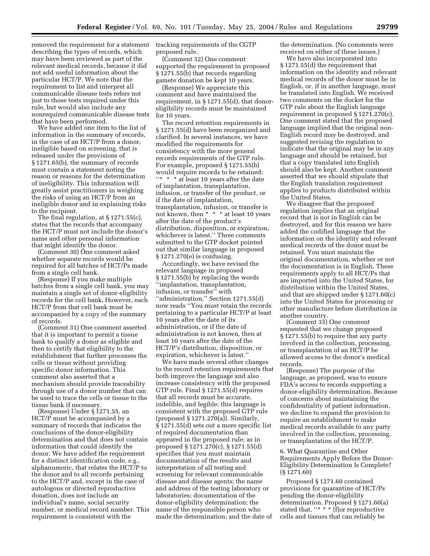removed the requirement for a statement tracking requirements of the CGTP describing the types of records, which may have been reviewed as part of the relevant medical records, because it did not add useful information about the particular HCT/P. We note that the requirement to list and interpret all communicable disease tests refers not just to those tests required under this rule, but would also include any nonrequired communicable disease tests that have been performed.

We have added one item to the list of information in the summary of records, in the case of an HCT/P from a donor, ineligible based on screening, that is released under the provisions of § 1271.65(b), the summary of records must contain a statement noting the reason or reasons for the determination of ineligibility. This information will greatly assist practitioners in weighing the risks of using an HCT/P from an ineligible donor and in explaining risks to the recipient.

The final regulation, at § 1271.55(c), states that the records that accompany the HCT/P must not include the donor's name and other personal information that might identify the donor.

(Comment 30) One comment asked whether separate records would be required for all batches of HCT/Ps made from a single cell bank.

(Response) If you make multiple batches from a single cell bank, you may maintain a single set of donor-eligibility records for the cell bank. However, each HCT/P from that cell bank must be accompanied by a copy of the summary of records.

(Comment 31) One comment asserted that it is important to permit a tissue bank to qualify a donor as eligible and then to certify that eligibility to the establishment that further processes the cells or tissue without providing specific donor information. This comment also asserted that a mechanism should provide traceability through use of a donor number that can be used to trace the cells or tissue to the tissue bank if necessary.

(Response) Under § 1271.55, an HCT/P must be accompanied by a summary of records that indicates the conclusions of the donor-eligibility determination and that does not contain information that could identify the donor. We have added the requirement for a distinct identification code, e.g., alphanumeric, that relates the HCT/P to the donor and to all records pertaining to the HCT/P and, except in the case of autologous or directed reproductive donation, does not include an individual's name, social security number, or medical record number. This requirement is consistent with the

proposed rule.

(Comment 32) One comment supported the requirement in proposed § 1271.55(b) that records regarding gamete donation be kept 10 years.

(Response) We appreciate this comment and have maintained the requirement, in § 1271.55(d), that donoreligibility records must be maintained for 10 years.

The record retention requirements in § 1271.55(d) have been reorganized and clarified. In several instances, we have modified the requirements for consistency with the more general records requirements of the GTP rule. For example, proposed § 1271.55(b) would require records to be retained: ''\* \* \* at least 10 years after the date of implantation, transplantation, infusion, or transfer of the product, or if the date of implantation, transplantation, infusion, or transfer is not known, then \* \* \* at least 10 years after the date of the product's distribution, disposition, or expiration, whichever is latest.'' Three comments submitted to the GTP docket pointed out that similar language in proposed § 1271.270(e) is confusing.

Accordingly, we have revised the relevant language in proposed § 1271.55(b) by replacing the words ''implantation, transplantation, infusion, or transfer'' with ''administration.'' Section 1271.55(d) now reads ''You must retain the records pertaining to a particular HCT/P at least 10 years after the date of its administration, or if the date of administration is not known, then at least 10 years after the date of the HCT/P's distribution, disposition, or expiration, whichever is latest.''

We have made several other changes to the record retention requirements that both improve the language and also increase consistency with the proposed GTP rule. Final § 1271.55(d) requires that all records must be accurate, indelible, and legible; this language is consistent with the proposed GTP rule (proposed § 1271.270(a)). Similarly, § 1271.55(d) sets out a more specific list of required documentation than appeared in the proposed rule; as in proposed § 1271.270(c), § 1271.55(d) specifies that you must maintain documentation of the results and interpretation of all testing and screening for relevant communicable disease and disease agents; the name and address of the testing laboratory or laboratories; documentation of the donor-eligibility determination; the name of the responsible person who made the determination; and the date of

the determination. (No comments were received on either of these issues.)

We have also incorporated into § 1271.55(d) the requirement that information on the identity and relevant medical records of the donor must be in English, or, if in another language, must be translated into English. We received two comments on the docket for the GTP rule about the English language requirement in proposed § 1271.270(c). One comment stated that the proposed language implied that the original non-English record may be destroyed, and suggested revising the regulation to indicate that the original may be in any language and should be retained, but that a copy translated into English should also be kept. Another comment asserted that we should stipulate that the English translation requirement applies to products distributed within the United States.

We disagree that the proposed regulation implies that an original record that is not in English can be destroyed, and for this reason we have added the codified language that the information on the identity and relevant medical records of the donor must be retained. You must maintain the original documentation, whether or not the documentation is in English. These requirements apply to all HCT/Ps that are imported into the United States, for distribution within the United States, and that are shipped under § 1271.60(c) into the United States for processing or other manufacture before distribution in another country.

(Comment 33) One comment requested that we change proposed § 1271.55(b) to require that any party involved in the collection, processing, or transplantation of an HCT/P be allowed access to the donor's medical records.

(Response) The purpose of the language, as proposed, was to ensure FDA's access to records supporting a donor-eligibility determination. Because of concerns about maintaining the confidentiality of patient information, we decline to expand the provision to require an establishment to make medical records available to any party involved in the collection, processing, or transplantation of the HCT/P.

6. What Quarantine and Other Requirements Apply Before the Donor-Eligibility Determination Is Complete? (§ 1271.60)

Proposed § 1271.60 contained provisions for quarantine of HCT/Ps pending the donor-eligibility determination. Proposed § 1271.60(a) stated that, ''\* \* \* [f]or reproductive cells and tissues that can reliably be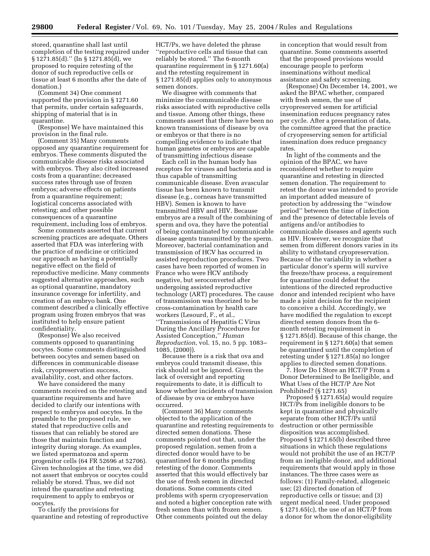stored, quarantine shall last until completion of the testing required under § 1271.85(d).'' (In § 1271.85(d), we proposed to require retesting of the donor of such reproductive cells or tissue at least 6 months after the date of donation.)

(Comment 34) One comment supported the provision in § 1271.60 that permits, under certain safeguards, shipping of material that is in quarantine.

(Response) We have maintained this provision in the final rule.

(Comment 35) Many comments opposed any quarantine requirement for embryos. These comments disputed the communicable disease risks associated with embryos. They also cited increased costs from a quarantine; decreased success rates through use of frozen embryos; adverse effects on patients from a quarantine requirement; logistical concerns associated with retesting; and other possible consequences of a quarantine requirement, including loss of embryos.

Some comments asserted that current screening practices are adequate. Others asserted that FDA was interfering with the practice of medicine or criticized our approach as having a potentially negative effect on the field of reproductive medicine. Many comments suggested alternative approaches, such as optional quarantine, mandatory insurance coverage for infertility, and creation of an embryo bank. One comment described a clinically effective program using frozen embryos that was instituted to help ensure patient confidentiality.

(Response) We also received comments opposed to quarantining oocytes. Some comments distinguished between oocytes and semen based on differences in communicable disease risk, cryopreservation success, availability, cost, and other factors.

We have considered the many comments received on the retesting and quarantine requirements and have decided to clarify our intentions with respect to embryos and oocytes. In the preamble to the proposed rule, we stated that reproductive cells and tissues that can reliably be stored are those that maintain function and integrity during storage. As examples, we listed spermatozoa and sperm progenitor cells (64 FR 52696 at 52706). Given technologies at the time, we did not assert that embryos or oocytes could reliably be stored. Thus, we did not intend the quarantine and retesting requirement to apply to embryos or oocytes.

To clarify the provisions for quarantine and retesting of reproductive

HCT/Ps, we have deleted the phrase ''reproductive cells and tissue that can reliably be stored.'' The 6-month quarantine requirement in § 1271.60(a) and the retesting requirement in § 1271.85(d) applies only to anonymous semen donors.

We disagree with comments that minimize the communicable disease risks associated with reproductive cells and tissue. Among other things, these comments assert that there have been no known transmissions of disease by ova or embryos or that there is no compelling evidence to indicate that human gametes or embryos are capable of transmitting infectious disease

Each cell in the human body has receptors for viruses and bacteria and is thus capable of transmitting communicable disease. Even avascular tissue has been known to transmit disease (e.g., corneas have transmitted HBV). Semen is known to have transmitted HBV and HIV. Because embryos are a result of the combining of sperm and ova, they have the potential of being contaminated by communicable disease agents transmitted by the sperm. Moreover, bacterial contamination and transmission of HCV has occurred in assisted reproduction procedures. Two cases have been reported of women in France who were HCV antibody negative, but seroconverted after undergoing assisted reproductive technology (ART) procedures. The cause of transmission was theorized to be cross-contamination by health care workers (Lesourd, F., et al.,

''Transmissions of Hepatitis C Virus During the Ancillary Procedures for Assisted Conception,'' *Human Reproduction*, vol. 15, no. 5 pp. 1083– 1085, (2000)).

Because there is a risk that ova and embryos could transmit disease, this risk should not be ignored. Given the lack of oversight and reporting requirements to date, it is difficult to know whether incidents of transmission of disease by ova or embryos have occurred.

(Comment 36) Many comments objected to the application of the quarantine and retesting requirements to directed semen donations. These comments pointed out that, under the proposed regulation, semen from a directed donor would have to be quarantined for 6 months pending retesting of the donor. Comments asserted that this would effectively bar the use of fresh semen in directed donations. Some comments cited problems with sperm cryopreservation and noted a higher conception rate with fresh semen than with frozen semen. Other comments pointed out the delay

in conception that would result from quarantine. Some comments asserted that the proposed provisions would encourage people to perform inseminations without medical assistance and safety screening.

(Response) On December 14, 2001, we asked the BPAC whether, compared with fresh semen, the use of cryopreserved semen for artificial insemination reduces pregnancy rates per cycle. After a presentation of data, the committee agreed that the practice of cryopreserving semen for artificial insemination does reduce pregnancy rates.

In light of the comments and the opinion of the BPAC, we have reconsidered whether to require quarantine and retesting in directed semen donation. The requirement to retest the donor was intended to provide an important added measure of protection by addressing the ''window period'' between the time of infection and the presence of detectable levels of antigens and/or antibodies to communicable diseases and agents such as HIV. However, we recognize that semen from different donors varies in its ability to withstand cryopreservation. Because of the variability in whether a particular donor's sperm will survive the freeze/thaw process, a requirement for quarantine could defeat the intentions of the directed reproductive donor and intended recipient who have made a joint decision for the recipient to conceive a child. Accordingly, we have modified the regulation to except directed semen donors from the 6 month retesting requirement in § 1271.85(d). Because of this change, the requirement in § 1271.60(a) that semen be quarantined until the completion of retesting under § 1271.85(a) no longer applies to directed semen donations.

7. How Do I Store an HCT/P From a Donor Determined to Be Ineligible, and What Uses of the HCT/P Are Not Prohibited? (§ 1271.65)

Proposed § 1271.65(a) would require HCT/Ps from ineligible donors to be kept in quarantine and physically separate from other HCT/Ps until destruction or other permissible disposition was accomplished. Proposed § 1271.65(b) described three situations in which these regulations would not prohibit the use of an HCT/P from an ineligible donor, and additional requirements that would apply in those instances. The three cases were as follows: (1) Family-related, allogeneic use; (2) directed donation of reproductive cells or tissue; and (3) urgent medical need. Under proposed § 1271.65(c), the use of an HCT/P from a donor for whom the donor-eligibility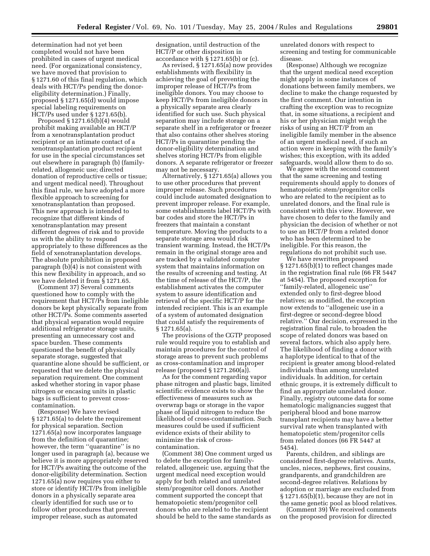determination had not yet been completed would not have been prohibited in cases of urgent medical need. (For organizational consistency, we have moved that provision to § 1271.60 of this final regulation, which deals with HCT/Ps pending the donoreligibility determination.) Finally, proposed § 1271.65(d) would impose special labeling requirements on HCT/Ps used under § 1271.65(b).

Proposed § 1271.65(b)(4) would prohibit making available an HCT/P from a xenotransplantation product recipient or an intimate contact of a xenotransplantation product recipient for use in the special circumstances set out elsewhere in paragraph (b) (familyrelated, allogeneic use; directed donation of reproductive cells or tissue; and urgent medical need). Throughout this final rule, we have adopted a more flexible approach to screening for xenotransplantation than proposed. This new approach is intended to recognize that different kinds of xenotransplantation may present different degrees of risk and to provide us with the ability to respond appropriately to these differences as the field of xenotransplantation develops. The absolute prohibition in proposed paragraph (b)(4) is not consistent with this new flexibility in approach, and so we have deleted it from § 1271.65.

(Comment 37) Several comments questioned how to comply with the requirement that HCT/Ps from ineligible donors be kept physically separate from other HCT/Ps. Some comments asserted that physical separation would require additional refrigerator storage units, presenting an unnecessary cost and space burden. These comments questioned the benefit of physically separate storage, suggested that quarantine alone should be sufficient, or requested that we delete the physical separation requirement. One comment asked whether storing in vapor phase nitrogen or encasing units in plastic bags is sufficient to prevent crosscontamination.

(Response) We have revised § 1271.65(a) to delete the requirement for physical separation. Section 1271.65(a) now incorporates language from the definition of quarantine; however, the term "quarantine" is no longer used in paragraph (a), because we believe it is more appropriately reserved for HCT/Ps awaiting the outcome of the donor-eligibility determination. Section 1271.65(a) now requires you either to store or identify HCT/Ps from ineligible donors in a physically separate area clearly identified for such use or to follow other procedures that prevent improper release, such as automated

designation, until destruction of the HCT/P or other disposition in accordance with § 1271.65(b) or (c).

As revised, § 1271.65(a) now provides establishments with flexibility in achieving the goal of preventing the improper release of HCT/Ps from ineligible donors. You may choose to keep HCT/Ps from ineligible donors in a physically separate area clearly identified for such use. Such physical separation may include storage on a separate shelf in a refrigerator or freezer that also contains other shelves storing HCT/Ps in quarantine pending the donor-eligibility determination and shelves storing HCT/Ps from eligible donors. A separate refrigerator or freezer may not be necessary.

 $\text{Alternatively, }$  \$1271.65(a) allows you to use other procedures that prevent improper release. Such procedures could include automated designation to prevent improper release. For example, some establishments label HCT/Ps with bar codes and store the HCT/Ps in freezers that maintain a constant temperature. Moving the products to a separate storage area would risk transient warming. Instead, the HCT/Ps remain in the original storage area and are tracked by a validated computer system that maintains information on the results of screening and testing. At the time of release of the HCT/P, the establishment activates the computer system to assure identification and retrieval of the specific HCT/P for the intended recipient. This is an example of a system of automated designation that could satisfy the requirements of § 1271.65(a).

The provisions of the CGTP proposed rule would require you to establish and maintain procedures for the control of storage areas to prevent such problems as cross-contamination and improper release (proposed § 1271.260(a)).

As for the comment regarding vapor phase nitrogen and plastic bags, limited scientific evidence exists to show the effectiveness of measures such as overwrap bags or storage in the vapor phase of liquid nitrogen to reduce the likelihood of cross-contamination. Such measures could be used if sufficient evidence exists of their ability to minimize the risk of crosscontamination.

(Comment 38) One comment urged us to delete the exception for familyrelated, allogeneic use, arguing that the urgent medical need exception would apply for both related and unrelated stem/progenitor cell donors. Another comment supported the concept that hematopoietic stem/progenitor cell donors who are related to the recipient should be held to the same standards as

unrelated donors with respect to screening and testing for communicable disease.

(Response) Although we recognize that the urgent medical need exception might apply in some instances of donations between family members, we decline to make the change requested by the first comment. Our intention in crafting the exception was to recognize that, in some situations, a recipient and his or her physician might weigh the risks of using an HCT/P from an ineligible family member in the absence of an urgent medical need, if such an action were in keeping with the family's wishes; this exception, with its added safeguards, would allow them to do so.

We agree with the second comment that the same screening and testing requirements should apply to donors of hematopoietic stem/progenitor cells who are related to the recipient as to unrelated donors, and the final rule is consistent with this view. However, we have chosen to defer to the family and physician the decision of whether or not to use an HCT/P from a related donor who has been determined to be ineligible. For this reason, the regulations do not prohibit such use.

We have rewritten proposed § 1271.65(b)(1) to reflect changes made in the registration final rule (66 FR 5447 at 5454). The proposed exception for ''family-related, allogeneic use'' extended only to first-degree blood relatives; as modified, the exception now extends to ''allogeneic use in a first-degree or second-degree blood relative.'' Our decision, expressed in the registration final rule, to broaden the scope of related donors was based on several factors, which also apply here. The likelihood of finding a donor with a haplotype identical to that of the recipient is greater among blood-related individuals than among unrelated individuals. In addition, for certain ethnic groups, it is extremely difficult to find an appropriate unrelated donor. Finally, registry outcome data for some hematologic malignancies suggest that peripheral blood and bone marrow transplant recipients may have a better survival rate when transplanted with hematopoietic stem/progenitor cells from related donors (66 FR 5447 at 5454).

Parents, children, and siblings are considered first-degree relatives. Aunts, uncles, nieces, nephews, first cousins, grandparents, and grandchildren are second-degree relatives. Relations by adoption or marriage are excluded from § 1271.65(b)(1), because they are not in the same genetic pool as blood relatives.

(Comment 39) We received comments on the proposed provision for directed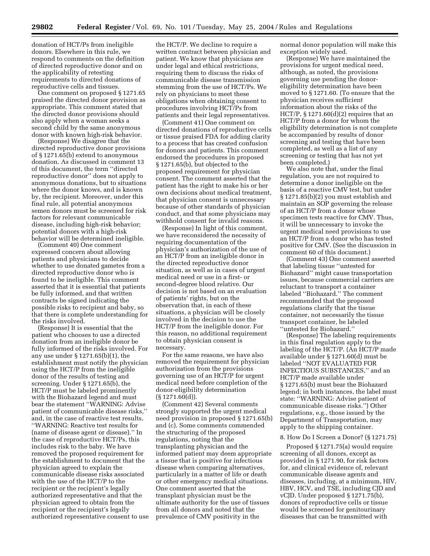donation of HCT/Ps from ineligible donors. Elsewhere in this rule, we respond to comments on the definition of directed reproductive donor and on the applicability of retesting requirements to directed donations of reproductive cells and tissues.

One comment on proposed § 1271.65 praised the directed donor provision as appropriate. This comment stated that the directed donor provisions should also apply when a woman seeks a second child by the same anonymous donor with known high-risk behavior.

(Response) We disagree that the directed reproductive donor provisions of § 1271.65(b) extend to anonymous donation. As discussed in comment 13 of this document, the term ''directed reproductive donor'' does not apply to anonymous donations, but to situations where the donor knows, and is known by, the recipient. Moreover, under this final rule, all potential anonymous semen donors must be screened for risk factors for relevant communicable disease, including high-risk behavior; potential donors with a high-risk behavior will be determined ineligible.

(Comment 40) One comment expressed concern about allowing patients and physicians to decide whether to use donated gametes from a directed reproductive donor who is found to be ineligible. This comment asserted that it is essential that patients be fully informed, and that written contracts be signed indicating the possible risks to recipient and baby, so that there is complete understanding for the risks involved.

(Response) It is essential that the patient who chooses to use a directed donation from an ineligible donor be fully informed of the risks involved. For any use under § 1271.65(b)(1), the establishment must notify the physician using the HCT/P from the ineligible donor of the results of testing and screening. Under § 1271.65(b), the HCT/P must be labeled prominently with the Biohazard legend and must bear the statement ''WARNING: Advise patient of communicable disease risks,'' and, in the case of reactive test results, ''WARNING: Reactive test results for (name of disease agent or disease).'' In the case of reproductive HCT/Ps, this includes risk to the baby. We have removed the proposed requirement for the establishment to document that the physician agreed to explain the communicable disease risks associated with the use of the HCT/P to the recipient or the recipient's legally authorized representative and that the physician agreed to obtain from the recipient or the recipient's legally authorized representative consent to use the HCT/P. We decline to require a written contract between physician and patient. We know that physicians are under legal and ethical restrictions, requiring them to discuss the risks of communicable disease transmission stemming from the use of HCT/Ps. We rely on physicians to meet these obligations when obtaining consent to procedures involving HCT/Ps from patients and their legal representatives.

(Comment 41) One comment on directed donations of reproductive cells or tissue praised FDA for adding clarity to a process that has created confusion for donors and patients. This comment endorsed the procedures in proposed § 1271.65(b), but objected to the proposed requirement for physician consent. The comment asserted that the patient has the right to make his or her own decisions about medical treatment, that physician consent is unnecessary because of other standards of physician conduct, and that some physicians may withhold consent for invalid reasons.

(Response) In light of this comment, we have reconsidered the necessity of requiring documentation of the physician's authorization of the use of an HCT/P from an ineligible donor in the directed reproductive donor situation, as well as in cases of urgent medical need or use in a first- or second-degree blood relative. Our decision is not based on an evaluation of patients' rights, but on the observation that, in each of these situations, a physician will be closely involved in the decision to use the HCT/P from the ineligible donor. For this reason, no additional requirement to obtain physician consent is necessary.

For the same reasons, we have also removed the requirement for physician authorization from the provisions governing use of an HCT/P for urgent medical need before completion of the donor-eligibility determination (§ 1271.60(d)).

(Comment 42) Several comments strongly supported the urgent medical need provision in proposed § 1271.65(b) and (c). Some comments commended the structuring of the proposed regulations, noting that the transplanting physician and the informed patient may deem appropriate a tissue that is positive for infectious disease when comparing alternatives, particularly in a matter of life or death or other emergency medical situations. One comment asserted that the transplant physician must be the ultimate authority for the use of tissues from all donors and noted that the prevalence of CMV positivity in the

normal donor population will make this exception widely used.

(Response) We have maintained the provisions for urgent medical need, although, as noted, the provisions governing use pending the donoreligibility determination have been moved to § 1271.60. (To ensure that the physician receives sufficient information about the risks of the  $HCT/P$ ,  $\S 1271.60(d)(2)$  requires that an HCT/P from a donor for whom the eligibility determination is not complete be accompanied by results of donor screening and testing that have been completed, as well as a list of any screening or testing that has not yet been completed.)

We also note that, under the final regulation, you are not required to determine a donor ineligible on the basis of a reactive CMV test, but under § 1271.85(b)(2) you must establish and maintain an SOP governing the release of an HCT/P from a donor whose specimen tests reactive for CMV. Thus, it will be unnecessary to invoke the urgent medical need provisions to use an HCT/P from a donor who has tested positive for CMV. (See the discussion in comment 60 of this document.)

(Comment 43) One comment asserted that labeling tissue ''untested for Biohazard'' might cause transportation issues, because commercial carriers are reluctant to transport a container labeled ''Biohazard.'' The comment recommended that the proposed regulations clarify that the tissue container, not necessarily the tissue transport container, be labeled ''untested for Biohazard.''

(Response) The labeling requirements in this final regulation apply to the labeling of the HCT/P. (An HCT/P made available under § 1271.60(d) must be labeled ''NOT EVALUATED FOR INFECTIOUS SUBSTANCES,'' and an HCT/P made available under § 1271.65(b) must bear the Biohazard legend; in both instances, the label must state: ''WARNING: Advise patient of communicable disease risks.'') Other regulations, e.g., those issued by the Department of Transportation, may apply to the shipping container.

#### 8. How Do I Screen a Donor? (§ 1271.75)

Proposed § 1271.75(a) would require screening of all donors, except as provided in § 1271.90, for risk factors for, and clinical evidence of, relevant communicable disease agents and diseases, including, at a minimum, HIV, HBV, HCV, and TSE, including CJD and vCJD. Under proposed § 1271.75(b), donors of reproductive cells or tissue would be screened for genitourinary diseases that can be transmitted with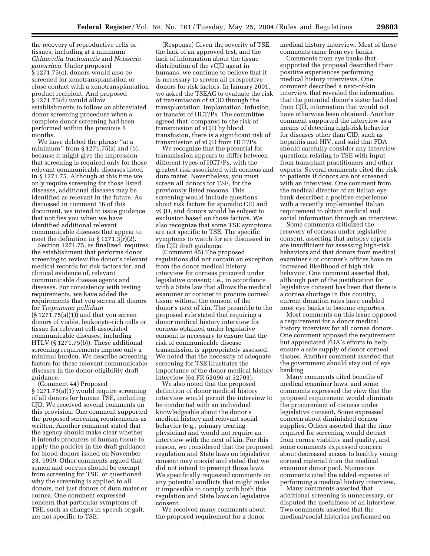the recovery of reproductive cells or tissues, including at a minimum *Chlamydia trachomatis* and *Neisseria gonorrhea*. Under proposed § 1271.75(c), donors would also be screened for xenotransplantation or close contact with a xenotransplantation product recipient. And proposed § 1271.75(d) would allow establishments to follow an abbreviated donor screening procedure when a complete donor screening had been performed within the previous 6 months.

We have deleted the phrase ''at a minimum'' from § 1271.75(a) and (b), because it might give the impression that screening is required only for those relevant communicable diseases listed in § 1271.75. Although at this time we only require screening for those listed diseases, additional diseases may be identified as relevant in the future. As discussed in comment 16 of this document, we intend to issue guidance that notifies you when we have identified additional relevant communicable diseases that appear to meet the definition in § 1271.3(r)(2).

Section 1271.75, as finalized, requires the establishment that performs donor screening to review the donor's relevant medical records for risk factors for, and clinical evidence of, relevant communicable disease agents and diseases. For consistency with testing requirements, we have added the requirements that you screen all donors for *Treponema pallidum* (§ 1271.75(a)(1)) and that you screen donors of viable, leukocyte-rich cells or tissue for relevant cell-associated communicable diseases, including HTLV (§ 1271.75(b)). These additional screening requirements impose only a minimal burden. We describe screening factors for these relevant communicable diseases in the donor-eligibility draft guidance.

(Comment 44) Proposed § 1271.75(a)(1) would require screening of all donors for human TSE, including CJD. We received several comments on this provision. One comment supported the proposed screening requirements as written. Another comment stated that the agency should make clear whether it intends procurers of human tissue to apply the policies in the draft guidance for blood donors issued on November 23, 1999. Other comments argued that semen and oocytes should be exempt from screening for TSE, or questioned why the screening is applied to all donors, not just donors of dura mater or cornea. One comment expressed concern that particular symptoms of TSE, such as changes in speech or gait, are not specific to TSE.

(Response) Given the severity of TSE, the lack of an approved test, and the lack of information about the tissue distribution of the vCJD agent in humans, we continue to believe that it is necessary to screen all prospective donors for risk factors. In January 2001, we asked the TSEAC to evaluate the risk of transmission of vCJD through the transplantation, implantation, infusion, or transfer of HCT/Ps. The committee agreed that, compared to the risk of transmission of vCJD by blood transfusion, there is a significant risk of transmission of vCJD from HCT/Ps.

We recognize that the potential for transmission appears to differ between different types of HCT/Ps, with the greatest risk associated with corneas and dura mater. Nevertheless, you must screen all donors for TSE, for the previously listed reasons. This screening would include questions about risk factors for sporadic CJD and vCJD, and donors would be subject to exclusion based on those factors. We also recognize that some TSE symptoms are not specific to TSE. The specific symptoms to watch for are discussed in the CJD draft guidance.

(Comment 45) The proposed regulations did not contain an exception from the donor medical history interview for corneas procured under legislative consent; i.e., in accordance with a State law that allows the medical examiner or coroner to procure corneal tissue without the consent of the donor's next of kin. The preamble to the proposed rule stated that requiring a donor medical history interview for corneas obtained under legislative consent is necessary to ensure that the risk of communicable disease transmission is appropriately assessed. We noted that the necessity of adequate screening for TSE illustrates the importance of the donor medical history interview (64 FR 52696 at 52703).

We also noted that the proposed definition of donor medical history interview would permit the interview to be conducted with an individual knowledgeable about the donor's medical history and relevant social behavior (e.g., primary treating physician) and would not require an interview with the next of kin. For this reason, we considered that the proposed regulation and State laws on legislative consent may coexist and stated that we did not intend to preempt those laws. We specifically requested comments on any potential conflicts that might make it impossible to comply with both this regulation and State laws on legislative consent.

We received many comments about the proposed requirement for a donor

medical history interview. Most of these comments came from eye banks.

Comments from eye banks that supported the proposal described their positive experiences performing medical history interviews. One comment described a next-of-kin interview that revealed the information that the potential donor's sister had died from CJD, information that would not have otherwise been obtained. Another comment supported the interview as a means of detecting high-risk behavior for diseases other than CJD, such as hepatitis and HIV, and said that FDA should carefully consider any interview questions relating to TSE with input from transplant practitioners and other experts. Several comments cited the risk to patients if donors are not screened with an interview. One comment from the medical director of an Italian eye bank described a positive experience with a recently implemented Italian requirement to obtain medical and social information through an interview.

Some comments criticized the recovery of corneas under legislative consent, asserting that autopsy reports are insufficient for assessing high-risk behaviors and that donors from medical examiner's or coroner's offices have an increased likelihood of high risk behavior. One comment asserted that, although part of the justification for legislative consent has been that there is a cornea shortage in this country, current donation rates have enabled most eye banks to become exporters.

Most comments on this issue opposed a requirement for a donor medical history interview for all cornea donors. One comment opposed the requirement but appreciated FDA's efforts to help ensure a safe supply of donor corneal tissues. Another comment asserted that the government should stay out of eye banking.

Many comments cited benefits of medical examiner laws, and some comments expressed the view that the proposed requirement would eliminate the procurement of corneas under legislative consent. Some expressed concern about diminished cornea supplies. Others asserted that the time required for screening would detract from cornea viability and quality, and some comments expressed concern about decreased access to healthy young corneal material from the medical examiner donor pool. Numerous comments cited the added expense of performing a medical history interview.

Many comments asserted that additional screening is unnecessary, or disputed the usefulness of an interview. Two comments asserted that the medical/social histories performed on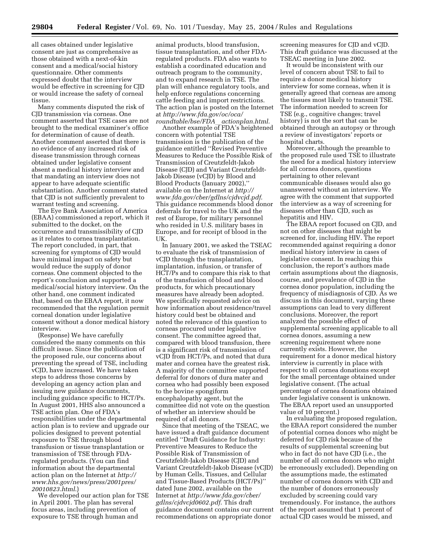all cases obtained under legislative consent are just as comprehensive as those obtained with a next-of-kin consent and a medical/social history questionnaire. Other comments expressed doubt that the interview would be effective in screening for CJD or would increase the safety of corneal tissue.

Many comments disputed the risk of CJD transmission via corneas. One comment asserted that TSE cases are not brought to the medical examiner's office for determination of cause of death. Another comment asserted that there is no evidence of any increased risk of disease transmission through corneas obtained under legislative consent absent a medical history interview and that mandating an interview does not appear to have adequate scientific substantiation. Another comment stated that CJD is not sufficiently prevalent to warrant testing and screening.

The Eye Bank Association of America (EBAA) commissioned a report, which it submitted to the docket, on the occurrence and transmissibility of CJD as it relates to cornea transplantation. The report concluded, in part, that screening for symptoms of CJD would have minimal impact on safety but would reduce the supply of donor corneas. One comment objected to the report's conclusion and supported a medical/social history interview. On the other hand, one comment indicated that, based on the EBAA report, it now recommended that the regulation permit corneal donation under legislative consent without a donor medical history interview.

(Response) We have carefully considered the many comments on this difficult issue. Since the publication of the proposed rule, our concerns about preventing the spread of TSE, including vCJD, have increased. We have taken steps to address those concerns by developing an agency action plan and issuing new guidance documents, including guidance specific to HCT/Ps. In August 2001, HHS also announced a TSE action plan. One of FDA's responsibilities under the departmental action plan is to review and upgrade our policies designed to prevent potential exposure to TSE through blood transfusion or tissue transplantation or transmission of TSE through FDAregulated products. (You can find information about the departmental action plan on the Internet at *http:// www.hhs.gov/news/press/2001pres/ 20010823.html*.)

We developed our action plan for TSE in April 2001. The plan has several focus areas, including prevention of exposure to TSE through human and

animal products, blood transfusion, tissue transplantation, and other FDAregulated products. FDA also wants to establish a coordinated education and outreach program to the community, and to expand research in TSE. The plan will enhance regulatory tools, and help enforce regulations concerning cattle feeding and import restrictions. The action plan is posted on the Internet at *http://www.fda.gov/oc/oca/*

*roundtable/bse/FDA*l*actionplan.html*. Another example of FDA's heightened concern with potential TSE transmission is the publication of the guidance entitled ''Revised Preventive Measures to Reduce the Possible Risk of Transmission of Creutzfeldt-Jakob Disease (CJD) and Variant Creutzfeldt-Jakob Disease (vCJD) by Blood and Blood Products (January 2002),'' available on the Internet at *http:// www.fda.gov/cber/gdlns/cjdvcjd.pdf*. This guidance recommends blood donor deferrals for travel to the UK and the rest of Europe, for military personnel who resided in U.S. military bases in Europe, and for receipt of blood in the UK.

In January 2001, we asked the TSEAC to evaluate the risk of transmission of vCJD through the transplantation, implantation, infusion, or transfer of HCT/Ps and to compare this risk to that of the transfusion of blood and blood products, for which precautionary measures have already been adopted. We specifically requested advice on how information about residence/travel history could best be obtained and noted the relevance of this question to corneas procured under legislative consent. The committee agreed that, compared with blood transfusion, there is a significant risk of transmission of vCJD from HCT/Ps, and noted that dura mater and cornea have the greatest risk. A majority of the committee supported deferral for donors of dura mater and cornea who had possibly been exposed to the bovine spongiform encephalopathy agent, but the committee did not vote on the question of whether an interview should be required of all donors.

Since that meeting of the TSEAC, we have issued a draft guidance document entitled ''Draft Guidance for Industry: Preventive Measures to Reduce the Possible Risk of Transmission of Creutzfeldt-Jakob Disease (CJD) and Variant Creutzfeldt-Jakob Disease (vCJD) by Human Cells, Tissues, and Cellular and Tissue-Based Products (HCT/Ps)'' dated June 2002, available on the Internet at *http://www.fda.gov/cber/ gdlns/cjdvcjd0602.pdf*. This draft guidance document contains our current recommendations on appropriate donor

screening measures for CJD and vCJD. This draft guidance was discussed at the TSEAC meeting in June 2002.

It would be inconsistent with our level of concern about TSE to fail to require a donor medical history interview for some corneas, when it is generally agreed that corneas are among the tissues most likely to transmit TSE. The information needed to screen for TSE (e.g., cognitive changes; travel history) is not the sort that can be obtained through an autopsy or through a review of investigators' reports or hospital charts.

Moreover, although the preamble to the proposed rule used TSE to illustrate the need for a medical history interview for all cornea donors, questions pertaining to other relevant communicable diseases would also go unanswered without an interview. We agree with the comment that supported the interview as a way of screening for diseases other than CJD, such as hepatitis and HIV.

The EBAA report focused on CJD, and not on other diseases that might be screened for, including HIV. The report recommended against requiring a donor medical history interview in cases of legislative consent. In reaching this conclusion, the report's authors made certain assumptions about the diagnosis, course, and prevalence of CJD in the cornea donor population, including the frequency of misdiagnosis of CJD. As we discuss in this document, varying these assumptions can lead to very different conclusions. Moreover, the report analyzed the possible effect of supplemental screening applicable to all cornea donors, assuming a new screening requirement where none currently exists. However, the requirement for a donor medical history interview is currently in place with respect to all cornea donations except for the small percentage obtained under legislative consent. (The actual percentage of cornea donations obtained under legislative consent is unknown. The EBAA report used an unsupported value of 10 percent.)

In evaluating the proposed regulation, the EBAA report considered the number of potential cornea donors who might be deferred for CJD risk because of the results of supplemental screening but who in fact do not have CJD (i.e., the number of all cornea donors who might be erroneously excluded). Depending on the assumptions made, the estimated number of cornea donors with CJD and the number of donors erroneously excluded by screening could vary tremendously. For instance, the authors of the report assumed that 1 percent of actual CJD cases would be missed, and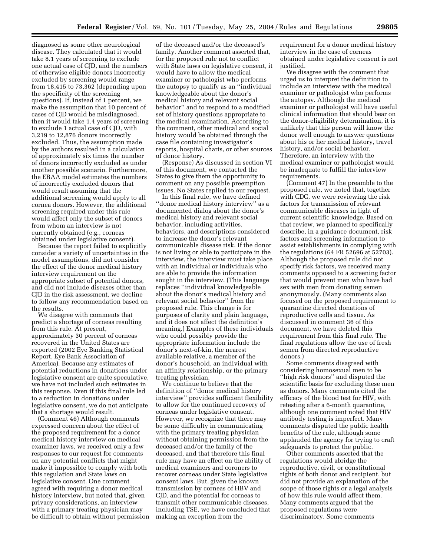diagnosed as some other neurological disease. They calculated that it would take 8.1 years of screening to exclude one actual case of CJD, and the numbers of otherwise eligible donors incorrectly excluded by screening would range from 18,415 to 73,362 (depending upon the specificity of the screening questions). If, instead of 1 percent, we make the assumption that 10 percent of cases of CJD would be misdiagnosed, then it would take 1.4 years of screening to exclude 1 actual case of CJD, with 3,219 to 12,876 donors incorrectly excluded. Thus, the assumption made by the authors resulted in a calculation of approximately six times the number of donors incorrectly excluded as under another possible scenario. Furthermore, the EBAA model estimates the numbers of incorrectly excluded donors that would result assuming that the additional screening would apply to all cornea donors. However, the additional screening required under this rule would affect only the subset of donors from whom an interview is not currently obtained (e.g., corneas obtained under legislative consent).

Because the report failed to explicitly consider a variety of uncertainties in the model assumptions, did not consider the effect of the donor medical history interview requirement on the appropriate subset of potential donors, and did not include diseases other than CJD in the risk assessment, we decline to follow any recommendation based on the results.

We disagree with comments that predict a shortage of corneas resulting from this rule. At present, approximately 30 percent of corneas recovered in the United States are exported (2002 Eye Banking Statistical Report, Eye Bank Association of America). Because any estimates of potential reductions in donations under legislative consent are quite speculative, we have not included such estimates in this response. Even if this final rule led to a reduction in donations under legislative consent, we do not anticipate that a shortage would result.

(Comment 46) Although comments expressed concern about the effect of the proposed requirement for a donor medical history interview on medical examiner laws, we received only a few responses to our request for comments on any potential conflicts that might make it impossible to comply with both this regulation and State laws on legislative consent. One comment agreed with requiring a donor medical history interview, but noted that, given privacy considerations, an interview with a primary treating physician may be difficult to obtain without permission

of the deceased and/or the deceased's family. Another comment asserted that, for the proposed rule not to conflict with State laws on legislative consent, it would have to allow the medical examiner or pathologist who performs the autopsy to qualify as an ''individual knowledgeable about the donor's medical history and relevant social behavior'' and to respond to a modified set of history questions appropriate to the medical examination. According to the comment, other medical and social history would be obtained through the case file containing investigator's reports, hospital charts, or other sources of donor history.

(Response) As discussed in section VI of this document, we contacted the States to give them the opportunity to comment on any possible preemption issues. No States replied to our request.

In this final rule, we have defined ''donor medical history interview'' as a documented dialog about the donor's medical history and relevant social behavior, including activities, behaviors, and descriptions considered to increase the donor's relevant communicable disease risk. If the donor is not living or able to participate in the interview, the interview must take place with an individual or individuals who are able to provide the information sought in the interview. (This language replaces ''individual knowledgeable about the donor's medical history and relevant social behavior'' from the proposed rule. This change is for purposes of clarity and plain language, and it does not affect the definition's meaning.) Examples of these individuals who could possibly provide the appropriate information include the donor's next-of-kin, the nearest available relative, a member of the donor's household, an individual with an affinity relationship, or the primary treating physician.

We continue to believe that the definition of ''donor medical history interview'' provides sufficient flexibility to allow for the continued recovery of corneas under legislative consent. However, we recognize that there may be some difficulty in communicating with the primary treating physician without obtaining permission from the deceased and/or the family of the deceased, and that therefore this final rule may have an effect on the ability of medical examiners and coroners to recover corneas under State legislative consent laws. But, given the known transmission by corneas of HBV and CJD, and the potential for corneas to transmit other communicable diseases, including TSE, we have concluded that making an exception from the

requirement for a donor medical history interview in the case of corneas obtained under legislative consent is not justified.

We disagree with the comment that urged us to interpret the definition to include an interview with the medical examiner or pathologist who performs the autopsy. Although the medical examiner or pathologist will have useful clinical information that should bear on the donor-eligibility determination, it is unlikely that this person will know the donor well enough to answer questions about his or her medical history, travel history, and/or social behavior. Therefore, an interview with the medical examiner or pathologist would be inadequate to fulfill the interview requirements.

(Comment 47) In the preamble to the proposed rule, we noted that, together with CDC, we were reviewing the risk factors for transmission of relevant communicable diseases in light of current scientific knowledge. Based on that review, we planned to specifically describe, in a guidance document, risk factors and screening information to assist establishments in complying with the regulations (64 FR 52696 at 52703). Although the proposed rule did not specify risk factors, we received many comments opposed to a screening factor that would prevent men who have had sex with men from donating semen anonymously. (Many comments also focused on the proposed requirement to quarantine directed donations of reproductive cells and tissue. As discussed in comment 36 of this document, we have deleted this requirement from this final rule. The final regulations allow the use of fresh semen from directed reproductive donors.)

Some comments disagreed with considering homosexual men to be ''high risk donors'' and disputed the scientific basis for excluding these men as donors. Many comments cited the efficacy of the blood test for HIV, with retesting after a 6-month quarantine, although one comment noted that HIV antibody testing is imperfect. Many comments disputed the public health benefits of the rule, although some applauded the agency for trying to craft safeguards to protect the public.

Other comments asserted that the regulations would abridge the reproductive, civil, or constitutional rights of both donor and recipient, but did not provide an explanation of the scope of those rights or a legal analysis of how this rule would affect them. Many comments argued that the proposed regulations were discriminatory. Some comments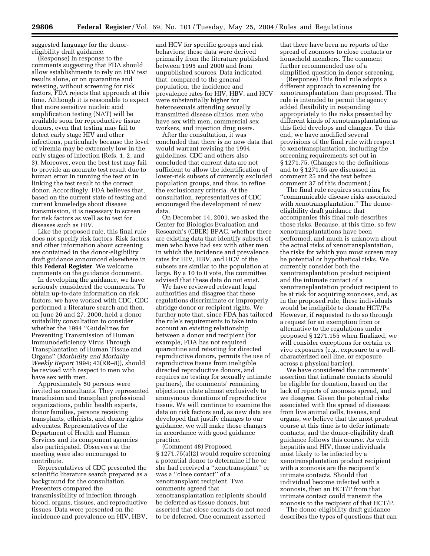suggested language for the donoreligibility draft guidance.

(Response) In response to the comments suggesting that FDA should allow establishments to rely on HIV test results alone, or on quarantine and retesting, without screening for risk factors, FDA rejects that approach at this time. Although it is reasonable to expect that more sensitive nucleic acid amplification testing (NAT) will be available soon for reproductive tissue donors, even that testing may fail to detect early stage HIV and other infections, particularly because the level of viremia may be extremely low in the early stages of infection (Refs. 1, 2, and 3). Moreover, even the best test may fail to provide an accurate test result due to human error in running the test or in linking the test result to the correct donor. Accordingly, FDA believes that, based on the current state of testing and current knowledge about disease transmission, it is necessary to screen for risk factors as well as to test for diseases such as HIV.

Like the proposed rule, this final rule does not specify risk factors. Risk factors and other information about screening are contained in the donor-eligibility draft guidance announced elsewhere in this **Federal Register**. We welcome comments on the guidance document.

In developing the guidance, we have seriously considered the comments. To obtain up-to-date information on risk factors, we have worked with CDC. CDC performed a literature search and then, on June 26 and 27, 2000, held a donor suitability consultation to consider whether the 1994 ''Guidelines for Preventing Transmission of Human Immunodeficiency Virus Through Transplantation of Human Tissue and Organs'' (*Morbidity and Mortality Weekly Report* 1994; 43(RR–8)), should be revised with respect to men who have sex with men.

Approximately 50 persons were invited as consultants. They represented transfusion and transplant professional organizations, public health experts, donor families, persons receiving transplants, ethicists, and donor rights advocates. Representatives of the Department of Health and Human Services and its component agencies also participated. Observers at the meeting were also encouraged to contribute.

Representatives of CDC presented the scientific literature search prepared as a background for the consultation. Presenters compared the transmissibility of infection through blood, organs, tissues, and reproductive tissues. Data were presented on the incidence and prevalence on HIV, HBV, and HCV for specific groups and risk behaviors; these data were derived primarily from the literature published between 1995 and 2000 and from unpublished sources. Data indicated that, compared to the general population, the incidence and prevalence rates for HIV, HBV, and HCV were substantially higher for heterosexuals attending sexually transmitted disease clinics, men who have sex with men, commercial sex workers, and injection drug users.

After the consultation, it was concluded that there is no new data that would warrant revising the 1994 guidelines. CDC and others also concluded that current data are not sufficient to allow the identification of lower-risk subsets of currently excluded population groups, and thus, to refine the exclusionary criteria. At the consultation, representatives of CDC encouraged the development of new data.

On December 14, 2001, we asked the Center for Biologics Evaluation and Research's (CBER) BPAC, whether there are existing data that identify subsets of men who have had sex with other men in which the incidence and prevalence rates for HIV, HBV, and HCV of the subsets are similar to the population at large. By a 10 to 0 vote, the committee advised that these data do not exist.

We have reviewed relevant legal authorities and disagree that these regulations discriminate or improperly abridge donor or recipient rights. We further note that, since FDA has tailored the rule's requirements to take into account an existing relationship between a donor and recipient (for example, FDA has not required quarantine and retesting for directed reproductive donors, permits the use of reproductive tissue from ineligible directed reproductive donors, and requires no testing for sexually intimate partners), the comments' remaining objections relate almost exclusively to anonymous donations of reproductive tissue. We will continue to examine the data on risk factors and, as new data are developed that justify changes to our guidance, we will make those changes in accordance with good guidance practice.

(Comment 48) Proposed § 1271.75(a)(2) would require screening a potential donor to determine if he or she had received a ''xenotransplant'' or was a ''close contact'' of a xenotransplant recipient. Two comments agreed that xenotransplantation recipients should be deferred as tissue donors, but asserted that close contacts do not need to be deferred. One comment asserted

that there have been no reports of the spread of zoonoses to close contacts or household members. The comment further recommended use of a simplified question in donor screening.

(Response) This final rule adopts a different approach to screening for xenotransplantation than proposed. The rule is intended to permit the agency added flexibility in responding appropriately to the risks presented by different kinds of xenotransplantation as this field develops and changes. To this end, we have modified several provisions of the final rule with respect to xenotransplantation, including the screening requirements set out in § 1271.75. (Changes to the definitions and to § 1271.65 are discussed in comment 25 and the text before comment 37 of this document.)

The final rule requires screening for ''communicable disease risks associated with xenotransplantation.'' The donoreligibility draft guidance that accompanies this final rule describes those risks. Because, at this time, so few xenotransplantations have been performed, and much is unknown about the actual risks of xenotransplantation, the risks for which you must screen may be potential or hypothetical risks. We currently consider both the xenotransplantation product recipient and the intimate contact of a xenotransplantation product recipient to be at risk for acquiring zoonoses, and, as in the proposed rule, these individuals would be ineligible to donate HCT/Ps. However, if requested to do so through a request for an exemption from or alternative to the regulations under proposed § 1271.155 when finalized, we will consider exceptions for certain ex vivo exposures (e.g., exposure to a wellcharacterized cell line, or exposure across a physical barrier).

We have considered the comments' assertion that intimate contacts should be eligible for donation, based on the lack of reports of zoonosis spread, and we disagree. Given the potential risks associated with the spread of diseases from live animal cells, tissues, and organs, we believe that the most prudent course at this time is to defer intimate contacts, and the donor-eligibility draft guidance follows this course. As with hepatitis and HIV, those individuals most likely to be infected by a xenotransplantation product recipient with a zoonosis are the recipient's intimate contacts. Should that individual become infected with a zoonosis, then an HCT/P from that intimate contact could transmit the zoonosis to the recipient of that HCT/P.

The donor-eligibility draft guidance describes the types of questions that can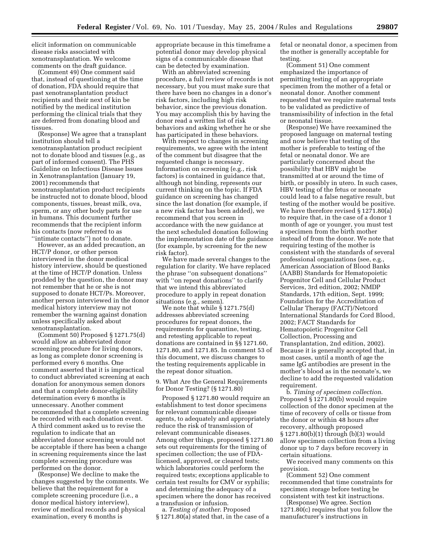elicit information on communicable disease risks associated with xenotransplantation. We welcome comments on the draft guidance.

(Comment 49) One comment said that, instead of questioning at the time of donation, FDA should require that past xenotransplantation product recipients and their next of kin be notified by the medical institution performing the clinical trials that they are deferred from donating blood and tissues.

(Response) We agree that a transplant institution should tell a xenotransplantation product recipient not to donate blood and tissues (e.g., as part of informed consent). The PHS Guideline on Infectious Disease Issues in Xenotransplantation (January 19, 2001) recommends that xenotransplantation product recipients be instructed not to donate blood, blood components, tissues, breast milk, ova, sperm, or any other body parts for use in humans. This document further recommends that the recipient inform his contacts (now referred to as ''intimate contacts'') not to donate.

However, as an added precaution, an HCT/P donor, or other person interviewed in the donor medical history interview, should be questioned at the time of HCT/P donation. Unless prodded by the question, the donor may not remember that he or she is not supposed to donate HCT/Ps. Moreover, another person interviewed in the donor medical history interview may not remember the warning against donation unless specifically asked about xenotransplantation.

(Comment 50) Proposed § 1271.75(d) would allow an abbreviated donor screening procedure for living donors, as long as complete donor screening is performed every 6 months. One comment asserted that it is impractical to conduct abbreviated screening at each donation for anonymous semen donors and that a complete donor-eligibility determination every 6 months is unnecessary. Another comment recommended that a complete screening be recorded with each donation event. A third comment asked us to revise the regulation to indicate that an abbreviated donor screening would not be acceptable if there has been a change in screening requirements since the last complete screening procedure was performed on the donor.

(Response) We decline to make the changes suggested by the comments. We believe that the requirement for a complete screening procedure (i.e., a donor medical history interview), review of medical records and physical examination, every 6 months is

appropriate because in this timeframe a potential donor may develop physical signs of a communicable disease that can be detected by examination.

With an abbreviated screening procedure, a full review of records is not necessary, but you must make sure that there have been no changes in a donor's risk factors, including high risk behavior, since the previous donation. You may accomplish this by having the donor read a written list of risk behaviors and asking whether he or she has participated in these behaviors.

With respect to changes in screening requirements, we agree with the intent of the comment but disagree that the requested change is necessary. Information on screening (e.g., risk factors) is contained in guidance that, although not binding, represents our current thinking on the topic. If FDA guidance on screening has changed since the last donation (for example, if a new risk factor has been added), we recommend that you screen in accordance with the new guidance at the next scheduled donation following the implementation date of the guidance (for example, by screening for the new risk factor).

We have made several changes to the regulation for clarity. We have replaced the phrase ''on subsequent donations'' with ''on repeat donations'' to clarify that we intend this abbreviated procedure to apply in repeat donation situations (e.g., semen).

We note that while § 1271.75(d) addresses abbreviated screening procedures for repeat donors, the requirements for quarantine, testing, and retesting applicable to repeat donations are contained in §§ 1271.60, 1271.80, and 1271.85. In comment 53 of this document, we discuss changes to the testing requirements applicable in the repeat donor situation.

9. What Are the General Requirements for Donor Testing? (§ 1271.80)

Proposed § 1271.80 would require an establishment to test donor specimens for relevant communicable disease agents, to adequately and appropriately reduce the risk of transmission of relevant communicable diseases. Among other things, proposed § 1271.80 sets out requirements for the timing of specimen collection; the use of FDAlicensed, approved, or cleared tests; which laboratories could perform the required tests; exceptions applicable to certain test results for CMV or syphilis; and determining the adequacy of a specimen where the donor has received a transfusion or infusion.

a. *Testing of mother*. Proposed § 1271.80(a) stated that, in the case of a fetal or neonatal donor, a specimen from the mother is generally acceptable for testing.

(Comment 51) One comment emphasized the importance of permitting testing of an appropriate specimen from the mother of a fetal or neonatal donor. Another comment requested that we require maternal tests to be validated as predictive of transmissibility of infection in the fetal or neonatal tissue.

(Response) We have reexamined the proposed language on maternal testing and now believe that testing of the mother is preferable to testing of the fetal or neonatal donor. We are particularly concerned about the possibility that HBV might be transmitted at or around the time of birth, or possibly in utero. In such cases, HBV testing of the fetus or neonate could lead to a false negative result, but testing of the mother would be positive. We have therefore revised § 1271.80(a) to require that, in the case of a donor 1 month of age or younger, you must test a specimen from the birth mother instead of from the donor. We note that requiring testing of the mother is consistent with the standards of several professional organizations (see, e.g., American Association of Blood Banks (AABB) Standards for Hematopoietic Progenitor Cell and Cellular Product Services, 3rd edition, 2002; NMDP Standards, 17th edition, Sept. 1999; Foundation for the Accreditation of Cellular Therapy (FACT)/Netcord International Standards for Cord Blood, 2002; FACT Standards for Hematopoietic Progenitor Cell Collection, Processing and Transplantation, 2nd edition, 2002). Because it is generally accepted that, in most cases, until a month of age the same IgG antibodies are present in the mother's blood as in the neonate's, we decline to add the requested validation requirement.

b. *Timing of specimen collection*. Proposed § 1271.80(b) would require collection of the donor specimen at the time of recovery of cells or tissue from the donor or within 48 hours after recovery, although proposed § 1271.80(b)(1) through (b)(3) would allow specimen collection from a living donor up to 7 days before recovery in certain situations.

We received many comments on this provision.

(Comment 52) One comment recommended that time constraints for specimen storage before testing be consistent with test kit instructions.

(Response) We agree. Section 1271.80(c) requires that you follow the manufacturer's instructions in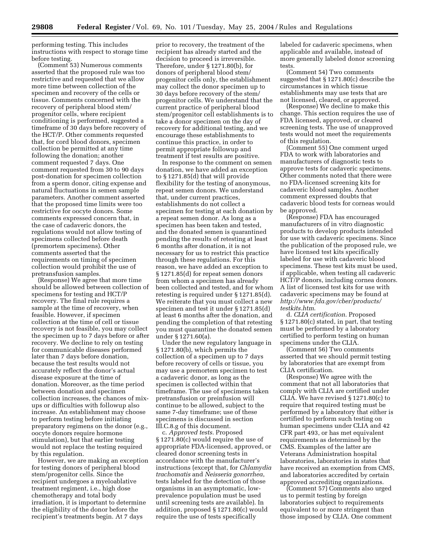performing testing. This includes instructions with respect to storage time before testing.

(Comment 53) Numerous comments asserted that the proposed rule was too restrictive and requested that we allow more time between collection of the specimen and recovery of the cells or tissue. Comments concerned with the recovery of peripheral blood stem/ progenitor cells, where recipient conditioning is performed, suggested a timeframe of 30 days before recovery of the HCT/P. Other comments requested that, for cord blood donors, specimen collection be permitted at any time following the donation; another comment requested 7 days. One comment requested from 30 to 90 days post-donation for specimen collection from a sperm donor, citing expense and natural fluctuations in semen sample parameters. Another comment asserted that the proposed time limits were too restrictive for oocyte donors. Some comments expressed concern that, in the case of cadaveric donors, the regulations would not allow testing of specimens collected before death (premortem specimens). Other comments asserted that the requirements on timing of specimen collection would prohibit the use of pretransfusion samples.

(Response) We agree that more time should be allowed between collection of specimens for testing and HCT/P recovery. The final rule requires a sample at the time of recovery, when feasible. However, if specimen collection at the time of cell or tissue recovery is not feasible, you may collect the specimen up to 7 days before or after recovery. We decline to rely on testing for communicable diseases performed later than 7 days before donation, because the test results would not accurately reflect the donor's actual disease exposure at the time of donation. Moreover, as the time period between donation and specimen collection increases, the chances of mixups or difficulties with followup also increase. An establishment may choose to perform testing before initiating preparatory regimens on the donor (e.g., oocyte donors require hormone stimulation), but that earlier testing would not replace the testing required by this regulation.

However, we are making an exception for testing donors of peripheral blood stem/progenitor cells. Since the recipient undergoes a myeloablative treatment regiment, i.e., high dose chemotherapy and total body irradiation, it is important to determine the eligibility of the donor before the recipient's treatments begin. At 7 days

prior to recovery, the treatment of the recipient has already started and the decision to proceed is irreversible. Therefore, under § 1271.80(b), for donors of peripheral blood stem/ progenitor cells only, the establishment may collect the donor specimen up to 30 days before recovery of the stem/ progenitor cells. We understand that the current practice of peripheral blood stem/progenitor cell establishments is to take a donor specimen on the day of recovery for additional testing, and we encourage these establishments to continue this practice, in order to permit appropriate followup and treatment if test results are positive.

In response to the comment on semen donation, we have added an exception to § 1271.85(d) that will provide flexibility for the testing of anonymous, repeat semen donors. We understand that, under current practices, establishments do not collect a specimen for testing at each donation by a repeat semen donor. As long as a specimen has been taken and tested, and the donated semen is quarantined pending the results of retesting at least 6 months after donation, it is not necessary for us to restrict this practice through these regulations. For this reason, we have added an exception to § 1271.85(d) for repeat semen donors from whom a specimen has already been collected and tested, and for whom retesting is required under § 1271.85(d). We reiterate that you must collect a new specimen and test it under § 1271.85(d) at least 6 months after the donation, and pending the completion of that retesting you must quarantine the donated semen under § 1271.60(a).

Under the new regulatory language in § 1271.80(b), which permits the collection of a specimen up to 7 days before recovery of cells or tissue, you may use a premortem specimen to test a cadaveric donor, as long as the specimen is collected within that timeframe. The use of specimens taken pretransfusion or preinfusion will continue to be allowed, subject to the same 7-day timeframe; use of these specimens is discussed in section III.C.8.g of this document.

c. *Approved tests*. Proposed § 1271.80(c) would require the use of appropriate FDA-licensed, approved, or cleared donor screening tests in accordance with the manufacturer's instructions (except that, for *Chlamydia trachomatis* and *Neisseria gonorrhea*, tests labeled for the detection of those organisms in an asymptomatic, lowprevalence population must be used until screening tests are available). In addition, proposed § 1271.80(c) would require the use of tests specifically

labeled for cadaveric specimens, when applicable and available, instead of more generally labeled donor screening tests.

(Comment 54) Two comments suggested that § 1271.80(c) describe the circumstances in which tissue establishments may use tests that are not licensed, cleared, or approved.

(Response) We decline to make this change. This section requires the use of FDA licensed, approved, or cleared screening tests. The use of unapproved tests would not meet the requirements of this regulation.

(Comment 55) One comment urged FDA to work with laboratories and manufacturers of diagnostic tests to approve tests for cadaveric specimens. Other comments noted that there were no FDA-licensed screening kits for cadaveric blood samples. Another comment expressed doubts that cadaveric blood tests for corneas would be approved.

(Response) FDA has encouraged manufacturers of in vitro diagnostic products to develop products intended for use with cadaveric specimens. Since the publication of the proposed rule, we have licensed test kits specifically labeled for use with cadaveric blood specimens. These test kits must be used, if applicable, when testing all cadaveric HCT/P donors, including cornea donors. A list of licensed test kits for use with cadaveric specimens may be found at *http://www.fda.gov/cber/products/ testkits.htm*.

d. *CLIA certification*. Proposed § 1271.80(c) stated, in part, that testing must be performed by a laboratory certified to perform testing on human specimens under the CLIA.

(Comment 56) Two comments asserted that we should permit testing by laboratories that are exempt from CLIA certification.

(Response) We agree with the comment that not all laboratories that comply with CLIA are certified under CLIA. We have revised § 1271.80(c) to require that required testing must be performed by a laboratory that either is certified to perform such testing on human specimens under CLIA and 42 CFR part 493, or has met equivalent requirements as determined by the CMS. Examples of the latter are Veterans Administration hospital laboratories, laboratories in states that have received an exemption from CMS, and laboratories accredited by certain approved accrediting organizations.

(Comment 57) Comments also urged us to permit testing by foreign laboratories subject to requirements equivalent to or more stringent than those imposed by CLIA. One comment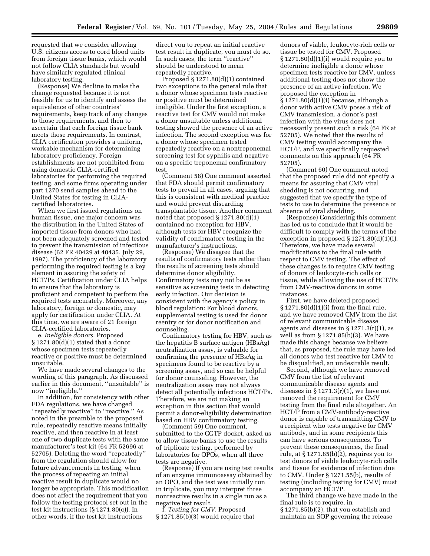requested that we consider allowing U.S. citizens access to cord blood units from foreign tissue banks, which would not follow CLIA standards but would have similarly regulated clinical laboratory testing.

(Response) We decline to make the change requested because it is not feasible for us to identify and assess the equivalence of other countries' requirements, keep track of any changes to those requirements, and then to ascertain that each foreign tissue bank meets those requirements. In contrast, CLIA certification provides a uniform, workable mechanism for determining laboratory proficiency. Foreign establishments are not prohibited from using domestic CLIA-certified laboratories for performing the required testing, and some firms operating under part 1270 send samples ahead to the United States for testing in CLIAcertified laboratories.

When we first issued regulations on human tissue, one major concern was the distribution in the United States of imported tissue from donors who had not been adequately screened and tested to prevent the transmission of infectious disease (62 FR 40429 at 40435, July 29, 1997). The proficiency of the laboratory performing the required testing is a key element in assuring the safety of HCT/Ps. Certification under CLIA helps to ensure that the laboratory is proficient and competent to perform the required tests accurately. Moreover, any laboratory, foreign or domestic, may apply for certification under CLIA. At this time, we are aware of 21 foreign CLIA-certified laboratories.

e. *Ineligible donors*. Proposed § 1271.80(d)(1) stated that a donor whose specimen tests repeatedly reactive or positive must be determined unsuitable.

We have made several changes to the wording of this paragraph. As discussed earlier in this document, ''unsuitable'' is now ''ineligible.''

In addition, for consistency with other FDA regulations, we have changed ''repeatedly reactive'' to ''reactive.'' As noted in the preamble to the proposed rule, repeatedly reactive means initially reactive, and then reactive in at least one of two duplicate tests with the same manufacturer's test kit (64 FR 52696 at 52705). Deleting the word ''repeatedly'' from the regulation should allow for future advancements in testing, when the process of repeating an initial reactive result in duplicate would no longer be appropriate. This modification does not affect the requirement that you follow the testing protocol set out in the test kit instructions (§ 1271.80(c)). In other words, if the test kit instructions

direct you to repeat an initial reactive test result in duplicate, you must do so. In such cases, the term ''reactive'' should be understood to mean repeatedly reactive.

Proposed § 1271.80(d)(1) contained two exceptions to the general rule that a donor whose specimen tests reactive or positive must be determined ineligible. Under the first exception, a reactive test for CMV would not make a donor unsuitable unless additional testing showed the presence of an active infection. The second exception was for a donor whose specimen tested repeatedly reactive on a nontreponemal screening test for syphilis and negative on a specific treponemal confirmatory test.

(Comment 58) One comment asserted that FDA should permit confirmatory tests to prevail in all cases, arguing that this is consistent with medical practice and would prevent discarding transplantable tissue. Another comment noted that proposed § 1271.80(d)(1) contained no exception for HBV, although tests for HBV recognize the validity of confirmatory testing in the manufacturer's instructions.

(Response) We disagree that the results of confirmatory tests rather than the results of screening tests should determine donor eligibility. Confirmatory tests may not be as sensitive as screening tests in detecting early infection. Our decision is consistent with the agency's policy in blood regulation: For blood donors, supplemental testing is used for donor reentry or for donor notification and counseling.

Confirmatory testing for HBV, such as the hepatitis B surface antigen (HBsAg) neutralization assay, is valuable for confirming the presence of HBsAg in specimens found to be reactive by a screening assay, and so can be helpful for donor counseling. However, the neutralization assay may not always detect all potentially infectious HCT/Ps. Therefore, we are not making an exception in this section that would permit a donor-eligibility determination based on HBV confirmatory testing.

(Comment 59) One comment, submitted to the CGTP docket, asked us to allow tissue banks to use the results of triplicate testing, performed by laboratories for OPOs, when all three tests are negative.

(Response) If you are using test results of an enzyme immunoassay obtained by an OPO, and the test was initially run in triplicate, you may interpret three nonreactive results in a single run as a negative test result.

f. *Testing for CMV*. Proposed § 1271.85(b)(3) would require that

donors of viable, leukocyte-rich cells or tissue be tested for CMV. Proposed § 1271.80(d)(1)(i) would require you to determine ineligible a donor whose specimen tests reactive for CMV, unless additional testing does not show the presence of an active infection. We proposed the exception in § 1271.80(d)(1)(i) because, although a donor with active CMV poses a risk of CMV transmission, a donor's past infection with the virus does not necessarily present such a risk (64 FR at 52705). We noted that the results of CMV testing would accompany the HCT/P, and we specifically requested comments on this approach (64 FR 52705).

(Comment 60) One comment noted that the proposed rule did not specify a means for assuring that CMV viral shedding is not occurring, and suggested that we specify the type of tests to use to determine the presence or absence of viral shedding.

(Response) Considering this comment has led us to conclude that it would be difficult to comply with the terms of the exception in proposed § 1271.80(d)(1)(i). Therefore, we have made several modifications to the final rule with respect to CMV testing. The effect of these changes is to require CMV testing of donors of leukocyte-rich cells or tissue, while allowing the use of HCT/Ps from CMV-reactive donors in some instances.

First, we have deleted proposed § 1271.80(d)(1)(i) from the final rule, and we have removed CMV from the list of relevant communicable disease agents and diseases in § 1271.3(r)(1), as well as from § 1271.85(b)(3). We have made this change because we believe that, as proposed, the rule may have led all donors who test reactive for CMV to be disqualified, an undesirable result.

Second, although we have removed CMV from the list of relevant communicable disease agents and diseases in  $\S 1271.3(r)(1)$ , we have not removed the requirement for CMV testing from the final rule altogether. An HCT/P from a CMV-antibody-reactive donor is capable of transmitting CMV to a recipient who tests negative for CMV antibody, and in some recipients this can have serious consequences. To prevent these consequences, the final rule, at § 1271.85(b)(2), requires you to test donors of viable leukocyte-rich cells and tissue for evidence of infection due to CMV. Under § 1271.55(b), results of testing (including testing for CMV) must accompany an HCT/P.

The third change we have made in the final rule is to require, in § 1271.85(b)(2), that you establish and maintain an SOP governing the release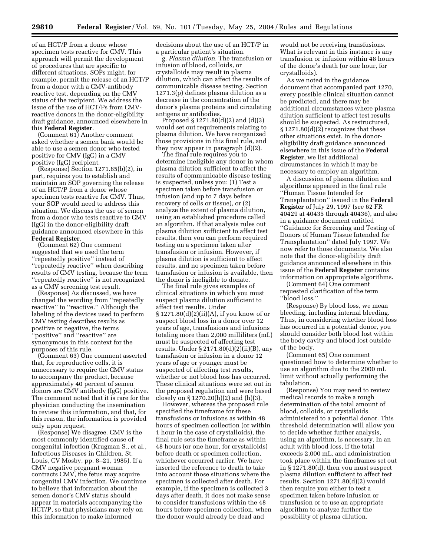of an HCT/P from a donor whose specimen tests reactive for CMV. This approach will permit the development of procedures that are specific to different situations. SOPs might, for example, permit the release of an HCT/P from a donor with a CMV-antibody reactive test, depending on the CMV status of the recipient. We address the issue of the use of HCT/Ps from CMVreactive donors in the donor-eligibility draft guidance, announced elsewhere in this **Federal Register**.

(Comment 61) Another comment asked whether a semen bank would be able to use a semen donor who tested positive for CMV (IgG) in a CMV positive (IgG) recipient.

(Response) Section 1271.85(b)(2), in part, requires you to establish and maintain an SOP governing the release of an HCT/P from a donor whose specimen tests reactive for CMV. Thus, your SOP would need to address this situation. We discuss the use of semen from a donor who tests reactive to CMV (IgG) in the donor-eligibility draft guidance announced elsewhere in this **Federal Register**.

(Comment 62) One comment suggested that we used the term ''repeatedly positive'' instead of ''repeatedly reactive'' when describing results of CMV testing, because the term ''repeatedly reactive'' is not recognized as a CMV screening test result.

(Response) As discussed, we have changed the wording from ''repeatedly reactive'' to ''reactive.'' Although the labeling of the devices used to perform CMV testing describes results as positive or negative, the terms ''positive'' and ''reactive'' are synonymous in this context for the purposes of this rule.

(Comment 63) One comment asserted that, for reproductive cells, it is unnecessary to require the CMV status to accompany the product, because approximately 40 percent of semen donors are CMV antibody (IgG) positive. The comment noted that it is rare for the physician conducting the insemination to review this information, and that, for this reason, the information is provided only upon request.

(Response) We disagree. CMV is the most commonly identified cause of congenital infection (Krugman S., et al., Infectious Diseases in Children, St. Louis, CV Mosby, pp. 8–21, 1985). If a CMV negative pregnant woman contracts CMV, the fetus may acquire congenital CMV infection. We continue to believe that information about the semen donor's CMV status should appear in materials accompanying the HCT/P, so that physicians may rely on this information to make informed

decisions about the use of an HCT/P in a particular patient's situation.

g. *Plasma dilution*. The transfusion or infusion of blood, colloids, or crystalloids may result in plasma dilution, which can affect the results of communicable disease testing. Section 1271.3(p) defines plasma dilution as a decrease in the concentration of the donor's plasma proteins and circulating antigens or antibodies.

Proposed § 1271.80(d)(2) and (d)(3) would set out requirements relating to plasma dilution. We have reorganized those provisions in this final rule, and they now appear in paragraph (d)(2).

The final rule requires you to determine ineligible any donor in whom plasma dilution sufficient to affect the results of communicable disease testing is suspected, unless you: (1) Test a specimen taken before transfusion or infusion (and up to 7 days before recovery of cells or tissue), or (2) analyze the extent of plasma dilution, using an established procedure called an algorithm. If that analysis rules out plasma dilution sufficient to affect test results, then you can perform required testing on a specimen taken after transfusion or infusion. However, if plasma dilution is sufficient to affect results, and no specimen taken before transfusion or infusion is available, then the donor is ineligible to donate.

The final rule gives examples of clinical situations in which you must suspect plasma dilution sufficient to affect test results. Under § 1271.80(d)(2)(ii)(A), if you know of or suspect blood loss in a donor over 12 years of age, transfusions and infusions totaling more than 2,000 milliliters (mL) must be suspected of affecting test results. Under § 2171.80(d)(2)(ii)(B), any transfusion or infusion in a donor 12 years of age or younger must be suspected of affecting test results, whether or not blood loss has occurred. These clinical situations were set out in the proposed regulation and were based closely on  $\S 1270.20(h)(2)$  and  $(h)(3)$ .

However, whereas the proposed rule specified the timeframe for these transfusions or infusions as within 48 hours of specimen collection (or within 1 hour in the case of crystalloids), the final rule sets the timeframe as within 48 hours (or one hour, for crystalloids) before death or specimen collection, whichever occurred earlier. We have inserted the reference to death to take into account those situations where the specimen is collected after death. For example, if the specimen is collected 3 days after death, it does not make sense to consider transfusions within the 48 hours before specimen collection, when the donor would already be dead and

would not be receiving transfusions. What is relevant in this instance is any transfusion or infusion within 48 hours of the donor's death (or one hour, for crystalloids).

As we noted in the guidance document that accompanied part 1270, every possible clinical situation cannot be predicted, and there may be additional circumstances where plasma dilution sufficient to affect test results should be suspected. As restructured, § 1271.80(d)(2) recognizes that these other situations exist. In the donoreligibility draft guidance announced elsewhere in this issue of the **Federal Register**, we list additional circumstances in which it may be necessary to employ an algorithm.

A discussion of plasma dilution and algorithms appeared in the final rule ''Human Tissue Intended for Transplantation'' issued in the **Federal Register** of July 29, 1997 (see 62 FR 40429 at 40435 through 40436), and also in a guidance document entitled ''Guidance for Screening and Testing of Donors of Human Tissue Intended for Transplantation'' dated July 1997. We now refer to those documents. We also note that the donor-eligibility draft guidance announced elsewhere in this issue of the **Federal Register** contains information on appropriate algorithms.

(Comment 64) One comment requested clarification of the term ''blood loss.''

(Response) By blood loss, we mean bleeding, including internal bleeding. Thus, in considering whether blood loss has occurred in a potential donor, you should consider both blood lost within the body cavity and blood lost outside of the body.

(Comment 65) One comment questioned how to determine whether to use an algorithm due to the 2000 mL limit without actually performing the tabulation.

(Response) You may need to review medical records to make a rough determination of the total amount of blood, colloids, or crystalloids administered to a potential donor. This threshold determination will allow you to decide whether further analysis, using an algorithm, is necessary. In an adult with blood loss, if the total exceeds 2,000 mL, and administration took place within the timeframes set out in § 1271.80(d), then you must suspect plasma dilution sufficient to affect test results. Section 1271.80(d)(2) would then require you either to test a specimen taken before infusion or transfusion or to use an appropriate algorithm to analyze further the possibility of plasma dilution.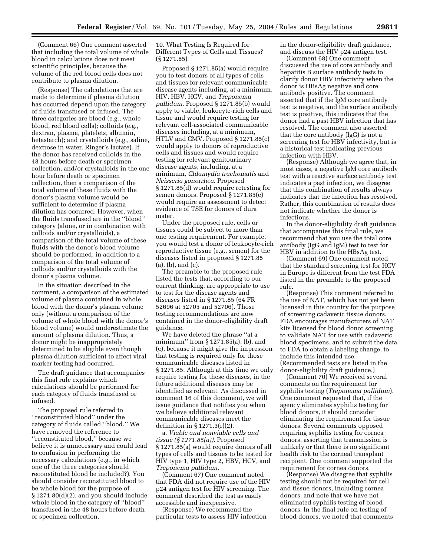(Comment 66) One comment asserted that including the total volume of whole blood in calculations does not meet scientific principles, because the volume of the red blood cells does not contribute to plasma dilution.

(Response) The calculations that are made to determine if plasma dilution has occurred depend upon the category of fluids transfused or infused. The three categories are blood (e.g., whole blood, red blood cells); colloids (e.g., dextran, plasma, platelets, albumin, hetastarch); and crystalloids (e.g., saline, dextrose in water, Ringer's lactate). If the donor has received colloids in the 48 hours before death or specimen collection, and/or crystalloids in the one hour before death or specimen collection, then a comparison of the total volume of these fluids with the donor's plasma volume would be sufficient to determine if plasma dilution has occurred. However, when the fluids transfused are in the ''blood'' category (alone, or in combination with colloids and/or crystalloids), a comparison of the total volume of these fluids with the donor's blood volume should be performed, in addition to a comparison of the total volume of colloids and/or crystalloids with the donor's plasma volume.

In the situation described in the comment, a comparison of the estimated volume of plasma contained in whole blood with the donor's plasma volume only (without a comparison of the volume of whole blood with the donor's blood volume) would underestimate the amount of plasma dilution. Thus, a donor might be inappropriately determined to be eligible even though plasma dilution sufficient to affect viral marker testing had occurred.

The draft guidance that accompanies this final rule explains which calculations should be performed for each category of fluids transfused or infused.

The proposed rule referred to ''reconstituted blood'' under the category of fluids called ''blood.'' We have removed the reference to ''reconstituted blood,'' because we believe it is unnecessary and could lead to confusion in performing the necessary calculations (e.g., in which one of the three categories should reconstituted blood be included?). You should consider reconstituted blood to be whole blood for the purpose of § 1271.80(d)(2), and you should include whole blood in the category of ''blood'' transfused in the 48 hours before death or specimen collection.

10. What Testing Is Required for Different Types of Cells and Tissues? (§ 1271.85)

Proposed § 1271.85(a) would require you to test donors of all types of cells and tissues for relevant communicable disease agents including, at a minimum, HIV, HBV, HCV, and *Treponema pallidum*. Proposed § 1271.85(b) would apply to viable, leukocyte-rich cells and tissue and would require testing for relevant cell-associated communicable diseases including, at a minimum, HTLV and CMV. Proposed § 1271.85(c) would apply to donors of reproductive cells and tissues and would require testing for relevant genitourinary disease agents, including, at a minimum, *Chlamydia trachomatis* and *Neisseria gonorrhea*. Proposed § 1271.85(d) would require retesting for semen donors. Proposed § 1271.85(e) would require an assessment to detect evidence of TSE for donors of dura mater.

Under the proposed rule, cells or tissues could be subject to more than one testing requirement. For example, you would test a donor of leukocyte-rich reproductive tissue (e.g., semen) for the diseases listed in proposed § 1271.85 (a), (b), and (c).

The preamble to the proposed rule listed the tests that, according to our current thinking, are appropriate to use to test for the disease agents and diseases listed in § 1271.85 (64 FR 52696 at 52705 and 52706). Those testing recommendations are now contained in the donor-eligibility draft guidance.

We have deleted the phrase ''at a minimum'' from § 1271.85(a), (b), and (c), because it might give the impression that testing is required only for those communicable diseases listed in § 1271.85. Although at this time we only require testing for these diseases, in the future additional diseases may be identified as relevant. As discussed in comment 16 of this document, we will issue guidance that notifies you when we believe additional relevant communicable diseases meet the definition in § 1271.3(r)(2).

a. *Viable and nonviable cells and tissue (§ 1271.85(a))*. Proposed § 1271.85(a) would require donors of all types of cells and tissues to be tested for HIV type 1, HIV type 2, HBV, HCV, and *Treponema pallidum*.

(Comment 67) One comment noted that FDA did not require use of the HIV p24 antigen test for HIV screening. The comment described the test as easily accessible and inexpensive.

(Response) We recommend the particular tests to assess HIV infection in the donor-eligibility draft guidance, and discuss the HIV p24 antigen test.

(Comment 68) One comment discussed the use of core antibody and hepatitis B surface antibody tests to clarify donor HBV infectivity when the donor is HBsAg negative and core antibody positive. The comment asserted that if the IgM core antibody test is negative, and the surface antibody test is positive, this indicates that the donor had a past HBV infection that has resolved. The comment also asserted that the core antibody (IgG) is not a screening test for HBV infectivity, but is a historical test indicating previous infection with HBV.

(Response) Although we agree that, in most cases, a negative IgM core antibody test with a reactive surface antibody test indicates a past infection, we disagree that this combination of results always indicates that the infection has resolved. Rather, this combination of results does not indicate whether the donor is infectious.

In the donor-eligibility draft guidance that accompanies this final rule, we recommend that you use the total core antibody (IgG and IgM) test to test for HBV in addition to the HBsAg test.

(Comment 69) One comment noted that the standard screening test for HCV in Europe is different from the test FDA listed in the preamble to the proposed rule.

(Response) This comment referred to the use of NAT, which has not yet been licensed in this country for the purpose of screening cadaveric tissue donors. FDA encourages manufacturers of NAT kits licensed for blood donor screening to validate NAT for use with cadaveric blood specimens, and to submit the data to FDA to obtain a labeling change, to include this intended use. (Recommended tests are listed in the donor-eligibility draft guidance.)

(Comment 70) We received several comments on the requirement for syphilis testing (*Treponema pallidum*). One comment requested that, if the agency eliminates syphilis testing for blood donors, it should consider eliminating the requirement for tissue donors. Several comments opposed requiring syphilis testing for cornea donors, asserting that transmission is unlikely or that there is no significant health risk to the corneal transplant recipient. One comment supported the requirement for cornea donors.

(Response) We disagree that syphilis testing should not be required for cell and tissue donors, including cornea donors, and note that we have not eliminated syphilis testing of blood donors. In the final rule on testing of blood donors, we noted that comments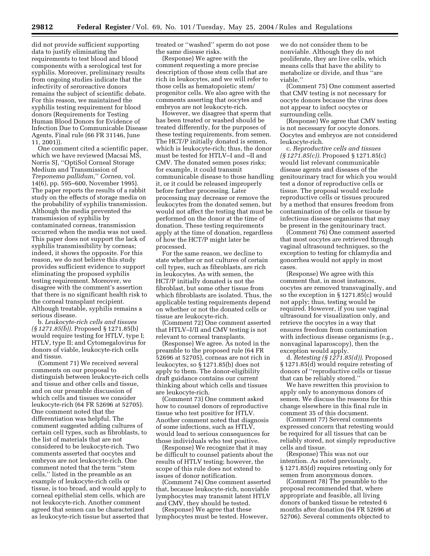did not provide sufficient supporting data to justify eliminating the requirements to test blood and blood components with a serological test for syphilis. Moreover, preliminary results from ongoing studies indicate that the infectivity of seroreactive donors remains the subject of scientific debate. For this reason, we maintained the syphilis testing requirement for blood donors (Requirements for Testing Human Blood Donors for Evidence of Infection Due to Communicable Disease Agents, Final rule (66 FR 31146, June 11, 2001)).

One comment cited a scientific paper, which we have reviewed (Macsai MS, Norris SJ, ''OptiSol Corneal Storage Medium and Transmission of *Treponema pallidum*,'' *Cornea*, vol. 14(6), pp. 595–600, November 1995). The paper reports the results of a rabbit study on the effects of storage media on the probability of syphilis transmission. Although the media prevented the transmission of syphilis by contaminated corneas, transmission occurred when the media was not used. This paper does not support the lack of syphilis transmissibility by corneas; indeed, it shows the opposite. For this reason, we do not believe this study provides sufficient evidence to support eliminating the proposed syphilis testing requirement. Moreover, we disagree with the comment's assertion that there is no significant health risk to the corneal transplant recipient. Although treatable, syphilis remains a serious disease.

b. *Leukocyte-rich cells and tissues (§ 1271.85(b))*. Proposed § 1271.85(b) would require testing for HTLV, type I; HTLV, type II; and Cytomegalovirus for donors of viable, leukocyte-rich cells and tissue.

(Comment 71) We received several comments on our proposal to distinguish between leukocyte-rich cells and tissue and other cells and tissue, and on our preamble discussion of which cells and tissues we consider leukocyte-rich (64 FR 52696 at 52705). One comment noted that the differentiation was helpful. The comment suggested adding cultures of certain cell types, such as fibroblasts, to the list of materials that are not considered to be leukocyte-rich. Two comments asserted that oocytes and embryos are not leukocyte-rich. One comment noted that the term ''stem cells,'' listed in the preamble as an example of leukocyte-rich cells or tissue, is too broad, and would apply to corneal epithelial stem cells, which are not leukocyte-rich. Another comment agreed that semen can be characterized as leukocyte-rich tissue but asserted that treated or ''washed'' sperm do not pose the same disease risks.

(Response) We agree with the comment requesting a more precise description of those stem cells that are rich in leukocytes, and we will refer to those cells as hematopoietic stem/ progenitor cells. We also agree with the comments asserting that oocytes and embryos are not leukocyte-rich.

However, we disagree that sperm that has been treated or washed should be treated differently, for the purposes of these testing requirements, from semen. The HCT/P initially donated is semen, which is leukocyte-rich; thus, the donor must be tested for HTLV–I and –II and CMV. The donated semen poses risks; for example, it could transmit communicable disease to those handling it, or it could be released improperly before further processing. Later processing may decrease or remove the leukocytes from the donated semen, but would not affect the testing that must be performed on the donor at the time of donation. These testing requirements apply at the time of donation, regardless of how the HCT/P might later be processed.

For the same reason, we decline to state whether or not cultures of certain cell types, such as fibroblasts, are rich in leukocytes. As with semen, the HCT/P initially donated is not the fibroblast, but some other tissue from which fibroblasts are isolated. Thus, the applicable testing requirements depend on whether or not the donated cells or tissue are leukocyte-rich.

(Comment 72) One comment asserted that HTLV–I/II and CMV testing is not relevant to corneal transplants.

(Response) We agree. As noted in the preamble to the proposed rule (64 FR 52696 at 52705), corneas are not rich in leukocytes, so § 1271.85(b) does not apply to them. The donor-eligibility draft guidance contains our current thinking about which cells and tissues are leukocyte-rich.

(Comment 73) One comment asked how to counsel donors of reproductive tissue who test positive for HTLV. Another comment noted that diagnosis of some infections, such as HTLV, would lead to serious consequences for those individuals who test positive.

(Response) We recognize that it may be difficult to counsel patients about the results of HTLV testing; however, the scope of this rule does not extend to issues of donor notification.

(Comment 74) One comment asserted that, because leukocyte-rich, nonviable lymphocytes may transmit latent HTLV and CMV, they should be tested.

(Response) We agree that these lymphocytes must be tested. However,

we do not consider them to be nonviable. Although they do not proliferate, they are live cells, which means cells that have the ability to metabolize or divide, and thus ''are viable.''

(Comment 75) One comment asserted that CMV testing is not necessary for oocyte donors because the virus does not appear to infect oocytes or surrounding cells.

(Response) We agree that CMV testing is not necessary for oocyte donors. Oocytes and embryos are not considered leukocyte-rich.

c. *Reproductive cells and tissues (§ 1271.85(c))*. Proposed § 1271.85(c) would list relevant communicable disease agents and diseases of the genitourinary tract for which you would test a donor of reproductive cells or tissue. The proposal would exclude reproductive cells or tissues procured by a method that ensures freedom from contamination of the cells or tissue by infectious disease organisms that may be present in the genitourinary tract.

(Comment 76) One comment asserted that most oocytes are retrieved through vaginal ultrasound techniques, so the exception to testing for chlamydia and gonorrhea would not apply in most cases.

(Response) We agree with this comment that, in most instances, oocytes are removed transvaginally, and so the exception in § 1271.85(c) would not apply; thus, testing would be required. However, if you use vaginal ultrasound for visualization only, and retrieve the oocytes in a way that ensures freedom from contamination with infectious disease organisms (e.g., nonvaginal laparoscopy), then the exception would apply.

d. *Retesting (§ 1271.85(d))*. Proposed § 1271.85(d) would require retesting of donors of ''reproductive cells or tissue that can be reliably stored.''

We have rewritten this provision to apply only to anonymous donors of semen. We discuss the reasons for this change elsewhere in this final rule in comment 35 of this document.

(Comment 77) Several comments expressed concern that retesting would be required for all tissues that can be reliably stored, not simply reproductive cells and tissue.

(Response) This was not our intention. As noted previously, § 1271.85(d) requires retesting only for semen from anonymous donors.

(Comment 78) The preamble to the proposal recommended that, where appropriate and feasible, all living donors of banked tissue be retested 6 months after donation (64 FR 52696 at 52706). Several comments objected to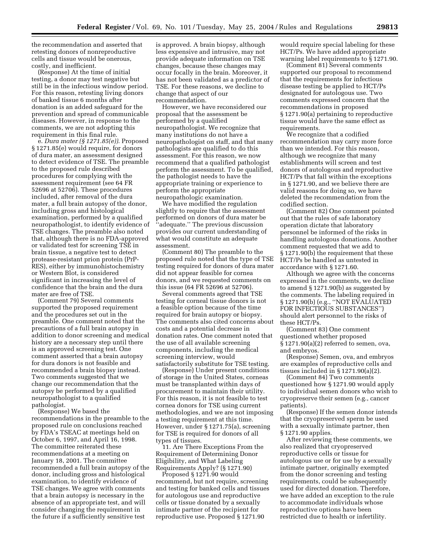the recommendation and asserted that retesting donors of nonreproductive cells and tissue would be onerous, costly, and inefficient.

(Response) At the time of initial testing, a donor may test negative but still be in the infectious window period. For this reason, retesting living donors of banked tissue 6 months after donation is an added safeguard for the prevention and spread of communicable diseases. However, in response to the comments, we are not adopting this requirement in this final rule.

e. *Dura mater (§ 1271.85(e))*. Proposed § 1271.85(e) would require, for donors of dura mater, an assessment designed to detect evidence of TSE. The preamble to the proposed rule described procedures for complying with the assessment requirement (see 64 FR 52696 at 52706). These procedures included, after removal of the dura mater, a full brain autopsy of the donor, including gross and histological examination, performed by a qualified neuropathologist, to identify evidence of TSE changes. The preamble also noted that, although there is no FDA-approved or validated test for screening TSE in brain tissue, a negative test to detect protease-resistant prion protein (PrP-RES), either by immunohistochemistry or Western Blot, is considered significant in increasing the level of confidence that the brain and the dura mater are free of TSE.

(Comment 79) Several comments supported the proposed requirement and the procedures set out in the preamble. One comment noted that the precautions of a full brain autopsy in addition to donor screening and medical history are a necessary step until there is an approved screening test. One comment asserted that a brain autopsy for dura donors is not feasible and recommended a brain biopsy instead. Two comments suggested that we change our recommendation that the autopsy be performed by a qualified neuropathologist to a qualified pathologist.

(Response) We based the recommendations in the preamble to the proposed rule on conclusions reached by FDA's TSEAC at meetings held on October 6, 1997, and April 16, 1998. The committee reiterated these recommendations at a meeting on January 18, 2001. The committee recommended a full brain autopsy of the donor, including gross and histological examination, to identify evidence of TSE changes. We agree with comments that a brain autopsy is necessary in the absence of an appropriate test, and will consider changing the requirement in the future if a sufficiently sensitive test

is approved. A brain biopsy, although less expensive and intrusive, may not provide adequate information on TSE changes, because these changes may occur focally in the brain. Moreover, it has not been validated as a predictor of TSE. For these reasons, we decline to change that aspect of our recommendation.

However, we have reconsidered our proposal that the assessment be performed by a qualified neuropathologist. We recognize that many institutions do not have a neuropathologist on staff, and that many pathologists are qualified to do this assessment. For this reason, we now recommend that a qualified pathologist perform the assessment. To be qualified, the pathologist needs to have the appropriate training or experience to perform the appropriate neuropathologic examination.

We have modified the regulation slightly to require that the assessment performed on donors of dura mater be ''adequate.'' The previous discussion provides our current understanding of what would constitute an adequate assessment.

(Comment 80) The preamble to the proposed rule noted that the type of TSE testing required for donors of dura mater did not appear feasible for cornea donors, and we requested comments on this issue (64 FR 52696 at 52706).

Several comments agreed that TSE testing for corneal tissue donors is not a feasible option because of the time required for brain autopsy or biopsy. The comments also cited concerns about costs and a potential decrease in donation rates. One comment noted that the use of all available screening components, including the medical screening interview, would satisfactorily substitute for TSE testing.

(Response) Under present conditions of storage in the United States, corneas must be transplanted within days of procurement to maintain their utility. For this reason, it is not feasible to test cornea donors for TSE using current methodologies, and we are not imposing a testing requirement at this time. However, under § 1271.75(a), screening for TSE is required for donors of all types of tissues.

11. Are There Exceptions From the Requirement of Determining Donor Eligibility, and What Labeling Requirements Apply? (§ 1271.90)

Proposed § 1271.90 would recommend, but not require, screening and testing for banked cells and tissues for autologous use and reproductive cells or tissue donated by a sexually intimate partner of the recipient for reproductive use. Proposed § 1271.90

would require special labeling for these HCT/Ps. We have added appropriate warning label requirements to § 1271.90.

(Comment 81) Several comments supported our proposal to recommend that the requirements for infectious disease testing be applied to HCT/Ps designated for autologous use. Two comments expressed concern that the recommendations in proposed § 1271.90(a) pertaining to reproductive tissue would have the same effect as requirements.

We recognize that a codified recommendation may carry more force than we intended. For this reason, although we recognize that many establishments will screen and test donors of autologous and reproductive HCT/Ps that fall within the exceptions in § 1271.90, and we believe there are valid reasons for doing so, we have deleted the recommendation from the codified section.

(Comment 82) One comment pointed out that the rules of safe laboratory operation dictate that laboratory personnel be informed of the risks in handling autologous donations. Another comment requested that we add to § 1271.90(b) the requirement that these HCT/Ps be handled as untested in accordance with § 1271.60.

Although we agree with the concerns expressed in the comments, we decline to amend § 1271.90(b) as suggested by the comments. The labeling required in § 1271.90(b) (e.g., ''NOT EVALUATED FOR INFECTIOUS SUBSTANCES'') should alert personnel to the risks of these HCT/Ps.

(Comment 83) One comment questioned whether proposed § 1271.90(a)(2) referred to semen, ova, and embryos.

(Response) Semen, ova, and embryos are examples of reproductive cells and tissues included in § 1271.90(a)(2).

(Comment 84) Two comments questioned how § 1271.90 would apply to individual semen donors who wish to cryopreserve their semen (e.g., cancer patients).

(Response) If the semen donor intends that the cryopreserved sperm be used with a sexually intimate partner, then § 1271.90 applies.

After reviewing these comments, we also realized that cryopreserved reproductive cells or tissue for autologous use or for use by a sexually intimate partner, originally exempted from the donor screening and testing requirements, could be subsequently used for directed donation. Therefore, we have added an exception to the rule to accommodate individuals whose reproductive options have been restricted due to health or infertility.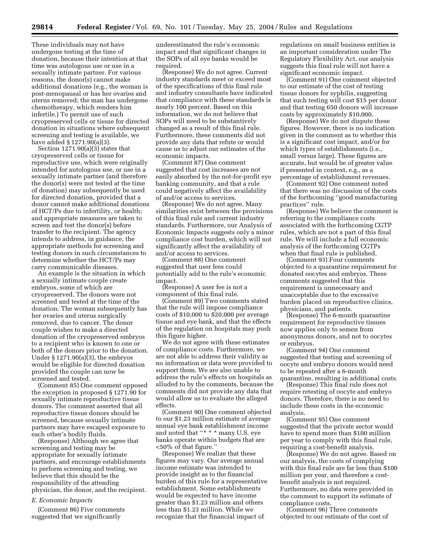These individuals may not have undergone testing at the time of donation, because their intention at that time was autologous use or use in a sexually intimate partner. For various reasons, the donor(s) cannot make additional donations (e.g., the woman is post-menopausal or has her ovaries and uterus removed; the man has undergone chemotherapy, which renders him infertile.) To permit use of such cryopreserved cells or tissue for directed donation in situations where subsequent screening and testing is available, we have added § 1271.90(a)(3).

Section 1271.90(a)(3) states that cryopreserved cells or tissue for reproductive use, which were originally intended for autologous use, or use in a sexually intimate partner (and therefore the donor(s) were not tested at the time of donation) may subsequently be used for directed donation, provided that a donor cannot make additional donations of HCT/Ps due to infertility, or health; and appropriate measures are taken to screen and test the donor(s) before transfer to the recipient. The agency intends to address, in guidance, the appropriate methods for screening and testing donors in such circumstances to determine whether the HCT/Ps may carry communicable diseases.

An example is the situation in which a sexually intimate couple create embryos, some of which are cryopreserved. The donors were not screened and tested at the time of the donation. The woman subsequently has her ovaries and uterus surgically removed, due to cancer. The donor couple wishes to make a directed donation of the cryopreserved embryos to a recipient who is known to one or both of the donors prior to the donation. Under § 1271.90(a)(3), the embryos would be eligible for directed donation provided the couple can now be screened and tested.

(Comment 85) One comment opposed the exception in proposed § 1271.90 for sexually intimate reproductive tissue donors. The comment asserted that all reproductive tissue donors should be screened, because sexually intimate partners may have escaped exposure to each other's bodily fluids.

(Response) Although we agree that screening and testing may be appropriate for sexually intimate partners, and encourage establishments to perform screening and testing, we believe that this should be the responsibility of the attending physician, the donor, and the recipient.

# *E. Economic Impacts*

(Comment 86) Five comments suggested that we significantly

underestimated the rule's economic impact and that significant changes in the SOPs of all eye banks would be required.

(Response) We do not agree. Current industry standards meet or exceed most of the specifications of this final rule and industry consultants have indicated that compliance with these standards is nearly 100 percent. Based on this information, we do not believe that SOPs will need to be substantively changed as a result of this final rule. Furthermore, these comments did not provide any data that refute or would cause us to adjust our estimates of the economic impacts.

(Comment 87) One comment suggested that cost increases are not easily absorbed by the not-for-profit eye banking community, and that a rule could negatively affect the availability of and/or access to services.

(Response) We do not agree. Many similarities exist between the provisions of this final rule and current industry standards. Furthermore, our Analysis of Economic Impacts suggests only a minor compliance cost burden, which will not significantly affect the availability of and/or access to services.

(Comment 88) One comment suggested that user fees could potentially add to the rule's economic impact.

(Response) A user fee is not a component of this final rule.

(Comment 89) Two comments stated that the rule will impose compliance costs of \$10,000 to \$20,000 per average tissue and eye bank, and that the effects of the regulation on hospitals may push this figure higher.

We do not agree with these estimates of compliance costs. Furthermore, we are not able to address their validity as no information or data were provided to support them. We are also unable to address the rule's effects on hospitals as alluded to by the comments, because the comments did not provide any data that would allow us to evaluate the alleged effects.

(Comment 90) One comment objected to our \$1.23 million estimate of average annual eye bank establishment income and noted that ''\* \* \* many U.S. eye banks operate within budgets that are <50% of that figure.''

(Response) We realize that these figures may vary. Our average annual income estimate was intended to provide insight as to the financial burden of this rule for a representative establishment. Some establishments would be expected to have income greater than \$1.23 million and others less than \$1.23 million. While we recognize that the financial impact of

regulations on small business entities is an important consideration under The Regulatory Flexibility Act, our analysis suggests this final rule will not have a significant economic impact.

(Comment 91) One comment objected to our estimate of the cost of testing tissue donors for syphilis, suggesting that such testing will cost \$15 per donor and that testing 650 donors will increase costs by approximately \$10,000.

(Response) We do not dispute these figures. However, there is no indication given in the comment as to whether this is a significant cost impact, and/or for which types of establishments (i.e., small versus large). These figures are accurate, but would be of greater value if presented in context, e.g., as a percentage of establishment revenues.

(Comment 92) One comment noted that there was no discussion of the costs of the forthcoming ''good manufacturing practices'' rule.

(Response) We believe the comment is referring to the compliance costs associated with the forthcoming CGTP rules, which are not a part of this final rule. We will include a full economic analysis of the forthcoming CGTPs when that final rule is published.

(Comment 93) Four comments objected to a quarantine requirement for donated oocytes and embryos. These comments suggested that this requirement is unnecessary and unacceptable due to the excessive burden placed on reproductive clinics, physicians, and patients.

(Response) The 6-month quarantine requirement for reproductive tissues now applies only to semen from anonymous donors, and not to oocytes or embryos.

(Comment 94) One comment suggested that testing and screening of oocyte and embryo donors would need to be repeated after a 6-month quarantine, resulting in additional costs.

(Response) This final rule does not require retesting of oocyte and embryo donors. Therefore, there is no need to include these costs in the economic analysis.

(Comment 95) One comment suggested that the private sector would have to spend more than \$100 million per year to comply with this final rule, requiring a cost-benefit analysis.

(Response) We do not agree. Based on our analysis, the costs of complying with this final rule are far less than \$100 million per year, and therefore a costbenefit analysis is not required. Furthermore, no data were provided in the comment to support its estimate of compliance costs.

(Comment 96) Three comments objected to our estimate of the cost of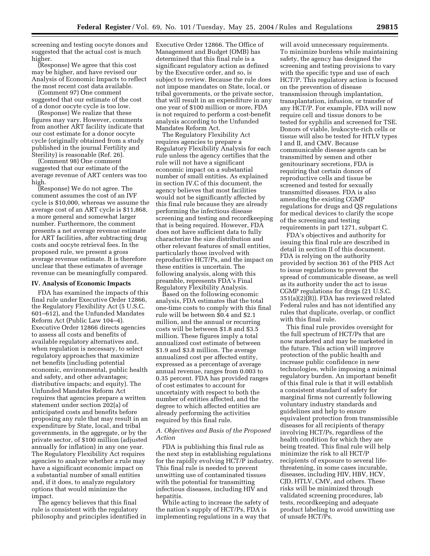screening and testing oocyte donors and suggested that the actual cost is much higher.

(Response) We agree that this cost may be higher, and have revised our Analysis of Economic Impacts to reflect the most recent cost data available.

(Comment 97) One comment suggested that our estimate of the cost of a donor oocyte cycle is too low.

(Response) We realize that these figures may vary. However, comments from another ART facility indicate that our cost estimate for a donor oocyte cycle (originally obtained from a study published in the journal Fertility and Sterility) is reasonable (Ref. 26).

(Comment 98) One comment suggested that our estimate of the average revenue of ART centers was too high.

(Response) We do not agree. The comment assumes the cost of an IVF cycle is \$10,000, whereas we assume the average cost of an ART cycle is \$11,868, a more general and somewhat larger number. Furthermore, the comment presents a net average revenue estimate for ART facilities, after subtracting drug costs and oocyte retrieval fees. In the proposed rule, we present a gross average revenue estimate. It is therefore unclear that these estimates of average revenue can be meaningfully compared.

#### **IV. Analysis of Economic Impacts**

FDA has examined the impacts of this final rule under Executive Order 12866, the Regulatory Flexibility Act (5 U.S.C. 601–612), and the Unfunded Mandates Reform Act (Public Law 104–4). Executive Order 12866 directs agencies to assess all costs and benefits of available regulatory alternatives and, when regulation is necessary, to select regulatory approaches that maximize net benefits (including potential economic, environmental, public health and safety, and other advantages; distributive impacts; and equity). The Unfunded Mandates Reform Act requires that agencies prepare a written statement under section 202(a) of anticipated costs and benefits before proposing any rule that may result in an expenditure by State, local, and tribal governments, in the aggregate, or by the private sector, of \$100 million (adjusted annually for inflation) in any one year. The Regulatory Flexibility Act requires agencies to analyze whether a rule may have a significant economic impact on a substantial number of small entities and, if it does, to analyze regulatory options that would minimize the impact.

The agency believes that this final rule is consistent with the regulatory philosophy and principles identified in Executive Order 12866. The Office of Management and Budget (OMB) has determined that this final rule is a significant regulatory action as defined by the Executive order, and so, is subject to review. Because the rule does not impose mandates on State, local, or tribal governments, or the private sector, that will result in an expenditure in any one year of \$100 million or more, FDA is not required to perform a cost-benefit analysis according to the Unfunded Mandates Reform Act.

The Regulatory Flexibility Act requires agencies to prepare a Regulatory Flexibility Analysis for each rule unless the agency certifies that the rule will not have a significant economic impact on a substantial number of small entities. As explained in section IV.C of this document, the agency believes that most facilities would not be significantly affected by this final rule because they are already performing the infectious disease screening and testing and recordkeeping that is being required. However, FDA does not have sufficient data to fully characterize the size distribution and other relevant features of small entities, particularly those involved with reproductive HCT/Ps, and the impact on these entities is uncertain. The following analysis, along with this preamble, represents FDA's Final Regulatory Flexibility Analysis.

Based on the following economic analysis, FDA estimates that the total one-time costs to comply with this final rule will be between \$0.4 and \$2.1 million, and the annual or recurring costs will be between \$1.8 and \$3.5 million. These figures imply a total annualized cost estimate of between \$1.9 and \$3.8 million. The average annualized cost per affected entity, expressed as a percentage of average annual revenue, ranges from 0.003 to 0.35 percent. FDA has provided ranges of cost estimates to account for uncertainty with respect to both the number of entities affected, and the degree to which affected entities are already performing the activities required by this final rule.

#### *A. Objectives and Basis of the Proposed Action*

FDA is publishing this final rule as the next step in establishing regulations for the rapidly evolving HCT/P industry. This final rule is needed to prevent unwitting use of contaminated tissues with the potential for transmitting infectious diseases, including HIV and hepatitis.

While acting to increase the safety of the nation's supply of HCT/Ps, FDA is implementing regulations in a way that

will avoid unnecessary requirements. To minimize burdens while maintaining safety, the agency has designed the screening and testing provisions to vary with the specific type and use of each HCT/P. This regulatory action is focused on the prevention of disease transmission through implantation, transplantation, infusion, or transfer of any HCT/P. For example, FDA will now require cell and tissue donors to be tested for syphilis and screened for TSE. Donors of viable, leukocyte-rich cells or tissue will also be tested for HTLV types I and II, and CMV. Because communicable disease agents can be transmitted by semen and other genitourinary secretions, FDA is requiring that certain donors of reproductive cells and tissue be screened and tested for sexually transmitted diseases. FDA is also amending the existing CGMP regulations for drugs and QS regulations for medical devices to clarify the scope of the screening and testing requirements in part 1271, subpart C.

FDA's objectives and authority for issuing this final rule are described in detail in section II of this document. FDA is relying on the authority provided by section 361 of the PHS Act to issue regulations to prevent the spread of communicable disease, as well as its authority under the act to issue CGMP regulations for drugs (21 U.S.C. 351(a)(2)(B)). FDA has reviewed related Federal rules and has not identified any rules that duplicate, overlap, or conflict with this final rule.

This final rule provides oversight for the full spectrum of HCT/Ps that are now marketed and may be marketed in the future. This action will improve protection of the public health and increase public confidence in new technologies, while imposing a minimal regulatory burden. An important benefit of this final rule is that it will establish a consistent standard of safety for marginal firms not currently following voluntary industry standards and guidelines and help to ensure equivalent protection from transmissible diseases for all recipients of therapy involving HCT/Ps, regardless of the health condition for which they are being treated. This final rule will help minimize the risk to all HCT/P recipients of exposure to several lifethreatening, in some cases incurable, diseases, including HIV, HBV, HCV, CJD, HTLV, CMV, and others. These risks will be minimized through validated screening procedures, lab tests, recordkeeping and adequate product labeling to avoid unwitting use of unsafe HCT/Ps.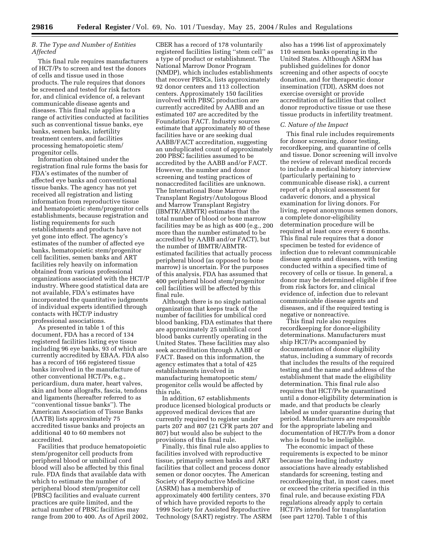# *B. The Type and Number of Entities Affected*

This final rule requires manufacturers of HCT/Ps to screen and test the donors of cells and tissue used in those products. The rule requires that donors be screened and tested for risk factors for, and clinical evidence of, a relevant communicable disease agents and diseases. This final rule applies to a range of activities conducted at facilities such as conventional tissue banks, eye banks, semen banks, infertility treatment centers, and facilities processing hematopoietic stem/ progenitor cells.

Information obtained under the registration final rule forms the basis for FDA's estimates of the number of affected eye banks and conventional tissue banks. The agency has not yet received all registration and listing information from reproductive tissue and hematopoietic stem/progenitor cells establishments, because registration and listing requirements for such establishments and products have not yet gone into effect. The agency's estimates of the number of affected eye banks, hematopoietic stem/progenitor cell facilities, semen banks and ART facilities rely heavily on information obtained from various professional organizations associated with the HCT/P industry. Where good statistical data are not available, FDA's estimates have incorporated the quantitative judgments of individual experts identified through contacts with HCT/P industry professional associations.

As presented in table 1 of this document, FDA has a record of 134 registered facilities listing eye tissue including 96 eye banks, 93 of which are currently accredited by EBAA. FDA also has a record of 166 registered tissue banks involved in the manufacture of other conventional HCT/Ps, e.g., pericardium, dura mater, heart valves, skin and bone allografts, fascia, tendons and ligaments (hereafter referred to as ''conventional tissue banks''). The American Association of Tissue Banks (AATB) lists approximately 75 accredited tissue banks and projects an additional 40 to 60 members not accredited.

Facilities that produce hematopoietic stem/progenitor cell products from peripheral blood or umbilical cord blood will also be affected by this final rule. FDA finds that available data with which to estimate the number of peripheral blood stem/progenitor cell (PBSC) facilities and evaluate current practices are quite limited, and the actual number of PBSC facilities may range from 200 to 400. As of April 2002,

CBER has a record of 178 voluntarily registered facilities listing ''stem cell'' as a type of product or establishment. The National Marrow Donor Program (NMDP), which includes establishments that recover PBSCs, lists approximately 92 donor centers and 113 collection centers. Approximately 150 facilities involved with PBSC production are currently accredited by AABB and an estimated 107 are accredited by the Foundation FACT. Industry sources estimate that approximately 80 of these facilities have or are seeking dual AABB/FACT accreditation, suggesting an unduplicated count of approximately 200 PBSC facilities assumed to be accredited by the AABB and/or FACT. However, the number and donor screening and testing practices of nonaccredited facilities are unknown. The International Bone Marrow Transplant Registry/Autologous Blood and Marrow Transplant Registry (IBMTR/ABMTR) estimates that the total number of blood or bone marrow facilities may be as high as 400 (e.g., 200 more than the number estimated to be accredited by AABB and/or FACT), but the number of IBMTR/ABMTRestimated facilities that actually process peripheral blood (as opposed to bone marrow) is uncertain. For the purposes of this analysis, FDA has assumed that 400 peripheral blood stem/progenitor cell facilities will be affected by this final rule.

Although there is no single national organization that keeps track of the number of facilities for umbilical cord blood banking, FDA estimates that there are approximately 25 umbilical cord blood banks currently operating in the United States. These facilities may also seek accreditation through AABB or FACT. Based on this information, the agency estimates that a total of 425 establishments involved in manufacturing hematopoetic stem/ progenitor cells would be affected by this rule.

In addition, 67 establishments produce licensed biological products or approved medical devices that are currently required to register under parts 207 and 807 (21 CFR parts 207 and 807) but would also be subject to the provisions of this final rule.

Finally, this final rule also applies to facilities involved with reproductive tissue, primarily semen banks and ART facilities that collect and process donor semen or donor oocytes. The American Society of Reproductive Medicine (ASRM) has a membership of approximately 400 fertility centers, 370 of which have provided reports to the 1999 Society for Assisted Reproductive Technology (SART) registry. The ASRM also has a 1996 list of approximately 110 semen banks operating in the United States. Although ASRM has published guidelines for donor screening and other aspects of oocyte donation, and for therapeutic donor insemination (TDI), ASRM does not exercise oversight or provide accreditation of facilities that collect donor reproductive tissue or use these tissue products in infertility treatment.

#### *C. Nature of the Impact*

This final rule includes requirements for donor screening, donor testing, recordkeeping, and quarantine of cells and tissue. Donor screening will involve the review of relevant medical records to include a medical history interview (particularly pertaining to communicable disease risk), a current report of a physical assessment for cadaveric donors, and a physical examination for living donors. For living, repeat anonymous semen donors, a complete donor-eligibility determination procedure will be required at least once every 6 months. This final rule requires that a donor specimen be tested for evidence of infection due to relevant communicable disease agents and diseases, with testing conducted within a specified time of recovery of cells or tissue. In general, a donor may be determined eligible if free from risk factors for, and clinical evidence of, infection due to relevant communicable disease agents and diseases, and if the required testing is negative or nonreactive.

This final rule also requires recordkeeping for donor-eligibility determinations. Manufacturers must ship HCT/Ps accompanied by documentation of donor eligibility status, including a summary of records that includes the results of the required testing and the name and address of the establishment that made the eligibility determination. This final rule also requires that HCT/Ps be quarantined until a donor-eligibility determination is made, and that products be clearly labeled as under quarantine during that period. Manufacturers are responsible for the appropriate labeling and documentation of HCT/Ps from a donor who is found to be ineligible.

The economic impact of these requirements is expected to be minor because the leading industry associations have already established standards for screening, testing and recordkeeping that, in most cases, meet or exceed the criteria specified in this final rule, and because existing FDA regulations already apply to certain HCT/Ps intended for transplantation (see part 1270). Table 1 of this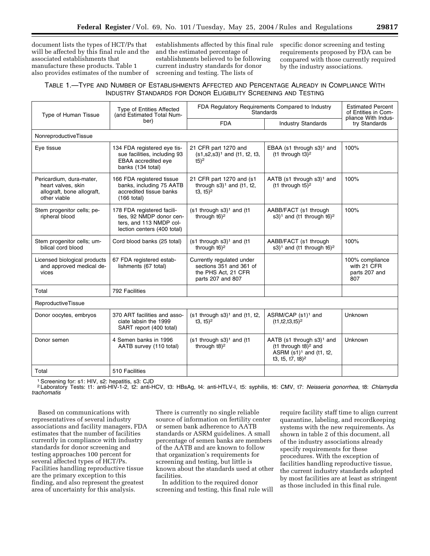document lists the types of HCT/Ps that will be affected by this final rule and the associated establishments that manufacture these products. Table 1 also provides estimates of the number of

establishments affected by this final rule and the estimated percentage of establishments believed to be following current industry standards for donor screening and testing. The lists of

specific donor screening and testing requirements proposed by FDA can be compared with those currently required by the industry associations.

# TABLE 1.—TYPE AND NUMBER OF ESTABLISHMENTS AFFECTED AND PERCENTAGE ALREADY IN COMPLIANCE WITH INDUSTRY STANDARDS FOR DONOR ELIGIBILITY SCREENING AND TESTING

| Type of Human Tissue                                                                         | Type of Entities Affected<br>(and Estimated Total Num-                                                           | FDA Regulatory Requirements Compared to Industry<br>Standards                                    |                                                                                                                                            | <b>Estimated Percent</b><br>of Entities in Com-<br>pliance With Indus- |
|----------------------------------------------------------------------------------------------|------------------------------------------------------------------------------------------------------------------|--------------------------------------------------------------------------------------------------|--------------------------------------------------------------------------------------------------------------------------------------------|------------------------------------------------------------------------|
|                                                                                              | ber)                                                                                                             | <b>FDA</b>                                                                                       | <b>Industry Standards</b>                                                                                                                  | try Standards                                                          |
| NonreproductiveTissue                                                                        |                                                                                                                  |                                                                                                  |                                                                                                                                            |                                                                        |
| Eye tissue                                                                                   | 134 FDA registered eye tis-<br>sue facilities, including 93<br>EBAA accredited eve<br>banks (134 total)          | 21 CFR part 1270 and<br>$(s1, s2, s3)^1$ and $(t1, t2, t3, t3)$<br>$(5)^2$                       | EBAA (s1 through s3) <sup>1</sup> and<br>(t1 through $t3$ ) <sup>2</sup>                                                                   | 100%                                                                   |
| Pericardium, dura-mater,<br>heart valves, skin<br>allograft, bone allograft,<br>other viable | 166 FDA registered tissue<br>banks, including 75 AATB<br>accredited tissue banks<br>$(166$ total)                | 21 CFR part 1270 and (s1<br>through $s3$ <sup>1</sup> and (t1, t2,<br>$t3. t5$ <sup>2</sup>      | AATB (s1 through $s3$ ) <sup>1</sup> and<br>(t1 through t5) <sup>2</sup>                                                                   | 100%                                                                   |
| Stem progenitor cells; pe-<br>ripheral blood                                                 | 178 FDA registered facili-<br>ties, 92 NMDP donor cen-<br>ters, and 113 NMDP col-<br>lection centers (400 total) | $(s1$ through $s3$ <sup>1</sup> and $(t1)$<br>through $t6$ ) <sup>2</sup>                        | AABB/FACT (s1 through<br>s3) <sup>1</sup> and (t1 through $t6$ ) <sup>2</sup>                                                              | 100%                                                                   |
| Stem progenitor cells; um-<br>bilical cord blood                                             | Cord blood banks (25 total)                                                                                      | $(s1$ through $s3$ <sup>1</sup> and (t1<br>through $t6$ <sup>2</sup>                             | AABB/FACT (s1 through<br>s3) <sup>1</sup> and (t1 through $t6$ ) <sup>2</sup>                                                              | 100%                                                                   |
| Licensed biological products<br>and approved medical de-<br>vices                            | 67 FDA registered estab-<br>lishments (67 total)                                                                 | Currently regulated under<br>sections 351 and 361 of<br>the PHS Act, 21 CFR<br>parts 207 and 807 |                                                                                                                                            | 100% compliance<br>with 21 CFR<br>parts 207 and<br>807                 |
| Total                                                                                        | 792 Facilities                                                                                                   |                                                                                                  |                                                                                                                                            |                                                                        |
| ReproductiveTissue                                                                           |                                                                                                                  |                                                                                                  |                                                                                                                                            |                                                                        |
| Donor oocytes, embryos                                                                       | 370 ART facilities and asso-<br>ciate labsin the 1999<br>SART report (400 total)                                 | $(s1$ through $s3$ <sup>1</sup> and $(t1, t2,$<br>$(3, 15)^2$                                    | ASRM/CAP (s1) <sup>1</sup> and<br>$(t1,t2,t3,t5)^2$                                                                                        | Unknown                                                                |
| Donor semen                                                                                  | 4 Semen banks in 1996<br>AATB survey (110 total)                                                                 | $(s1$ through $s3$ <sup>1</sup> and (t1<br>through $t8$ <sup>2</sup>                             | AATB (s1 through s3) <sup>1</sup> and<br>(t1 through t8) <sup>2</sup> and<br>ASRM $(s1)^1$ and $(t1, t2,$<br>$t3, t5, t7, t8$ <sup>2</sup> | Unknown                                                                |
| Total                                                                                        | 510 Facilities                                                                                                   |                                                                                                  |                                                                                                                                            |                                                                        |

1Screening for: s1: HIV, s2: hepatitis, s3: CJD

2 Laboratory Tests: t1: anti-HIV-1-2, t2: anti-HCV, t3: HBsAg, t4: anti-HTLV-I, t5: syphilis, t6: CMV, t7: *Neisseria gonorrhea*, t8: *Chlamydia trachomatis*

Based on communications with representatives of several industry associations and facility managers, FDA estimates that the number of facilities currently in compliance with industry standards for donor screening and testing approaches 100 percent for several affected types of HCT/Ps. Facilities handling reproductive tissue are the primary exception to this finding, and also represent the greatest area of uncertainty for this analysis.

There is currently no single reliable source of information on fertility center or semen bank adherence to AATB standards or ASRM guidelines. A small percentage of semen banks are members of the AATB and are known to follow that organization's requirements for screening and testing, but little is known about the standards used at other facilities.

In addition to the required donor screening and testing, this final rule will require facility staff time to align current quarantine, labeling, and recordkeeping systems with the new requirements. As shown in table 2 of this document, all of the industry associations already specify requirements for these procedures. With the exception of facilities handling reproductive tissue, the current industry standards adopted by most facilities are at least as stringent as those included in this final rule.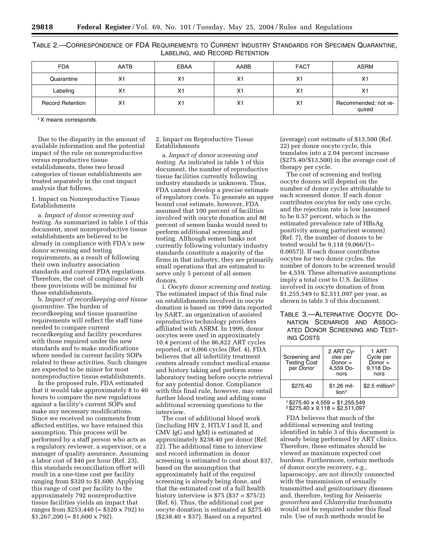| <b>FDA</b>              | AATB           | EBAA           | AABB           | <b>FACT</b>    | <b>ASRM</b>                    |
|-------------------------|----------------|----------------|----------------|----------------|--------------------------------|
| Quarantine              | X1             | X1             | X <sub>1</sub> | X <sub>1</sub> | X1                             |
| Labeling                | X <sub>1</sub> | X <sub>1</sub> | X <sub>1</sub> | X <sub>1</sub> | X1                             |
| <b>Record Retention</b> | X <sub>1</sub> | X <sub>1</sub> | X <sub>1</sub> | X <sub>1</sub> | Recommended; not re-<br>quired |

TABLE 2.—CORRESPONDENCE OF FDA REQUIREMENTS TO CURRENT INDUSTRY STANDARDS FOR SPECIMEN QUARANTINE, LABELING, AND RECORD RETENTION

1X means corresponds.

Due to the disparity in the amount of available information and the potential impact of the rule on nonreproductive versus reproductive tissue establishments, these two broad categories of tissue establishments are treated separately in the cost impact analysis that follows.

1. Impact on Nonreproductive Tissue Establishments

a. *Impact of donor screening and testing*. As summarized in table 1 of this document, most nonreproductive tissue establishments are believed to be already in compliance with FDA's new donor screening and testing requirements, as a result of following their own industry association standards and current FDA regulations. Therefore, the cost of compliance with these provisions will be minimal for these establishments.

b. *Impact of recordkeeping and tissue quarantine*. The burden of recordkeeping and tissue quarantine requirements will reflect the staff time needed to compare current recordkeeping and facility procedures with those required under the new standards and to make modifications where needed in current facility SOPs related to these activities. Such changes are expected to be minor for most nonreproductive tissue establishments.

In the proposed rule, FDA estimated that it would take approximately 8 to 40 hours to compare the new regulations against a facility's current SOPs and make any necessary modifications. Since we received no comments from affected entities, we have retained this assumption. This process will be performed by a staff person who acts as a regulatory reviewer, a supervisor, or a manager of quality assurance. Assuming a labor cost of \$40 per hour (Ref. 23), this standards reconciliation effort will result in a one-time cost per facility ranging from \$320 to \$1,600. Applying this range of cost per facility to the approximately 792 nonreproductive tissue facilities yields an impact that ranges from \$253,440 (= \$320 x 792) to  $$1,267,200 (= $1,600 \times 792).$ 

# 2. Impact on Reproductive Tissue Establishments

a. *Impact of donor screening and testing*. As indicated in table 1 of this document, the number of reproductive tissue facilities currently following industry standards is unknown. Thus, FDA cannot develop a precise estimate of regulatory costs. To generate an upper bound cost estimate, however, FDA assumed that 100 percent of facilities involved with oocyte donation and 80 percent of semen banks would need to perform additional screening and testing. Although semen banks not currently following voluntary industry standards constitute a majority of the firms in that industry, they are primarily small operations that are estimated to serve only 5 percent of all semen donors.

i. *Oocyte donor screening and testing*. The estimated impact of this final rule on establishments involved in oocyte donation is based on 1999 data reported by SART, an organization of assisted reproductive technology providers affiliated with ASRM. In 1999, donor oocytes were used in approximately 10.4 percent of the 86,822 ART cycles reported, or 9,066 cycles (Ref. 4). FDA believes that all infertility treatment centers already conduct medical exams and history taking and perform some laboratory testing before oocyte retrieval for any potential donor. Compliance with this final rule, however, may entail further blood testing and adding some additional screening questions to the interview.

The cost of additional blood work (including HIV 2, HTLV I and II, and CMV IgG and IgM) is estimated at approximately \$238.40 per donor (Ref. 22). The additional time to interview and record information in donor screening is estimated to cost about \$37, based on the assumption that approximately half of the required screening is already being done, and that the estimated cost of a full health history interview is  $$75 ($37 = $75/2)$ (Ref. 6). Thus, the additional cost per oocyte donation is estimated at \$275.40 (\$238.40 + \$37). Based on a reported

(average) cost estimate of \$13,500 (Ref. 22) per donor oocyte cycle, this translates into a 2.04 percent increase (\$275.40/\$13,500) in the average cost of therapy per cycle.

The cost of screening and testing oocyte donors will depend on the number of donor cycles attributable to each screened donor. If each donor contributes oocytes for only one cycle, and the rejection rate is low (assumed to be 0.57 percent, which is the estimated prevalence rate of HBsAg positivity among parturient women) (Ref. 7), the number of donors to be tested would be 9,118 (9,066/(1– 0.0057)). If each donor contributes oocytes for two donor cycles, the number of donors to be screened would be 4,559. These alternative assumptions imply a total cost to U.S. facilities involved in oocyte donation of from \$1,255,549 to \$2,511,097 per year, as shown in table 3 of this document.

TABLE 3.—ALTERNATIVE OOCYTE DO-NATION SCENARIOS AND ASSOCI-ATED DONOR SCREENING AND TEST-ING COSTS

| Screening and<br><b>Testing Cost</b><br>per Donor | 2 ART Cy-<br>cles per<br>Donor $=$<br>4,559 Do-<br>nors | 1 ART<br>Cycle per<br>Donor $=$<br>9,118 Do-<br>nors |
|---------------------------------------------------|---------------------------------------------------------|------------------------------------------------------|
| \$275.40                                          | $$1.26$ mil-<br>$I$ ion <sup>1</sup>                    | $$2.5$ million <sup>2</sup>                          |

#### $1$  \$275.40 x 4,559 = \$1,255,549  $2$ \$275.40 x 9,118 = \$2,511,097

FDA believes that much of the additional screening and testing identified in table 3 of this document is already being performed by ART clinics. Therefore, these estimates should be viewed as maximum expected cost burdens. Furthermore, certain methods of donor oocyte recovery, e.g., laparoscopy, are not directly connected with the transmission of sexually transmitted and genitourinary diseases and, therefore, testing for *Neisseria gonorrhea* and *Chlamydia trachomatis* would not be required under this final rule. Use of such methods would be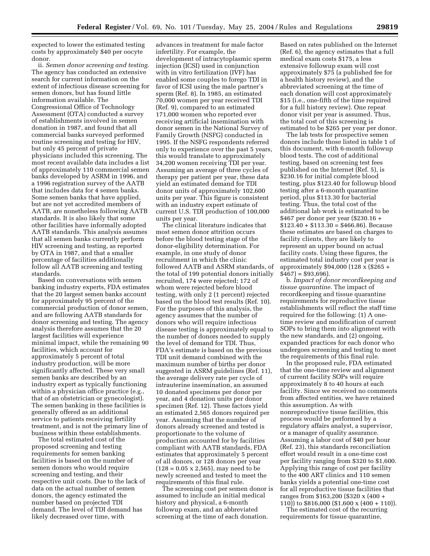expected to lower the estimated testing costs by approximately \$40 per oocyte donor.

ii. *Semen donor screening and testing*. The agency has conducted an extensive search for current information on the extent of infectious disease screening for semen donors, but has found little information available. The Congressional Office of Technology Assessment (OTA) conducted a survey of establishments involved in semen donation in 1987, and found that all commercial banks surveyed performed routine screening and testing for HIV, but only 45 percent of private physicians included this screening. The most recent available data includes a list of approximately 110 commercial semen banks developed by ASRM in 1996, and a 1996 registration survey of the AATB that includes data for 4 semen banks. Some semen banks that have applied, but are not yet accredited members of AATB, are nonetheless following AATB standards. It is also likely that some other facilities have informally adopted AATB standards. This analysis assumes that all semen banks currently perform HIV screening and testing, as reported by OTA in 1987, and that a smaller percentage of facilities additionally follow all AATB screening and testing standards.

Based on conversations with semen banking industry experts, FDA estimates that the 20 largest semen banks account for approximately 95 percent of the commercial production of donor semen, and are following AATB standards for donor screening and testing. The agency analysis therefore assumes that the 20 largest facilities will experience minimal impact, while the remaining 90 facilities, which account for approximately 5 percent of total industry production, will be more significantly affected. These very small semen banks are described by an industry expert as typically functioning within a physician office practice (e.g., that of an obstetrician or gynecologist). The semen banking in these facilities is generally offered as an additional service to patients receiving fertility treatment, and is not the primary line of business within these establishments.

The total estimated cost of the proposed screening and testing requirements for semen banking facilities is based on the number of semen donors who would require screening and testing, and their respective unit costs. Due to the lack of data on the actual number of semen donors, the agency estimated the number based on projected TDI demand. The level of TDI demand has likely decreased over time, with

advances in treatment for male factor infertility. For example, the development of intracytoplasmic sperm injection (ICSI) used in conjunction with in vitro fertilization (IVF) has enabled some couples to forego TDI in favor of ICSI using the male partner's sperm (Ref. 8). In 1985, an estimated 70,000 women per year received TDI (Ref. 9), compared to an estimated 171,000 women who reported ever receiving artificial insemination with donor semen in the National Survey of Family Growth (NSFG) conducted in 1995. If the NSFG respondents referred only to experience over the past 5 years, this would translate to approximately 34,200 women receiving TDI per year. Assuming an average of three cycles of therapy per patient per year, these data yield an estimated demand for TDI donor units of approximately 102,600 units per year. This figure is consistent with an industry expert estimate of current U.S. TDI production of 100,000 units per year.

The clinical literature indicates that most semen donor attrition occurs before the blood testing stage of the donor-eligibility determination. For example, in one study of donor recruitment in which the clinic followed AATB and ASRM standards, of the total of 199 potential donors initially recruited, 174 were rejected; 172 of whom were rejected before blood testing, with only 2 (1 percent) rejected based on the blood test results (Ref. 10). For the purposes of this analysis, the agency assumes that the number of donors who will require infectious disease testing is approximately equal to the number of donors needed to supply the level of demand for TDI. Thus, FDA's estimate is based on the previous TDI unit demand combined with the maximum number of births per donor suggested in ASRM guidelines (Ref. 11), the average delivery rate per cycle of intrauterine insemination, an assumed 10 donated specimens per donor per year, and 4 donation units per donor specimen (Ref. 12). These factors yield an estimated 2,565 donors required per year. Assuming that the number of donors already screened and tested is proportionate to the volume of production accounted for by facilities compliant with AATB standards, FDA estimates that approximately 5 percent of all donors, or 128 donors per year  $(128 = 0.05 \times 2,565)$ , may need to be newly screened and tested to meet the requirements of this final rule.

The screening cost per semen donor is assumed to include an initial medical history and physical, a 6-month followup exam, and an abbreviated screening at the time of each donation.

Based on rates published on the Internet (Ref. 6), the agency estimates that a full medical exam costs \$175, a less extensive followup exam will cost approximately \$75 (a published fee for a health history review), and the abbreviated screening at the time of each donation will cost approximately \$15 (i.e., one-fifth of the time required for a full history review). One repeat donor visit per year is assumed. Thus, the total cost of this screening is estimated to be \$265 per year per donor.

The lab tests for prospective semen donors include those listed in table 1 of this document, with 6-month followup blood tests. The cost of additional testing, based on screening test fees published on the Internet (Ref. 5), is \$230.16 for initial complete blood testing, plus \$123.40 for followup blood testing after a 6-month quarantine period, plus \$113.30 for bacterial testing. Thus, the total cost of the additional lab work is estimated to be \$467 per donor per year (\$230.16 +  $$123.40 + $113.30 = $466.86$ . Because these estimates are based on charges to facility clients, they are likely to represent an upper bound on actual facility costs. Using these figures, the estimated total industry cost per year is approximately \$94,000 (128 x (\$265 +  $$467$ ) = \$93,696).

b. *Impact of donor recordkeeping and tissue quarantine*. The impact of recordkeeping and tissue quarantine requirements for reproductive tissue establishments will reflect the staff time required for the following: (1) A onetime review and modification of current SOPs to bring them into alignment with the new standards, and (2) ongoing, expanded practices for each donor who undergoes screening and testing to meet the requirements of this final rule.

In the proposed rule, FDA estimated that the one-time review and alignment of current facility SOPs will require approximately 8 to 40 hours at each facility. Since we received no comments from affected entities, we have retained this assumption. As with nonreproductive tissue facilities, this process would be performed by a regulatory affairs analyst, a supervisor, or a manager of quality assurance. Assuming a labor cost of \$40 per hour (Ref. 23), this standards reconciliation effort would result in a one-time cost per facility ranging from \$320 to \$1,600. Applying this range of cost per facility to the 400 ART clinics and 110 semen banks yields a potential one-time cost for all reproductive tissue facilities that ranges from \$163,200 (\$320 x (400 + 110)) to \$816,000 (\$1,600 x (400 + 110)).

The estimated cost of the recurring requirements for tissue quarantine,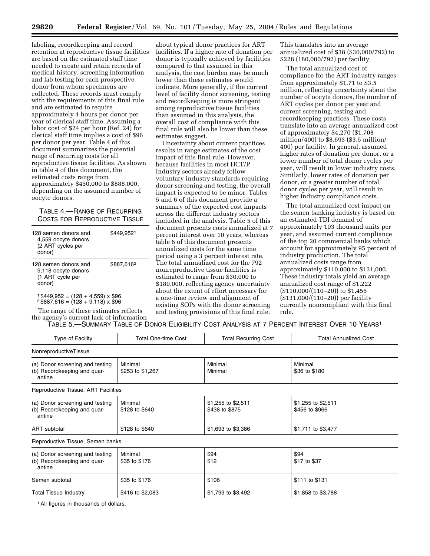**29820 Federal Register** / Vol. 69, No. 101 / Tuesday, May 25, 2004 / Rules and Regulations

labeling, recordkeeping and record retention at reproductive tissue facilities are based on the estimated staff time needed to create and retain records of medical history, screening information and lab testing for each prospective donor from whom specimens are collected. These records must comply with the requirements of this final rule and are estimated to require approximately 4 hours per donor per year of clerical staff time. Assuming a labor cost of \$24 per hour (Ref. 24) for clerical staff time implies a cost of \$96 per donor per year. Table 4 of this document summarizes the potential range of recurring costs for all reproductive tissue facilities. As shown in table 4 of this document, the estimated costs range from approximately \$450,000 to \$888,000, depending on the assumed number of oocyte donors.

TABLE 4.—RANGE OF RECURRING COSTS FOR REPRODUCTIVE TISSUE

| 128 semen donors and<br>4,559 oocyte donors<br>(2 ART cycles per<br>donor) | \$449.9521 |
|----------------------------------------------------------------------------|------------|
| 128 semen donors and<br>9,118 oocyte donors<br>(1 ART cycle per<br>donor)  | \$887.6162 |
| 1 \$449 952 - (128 + 4 559) y \$96                                         |            |

1 \$449,952 = (128 + 4,559) x \$96 2 \$887,616 = (128 + 9,118) x \$96

The range of these estimates reflects the agency's current lack of information about typical donor practices for ART facilities. If a higher rate of donation per donor is typically achieved by facilities compared to that assumed in this analysis, the cost burden may be much lower than these estimates would indicate. More generally, if the current level of facility donor screening, testing and recordkeeping is more stringent among reproductive tissue facilities than assumed in this analysis, the overall cost of compliance with this final rule will also be lower than these estimates suggest.

Uncertainty about current practices results in range estimates of the cost impact of this final rule. However, because facilities in most HCT/P industry sectors already follow voluntary industry standards requiring donor screening and testing, the overall impact is expected to be minor. Tables 5 and 6 of this document provide a summary of the expected cost impacts across the different industry sectors included in the analysis. Table 5 of this document presents costs annualized at 7 percent interest over 10 years, whereas table 6 of this document presents annualized costs for the same time period using a 3 percent interest rate. The total annualized cost for the 792 nonreproductive tissue facilities is estimated to range from \$30,000 to \$180,000, reflecting agency uncertainty about the extent of effort necessary for a one-time review and alignment of existing SOPs with the donor screening and testing provisions of this final rule.

This translates into an average annualized cost of \$38 (\$30,000/792) to \$228 (180,000/792) per facility.

The total annualized cost of compliance for the ART industry ranges from approximately \$1.71 to \$3.5 million, reflecting uncertainty about the number of oocyte donors, the number of ART cycles per donor per year and current screening, testing and recordkeeping practices. These costs translate into an average annualized cost of approximately \$4,270 (\$1.708 million/400) to \$8,693 (\$3.5 million/ 400) per facility. In general, assumed higher rates of donation per donor, or a lower number of total donor cycles per year, will result in lower industry costs. Similarly, lower rates of donation per donor, or a greater number of total donor cycles per year, will result in higher industry compliance costs.

The total annualized cost impact on the semen banking industry is based on an estimated TDI demand of approximately 103 thousand units per year, and assumed current compliance of the top 20 commercial banks which account for approximately 95 percent of industry production. The total annualized costs range from approximately \$110,000 to \$131,000. These industry totals yield an average annualized cost range of \$1,222 (\$110,000/(110–20)) to \$1,456 (\$131,000/(110–20)) per facility currently noncompliant with this final rule.

TABLE 5.—SUMMARY TABLE OF DONOR ELIGIBILITY COST ANALYSIS AT 7 PERCENT INTEREST OVER 10 YEARS1

| Type of Facility                                                         | <b>Total One-time Cost</b>  | <b>Total Recurring Cost</b>          | <b>Total Annualized Cost</b>         |
|--------------------------------------------------------------------------|-----------------------------|--------------------------------------|--------------------------------------|
| NonreproductiveTissue                                                    |                             |                                      |                                      |
| (a) Donor screening and testing<br>(b) Recordkeeping and quar-<br>antine | Minimal<br>\$253 to \$1,267 | Minimal<br>Minimal                   | Minimal<br>\$36 to \$180             |
| Reproductive Tissue, ART Facilities                                      |                             |                                      |                                      |
| (a) Donor screening and testing<br>(b) Recordkeeping and quar-<br>antine | Minimal<br>\$128 to \$640   | \$1,255 to \$2,511<br>\$438 to \$875 | \$1,255 to \$2,511<br>\$456 to \$966 |
| <b>ART</b> subtotal                                                      | \$128 to \$640              | \$1,693 to \$3,386                   | \$1,711 to \$3,477                   |
| Reproductive Tissue, Semen banks                                         |                             |                                      |                                      |
| (a) Donor screening and testing<br>(b) Recordkeeping and quar-<br>antine | Minimal<br>\$35 to \$176    | \$94<br>\$12                         | \$94<br>\$17 to \$37                 |
| Semen subtotal                                                           | \$35 to \$176               | \$106                                | \$111 to \$131                       |
| Total Tissue Industry                                                    | \$416 to \$2,083            | \$1,799 to \$3,492                   | \$1,858 to \$3,788                   |

1All figures in thousands of dollars.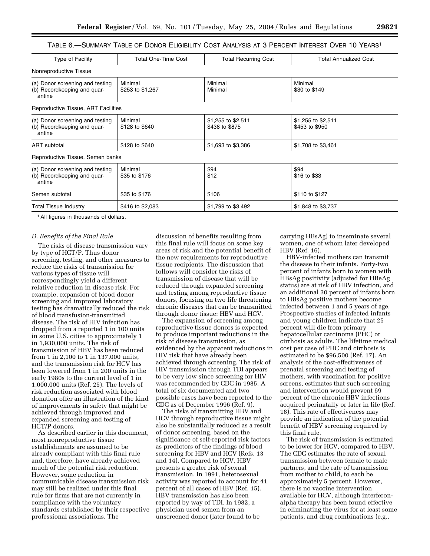# TABLE 6.—SUMMARY TABLE OF DONOR ELIGIBILITY COST ANALYSIS AT 3 PERCENT INTEREST OVER 10 YEARS1

| Type of Facility                                                         | <b>Total One-Time Cost</b>  | <b>Total Recurring Cost</b>          | <b>Total Annualized Cost</b>         |
|--------------------------------------------------------------------------|-----------------------------|--------------------------------------|--------------------------------------|
| Nonreproductive Tissue                                                   |                             |                                      |                                      |
| (a) Donor screening and testing<br>(b) Recordkeeping and quar-<br>antine | Minimal<br>\$253 to \$1,267 | Minimal<br>Minimal                   | Minimal<br>\$30 to \$149             |
| Reproductive Tissue, ART Facilities                                      |                             |                                      |                                      |
| (a) Donor screening and testing<br>(b) Recordkeeping and quar-<br>antine | Minimal<br>\$128 to \$640   | \$1,255 to \$2,511<br>\$438 to \$875 | \$1,255 to \$2,511<br>\$453 to \$950 |
| <b>ART</b> subtotal                                                      | \$128 to \$640              | \$1,693 to \$3,386                   | \$1,708 to \$3,461                   |
| Reproductive Tissue, Semen banks                                         |                             |                                      |                                      |
| (a) Donor screening and testing<br>(b) Recordkeeping and quar-<br>antine | Minimal<br>\$35 to \$176    | \$94<br>\$12                         | \$94<br>\$16 to \$33                 |
| Semen subtotal                                                           | \$35 to \$176               | \$106                                | \$110 to \$127                       |
| <b>Total Tissue Industry</b>                                             | \$416 to \$2,083            | \$1,799 to \$3,492                   | \$1,848 to \$3,737                   |

1All figures in thousands of dollars.

#### *D. Benefits of the Final Rule*

The risks of disease transmission vary by type of HCT/P. Thus donor screening, testing, and other measures to reduce the risks of transmission for various types of tissue will correspondingly yield a different relative reduction in disease risk. For example, expansion of blood donor screening and improved laboratory testing has dramatically reduced the risk of blood transfusion-transmitted disease. The risk of HIV infection has dropped from a reported 1 in 100 units in some U.S. cities to approximately 1 in 1,930,000 units. The risk of transmission of HBV has been reduced from 1 in 2,100 to 1 in 137,000 units, and the transmission risk for HCV has been lowered from 1 in 200 units in the early 1980s to the current level of 1 in 1,000,000 units (Ref. 25). The levels of risk reduction associated with blood donation offer an illustration of the kind of improvements in safety that might be achieved through improved and expanded screening and testing of HCT/P donors.

As described earlier in this document, most nonreproductive tissue establishments are assumed to be already compliant with this final rule and, therefore, have already achieved much of the potential risk reduction. However, some reduction in communicable disease transmission risk may still be realized under this final rule for firms that are not currently in compliance with the voluntary standards established by their respective professional associations. The

discussion of benefits resulting from this final rule will focus on some key areas of risk and the potential benefit of the new requirements for reproductive tissue recipients. The discussion that follows will consider the risks of transmission of disease that will be reduced through expanded screening and testing among reproductive tissue donors, focusing on two life threatening chronic diseases that can be transmitted through donor tissue: HBV and HCV.

The expansion of screening among reproductive tissue donors is expected to produce important reductions in the risk of disease transmission, as evidenced by the apparent reductions in HIV risk that have already been achieved through screening. The risk of HIV transmission through TDI appears to be very low since screening for HIV was recommended by CDC in 1985. A total of six documented and two possible cases have been reported to the CDC as of December 1996 (Ref. 9).

The risks of transmitting HBV and HCV through reproductive tissue might also be substantially reduced as a result of donor screening, based on the significance of self-reported risk factors as predictors of the findings of blood screening for HBV and HCV (Refs. 13 and 14). Compared to HCV, HBV presents a greater risk of sexual transmission. In 1991, heterosexual activity was reported to account for 41 percent of all cases of HBV (Ref. 15). HBV transmission has also been reported by way of TDI. In 1982, a physician used semen from an unscreened donor (later found to be

carrying HBsAg) to inseminate several women, one of whom later developed HBV (Ref. 16).

HBV-infected mothers can transmit the disease to their infants. Forty-two percent of infants born to women with HBsAg positivity (adjusted for HBeAg status) are at risk of HBV infection, and an additional 30 percent of infants born to HBsAg positive mothers become infected between 1 and 5 years of age. Prospective studies of infected infants and young children indicate that 25 percent will die from primary hepatocellular carcinoma (PHC) or cirrhosis as adults. The lifetime medical cost per case of PHC and cirrhosis is estimated to be \$96,500 (Ref. 17). An analysis of the cost-effectiveness of prenatal screening and testing of mothers, with vaccination for positive screens, estimates that such screening and intervention would prevent 69 percent of the chronic HBV infections acquired perinatally or later in life (Ref. 18). This rate of effectiveness may provide an indication of the potential benefit of HBV screening required by this final rule.

The risk of transmission is estimated to be lower for HCV, compared to HBV. The CDC estimates the rate of sexual transmission between female to male partners, and the rate of transmission from mother to child, to each be approximately 5 percent. However, there is no vaccine intervention available for HCV, although interferonalpha therapy has been found effective in eliminating the virus for at least some patients, and drug combinations (e.g.,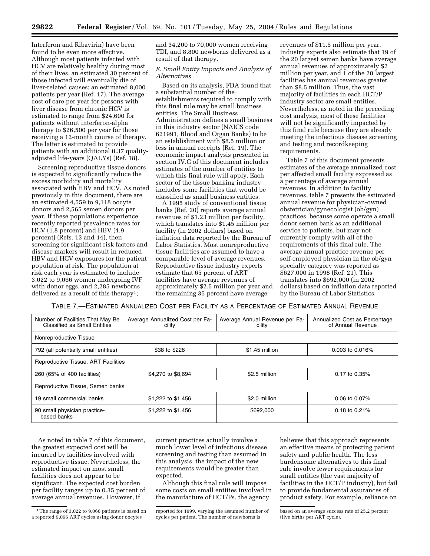Interferon and Ribavirin) have been found to be even more effective. Although most patients infected with HCV are relatively healthy during most of their lives, an estimated 30 percent of those infected will eventually die of liver-related causes; an estimated 8,000 patients per year (Ref. 17). The average cost of care per year for persons with liver disease from chronic HCV is estimated to range from \$24,600 for patients without interferon-alpha therapy to \$26,500 per year for those receiving a 12-month course of therapy. The latter is estimated to provide patients with an additional 0.37 qualityadjusted life-years (QALYs) (Ref. 18).

Screening reproductive tissue donors is expected to significantly reduce the excess morbidity and mortality associated with HBV and HCV. As noted previously in this document, there are an estimated 4,559 to 9,118 oocyte donors and 2,565 semen donors per year. If these populations experience recently reported prevalence rates for HCV (1.8 percent) and HBV (4.9 percent) (Refs. 13 and 14), then screening for significant risk factors and disease markers will result in reduced HBV and HCV exposures for the patient population at risk. The population at risk each year is estimated to include 3,022 to 9,066 women undergoing IVF with donor eggs, and 2,285 newborns delivered as a result of this therapy1;

and 34,200 to 70,000 women receiving TDI, and 8,800 newborns delivered as a result of that therapy.

# *E. Small Entity Impacts and Analysis of Alternatives*

Based on its analysis, FDA found that a substantial number of the establishments required to comply with this final rule may be small business entities. The Small Business Administration defines a small business in this industry sector (NAICS code 621991, Blood and Organ Banks) to be an establishment with \$8.5 million or less in annual receipts (Ref. 19). The economic impact analysis presented in section IV.C of this document includes estimates of the number of entities to which this final rule will apply. Each sector of the tissue banking industry includes some facilities that would be classified as small business entities.

A 1995 study of conventional tissue banks (Ref. 20) reports average annual revenues of \$1.23 million per facility, which translates into \$1.45 million per facility (in 2002 dollars) based on inflation data reported by the Bureau of Labor Statistics. Most nonreproductive tissue facilities are assumed to have a comparable level of average revenues. Reproductive tissue industry experts estimate that 65 percent of ART facilities have average revenues of approximately \$2.5 million per year and the remaining 35 percent have average

revenues of \$11.5 million per year. Industry experts also estimate that 19 of the 20 largest semen banks have average annual revenues of approximately \$2 million per year, and 1 of the 20 largest facilities has annual revenues greater than \$8.5 million. Thus, the vast majority of facilities in each HCT/P industry sector are small entities. Nevertheless, as noted in the preceding cost analysis, most of these facilities will not be significantly impacted by this final rule because they are already meeting the infectious disease screening and testing and recordkeeping requirements.

Table 7 of this document presents estimates of the average annualized cost per affected small facility expressed as a percentage of average annual revenues. In addition to facility revenues, table 7 presents the estimated annual revenue for physician-owned obstetrician/gynecologist (ob/gyn) practices, because some operate a small donor semen bank as an additional service to patients, but may not currently comply with all of the requirements of this final rule. The average annual practice revenue per self-employed physician in the ob/gyn specialty category was reported as \$627,000 in 1998 (Ref. 21). This translates into \$692,000 (in 2002 dollars) based on inflation data reported by the Bureau of Labor Statistics.

TABLE 7.—ESTIMATED ANNUALIZED COST PER FACILITY AS A PERCENTAGE OF ESTIMATED ANNUAL REVENUE

| Number of Facilities That May Be<br>Classified as Small Entities | Average Annualized Cost per Fa-<br>cility | Average Annual Revenue per Fa-<br>cility | Annualized Cost as Percentage<br>of Annual Revenue |  |
|------------------------------------------------------------------|-------------------------------------------|------------------------------------------|----------------------------------------------------|--|
| Nonreproductive Tissue                                           |                                           |                                          |                                                    |  |
| 792 (all potentially small entities)                             | \$38 to \$228                             | \$1.45 million                           | $0.003$ to $0.016\%$                               |  |
| Reproductive Tissue, ART Facilities                              |                                           |                                          |                                                    |  |
| 260 (65% of 400 facilities)                                      | \$4,270 to \$8,694                        | \$2.5 million                            | $0.17$ to $0.35\%$                                 |  |
| Reproductive Tissue, Semen banks                                 |                                           |                                          |                                                    |  |
| 19 small commercial banks                                        | \$1,222 to \$1,456                        | \$2.0 million                            | $0.06$ to $0.07\%$                                 |  |
| 90 small physician practice-<br>based banks                      | \$1,222 to \$1,456                        | \$692,000                                | $0.18$ to $0.21\%$                                 |  |

As noted in table 7 of this document, the greatest expected cost will be incurred by facilities involved with reproductive tissue. Nevertheless, the estimated impact on most small facilities does not appear to be significant. The expected cost burden per facility ranges up to 0.35 percent of average annual revenues. However, if

current practices actually involve a much lower level of infectious disease screening and testing than assumed in this analysis, the impact of the new requirements would be greater than expected.

Although this final rule will impose some costs on small entities involved in the manufacture of HCT/Ps, the agency

believes that this approach represents an effective means of protecting patient safety and public health. The less burdensome alternatives to this final rule involve fewer requirements for small entities (the vast majority of facilities in the HCT/P industry), but fail to provide fundamental assurances of product safety. For example, reliance on

<sup>&</sup>lt;sup>1</sup>The range of 3,022 to 9,066 patients is based on a reported 9,066 ART cycles using donor oocytes

reported for 1999, varying the assumed number of cycles per patient. The number of newborns is

based on an average success rate of 25.2 percent (live births per ART cycle).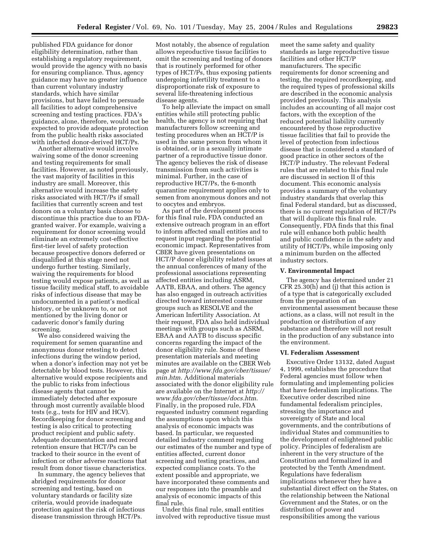published FDA guidance for donor eligibility determination, rather than establishing a regulatory requirement, would provide the agency with no basis for ensuring compliance. Thus, agency guidance may have no greater influence than current voluntary industry standards, which have similar provisions, but have failed to persuade all facilities to adopt comprehensive screening and testing practices. FDA's guidance, alone, therefore, would not be expected to provide adequate protection from the public health risks associated with infected donor-derived HCT/Ps.

Another alternative would involve waiving some of the donor screening and testing requirements for small facilities. However, as noted previously, the vast majority of facilities in this industry are small. Moreover, this alternative would increase the safety risks associated with HCT/Ps if small facilities that currently screen and test donors on a voluntary basis choose to discontinue this practice due to an FDAgranted waiver. For example, waiving a requirement for donor screening would eliminate an extremely cost-effective first-tier level of safety protection because prospective donors deferred or disqualified at this stage need not undergo further testing. Similarly, waiving the requirements for blood testing would expose patients, as well as tissue facility medical staff, to avoidable risks of infectious disease that may be undocumented in a patient's medical history, or be unknown to, or not mentioned by the living donor or cadaveric donor's family during screening.

We also considered waiving the requirement for semen quarantine and anonymous donor retesting to detect infections during the window period, when a donor's infection may not yet be detectable by blood tests. However, this alternative would expose recipients and the public to risks from infectious disease agents that cannot be immediately detected after exposure through most currently available blood tests (e.g., tests for HIV and HCV). Recordkeeping for donor screening and testing is also critical to protecting product recipient and public safety. Adequate documentation and record retention ensure that HCT/Ps can be tracked to their source in the event of infection or other adverse reactions that result from donor tissue characteristics.

In summary, the agency believes that abridged requirements for donor screening and testing, based on voluntary standards or facility size criteria, would provide inadequate protection against the risk of infectious disease transmission through HCT/Ps.

Most notably, the absence of regulation allows reproductive tissue facilities to omit the screening and testing of donors that is routinely performed for other types of HCT/Ps, thus exposing patients undergoing infertility treatment to a disproportionate risk of exposure to several life-threatening infectious disease agents.

To help alleviate the impact on small entities while still protecting public health, the agency is not requiring that manufacturers follow screening and testing procedures when an HCT/P is used in the same person from whom it is obtained, or in a sexually intimate partner of a reproductive tissue donor. The agency believes the risk of disease transmission from such activities is minimal. Further, in the case of reproductive HCT/Ps, the 6-month quarantine requirement applies only to semen from anonymous donors and not to oocytes and embryos.

As part of the development process for this final rule, FDA conducted an extensive outreach program in an effort to inform affected small entities and to request input regarding the potential economic impact. Representatives from CBER have given presentations on HCT/P donor eligibility related issues at the annual conferences of many of the professional associations representing affected entities including ASRM, AATB, EBAA, and others. The agency has also engaged in outreach activities directed toward interested consumer groups such as RESOLVE and the American Infertility Association. At their request, FDA also held individual meetings with groups such as ASRM, EBAA and AATB to discuss specific concerns regarding the impact of the donor eligibility rule. Some of these presentation materials and meeting minutes are available on the CBER Web page at *http://www.fda.gov/cber/tissue/ min.htm*. Additional materials associated with the donor eligibility rule are available on the Internet at *http:// www.fda.gov/cber/tissue/docs.htm*. Finally, in the proposed rule, FDA requested industry comment regarding the assumptions upon which this analysis of economic impacts was based. In particular, we requested detailed industry comment regarding our estimates of the number and type of entities affected, current donor screening and testing practices, and expected compliance costs. To the extent possible and appropriate, we have incorporated these comments and our responses into the preamble and analysis of economic impacts of this final rule.

Under this final rule, small entities involved with reproductive tissue must

meet the same safety and quality standards as large reproductive tissue facilities and other HCT/P manufacturers. The specific requirements for donor screening and testing, the required recordkeeping, and the required types of professional skills are described in the economic analysis provided previously. This analysis includes an accounting of all major cost factors, with the exception of the reduced potential liability currently encountered by those reproductive tissue facilities that fail to provide the level of protection from infectious disease that is considered a standard of good practice in other sectors of the HCT/P industry. The relevant Federal rules that are related to this final rule are discussed in section II of this document. This economic analysis provides a summary of the voluntary industry standards that overlap this final Federal standard, but as discussed, there is no current regulation of HCT/Ps that will duplicate this final rule. Consequently, FDA finds that this final rule will enhance both public health and public confidence in the safety and utility of HCT/Ps, while imposing only a minimum burden on the affected industry sectors.

#### **V. Environmental Impact**

The agency has determined under 21 CFR 25.30(h) and (j) that this action is of a type that is categorically excluded from the preparation of an environmental assessment because these actions, as a class, will not result in the production or distribution of any substance and therefore will not result in the production of any substance into the environment.

#### **VI. Federalism Assessment**

Executive Order 13132, dated August 4, 1999, establishes the procedure that Federal agencies must follow when formulating and implementing policies that have federalism implications. The Executive order described nine fundamental federalism principles, stressing the importance and sovereignty of State and local governments, and the contributions of individual States and communities to the development of enlightened public policy. Principles of federalism are inherent in the very structure of the Constitution and formalized in and protected by the Tenth Amendment. Regulations have federalism implications whenever they have a substantial direct effect on the States, on the relationship between the National Government and the States, or on the distribution of power and responsibilities among the various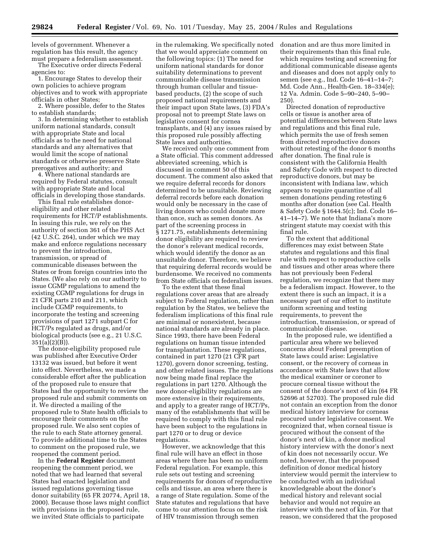levels of government. Whenever a regulation has this result, the agency must prepare a federalism assessment.

The Executive order directs Federal agencies to:

1. Encourage States to develop their own policies to achieve program objectives and to work with appropriate officials in other States;

2. Where possible, defer to the States to establish standards;

3. In determining whether to establish uniform national standards, consult with appropriate State and local officials as to the need for national standards and any alternatives that would limit the scope of national standards or otherwise preserve State prerogatives and authority; and

4. Where national standards are required by Federal statutes, consult with appropriate State and local officials in developing those standards.

This final rule establishes donoreligibility and other related requirements for HCT/P establishments. In issuing this rule, we rely on the authority of section 361 of the PHS Act (42 U.S.C. 264), under which we may make and enforce regulations necessary to prevent the introduction, transmission, or spread of communicable diseases between the States or from foreign countries into the States. (We also rely on our authority to issue CGMP regulations to amend the existing CGMP regulations for drugs in 21 CFR parts 210 and 211, which include CGMP requirements, to incorporate the testing and screening provisions of part 1271 subpart C for HCT/Ps regulated as drugs, and/or biological products (see e.g., 21 U.S.C. 351(a)(2)(B)).

The donor-eligibility proposed rule was published after Executive Order 13132 was issued, but before it went into effect. Nevertheless, we made a considerable effort after the publication of the proposed rule to ensure that States had the opportunity to review the proposed rule and submit comments on it. We directed a mailing of the proposed rule to State health officials to encourage their comments on the proposed rule. We also sent copies of the rule to each State attorney general. To provide additional time to the States to comment on the proposed rule, we reopened the comment period.

In the **Federal Register** document reopening the comment period, we noted that we had learned that several States had enacted legislation and issued regulations governing tissue donor suitability (65 FR 20774, April 18, 2000). Because those laws might conflict with provisions in the proposed rule, we invited State officials to participate

in the rulemaking. We specifically noted that we would appreciate comment on the following topics: (1) The need for uniform national standards for donor suitability determinations to prevent communicable disease transmission through human cellular and tissuebased products, (2) the scope of such proposed national requirements and their impact upon State laws, (3) FDA's proposal not to preempt State laws on legislative consent for cornea transplants, and (4) any issues raised by this proposed rule possibly affecting State laws and authorities.

We received only one comment from a State official. This comment addressed abbreviated screening, which is discussed in comment 50 of this document. The comment also asked that we require deferral records for donors determined to be unsuitable. Reviewing deferral records before each donation would only be necessary in the case of living donors who could donate more than once, such as semen donors. As part of the screening process in § 1271.75, establishments determining donor eligibility are required to review the donor's relevant medical records, which would identify the donor as an unsuitable donor. Therefore, we believe that requiring deferral records would be burdensome. We received no comments from State officials on federalism issues.

To the extent that these final regulations cover areas that are already subject to Federal regulation, rather than regulation by the States, we believe the federalism implications of this final rule are minimal or nonexistent, because national standards are already in place. Since 1993, there have been Federal regulations on human tissue intended for transplantation. These regulations, contained in part 1270 (21 CFR part 1270), govern donor screening, testing, and other related issues. The regulations now being made final replace the regulations in part 1270. Although the new donor-eligibility regulations are more extensive in their requirements, and apply to a greater range of HCT/Ps, many of the establishments that will be required to comply with this final rule have been subject to the regulations in part 1270 or to drug or device regulations.

However, we acknowledge that this final rule will have an effect in those areas where there has been no uniform Federal regulation. For example, this rule sets out testing and screening requirements for donors of reproductive cells and tissue, an area where there is a range of State regulation. Some of the State statutes and regulations that have come to our attention focus on the risk of HIV transmission through semen

donation and are thus more limited in their requirements than this final rule, which requires testing and screening for additional communicable disease agents and diseases and does not apply only to semen (see e.g., Ind. Code 16–41–14–7; Md. Code Ann., Health-Gen. 18–334(e); 12 Va. Admin. Code 5–90–240, 5–90– 250).

Directed donation of reproductive cells or tissue is another area of potential differences between State laws and regulations and this final rule, which permits the use of fresh semen from directed reproductive donors without retesting of the donor 6 months after donation. The final rule is consistent with the California Health and Safety Code with respect to directed reproductive donors, but may be inconsistent with Indiana law, which appears to require quarantine of all semen donations pending retesting 6 months after donation (see Cal. Health & Safety Code § 1644.5(c); Ind. Code 16– 41–14–7). We note that Indiana's more stringent statute may coexist with this final rule.

To the extent that additional differences may exist between State statutes and regulations and this final rule with respect to reproductive cells and tissues and other areas where there has not previously been Federal regulation, we recognize that there may be a federalism impact. However, to the extent there is such an impact, it is a necessary part of our effort to institute uniform screening and testing requirements, to prevent the introduction, transmission, or spread of communicable disease.

In the proposed rule, we identified a particular area where we believed concerns about Federal preemption of State laws could arise: Legislative consent, or the recovery of corneas in accordance with State laws that allow the medical examiner or coroner to procure corneal tissue without the consent of the donor's next of kin (64 FR 52696 at 52703). The proposed rule did not contain an exception from the donor medical history interview for corneas procured under legislative consent. We recognized that, when corneal tissue is procured without the consent of the donor's next of kin, a donor medical history interview with the donor's next of kin does not necessarily occur. We noted, however, that the proposed definition of donor medical history interview would permit the interview to be conducted with an individual knowledgeable about the donor's medical history and relevant social behavior and would not require an interview with the next of kin. For that reason, we considered that the proposed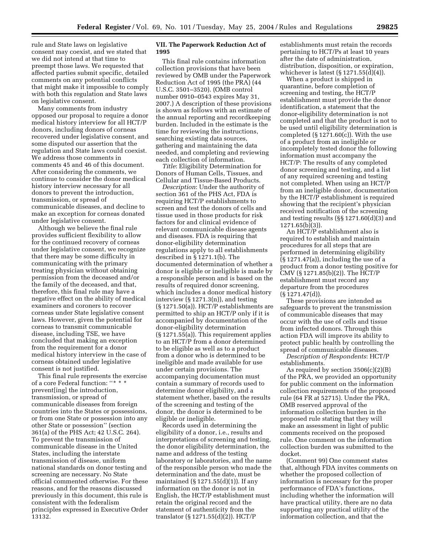rule and State laws on legislative consent may coexist, and we stated that we did not intend at that time to preempt those laws. We requested that affected parties submit specific, detailed comments on any potential conflicts that might make it impossible to comply with both this regulation and State laws on legislative consent.

Many comments from industry opposed our proposal to require a donor medical history interview for all HCT/P donors, including donors of corneas recovered under legislative consent, and some disputed our assertion that the regulation and State laws could coexist. We address those comments in comments 45 and 46 of this document. After considering the comments, we continue to consider the donor medical history interview necessary for all donors to prevent the introduction, transmission, or spread of communicable diseases, and decline to make an exception for corneas donated under legislative consent.

Although we believe the final rule provides sufficient flexibility to allow for the continued recovery of corneas under legislative consent, we recognize that there may be some difficulty in communicating with the primary treating physician without obtaining permission from the deceased and/or the family of the deceased, and that, therefore, this final rule may have a negative effect on the ability of medical examiners and coroners to recover corneas under State legislative consent laws. However, given the potential for corneas to transmit communicable disease, including TSE, we have concluded that making an exception from the requirement for a donor medical history interview in the case of corneas obtained under legislative consent is not justified.

This final rule represents the exercise of a core Federal function: ''\* \* \* prevent[ing] the introduction, transmission, or spread of communicable diseases from foreign countries into the States or possessions, or from one State or possession into any other State or possession'' (section 361(a) of the PHS Act; 42 U.S.C. 264). To prevent the transmission of communicable disease in the United States, including the interstate transmission of disease, uniform national standards on donor testing and screening are necessary. No State official commented otherwise. For these reasons, and for the reasons discussed previously in this document, this rule is consistent with the federalism principles expressed in Executive Order 13132.

### **VII. The Paperwork Reduction Act of 1995**

This final rule contains information collection provisions that have been reviewed by OMB under the Paperwork Reduction Act of 1995 (the PRA) (44 U.S.C. 3501–3520). (OMB control number 0910–0543 expires May 31, 2007.) A description of these provisions is shown as follows with an estimate of the annual reporting and recordkeeping burden. Included in the estimate is the time for reviewing the instructions, searching existing data sources, gathering and maintaining the data needed, and completing and reviewing each collection of information.

*Title*: Eligibility Determination for Donors of Human Cells, Tissues, and Cellular and Tissue-Based Products.

*Description*: Under the authority of section 361 of the PHS Act, FDA is requiring HCT/P establishments to screen and test the donors of cells and tissue used in those products for risk factors for and clinical evidence of relevant communicable disease agents and diseases. FDA is requiring that donor-eligibility determination regulations apply to all establishments described in § 1271.1(b). The documented determination of whether a donor is eligible or ineligible is made by a responsible person and is based on the results of required donor screening, which includes a donor medical history interview (§ 1271.3(n)), and testing (§ 1271.50(a)). HCT/P establishments are permitted to ship an HCT/P only if it is accompanied by documentation of the donor-eligibility determination (§ 1271.55(a)). This requirement applies to an HCT/P from a donor determined to be eligible as well as to a product from a donor who is determined to be ineligible and made available for use under certain provisions. The accompanying documentation must contain a summary of records used to determine donor eligibility, and a statement whether, based on the results of the screening and testing of the donor, the donor is determined to be eligible or ineligible.

Records used in determining the eligibility of a donor, i.e., results and interpretations of screening and testing, the donor eligibility determination, the name and address of the testing laboratory or laboratories, and the name of the responsible person who made the determination and the date, must be maintained  $(\S 1271.55(d)(1))$ . If any information on the donor is not in English, the HCT/P establishment must retain the original record and the statement of authenticity from the translator (§ 1271.55(d)(2)). HCT/P

establishments must retain the records pertaining to HCT/Ps at least 10 years after the date of administration, distribution, disposition, or expiration, whichever is latest  $(\S 1271.55(\tilde{d})(4)).$ 

When a product is shipped in quarantine, before completion of screening and testing, the HCT/P establishment must provide the donor identification, a statement that the donor-eligibility determination is not completed and that the product is not to be used until eligibility determination is completed  $(\S 1271.60(c))$ . With the use of a product from an ineligible or incompletely tested donor the following information must accompany the HCT/P: The results of any completed donor screening and testing, and a list of any required screening and testing not completed. When using an HCT/P from an ineligible donor, documentation by the HCT/P establishment is required showing that the recipient's physician received notification of the screening and testing results (§§ 1271.60(d)(3) and 1271.65(b)(3)).

An HCT/P establishment also is required to establish and maintain procedures for all steps that are performed in determining eligibility (§ 1271.47(a)), including the use of a product from a donor testing positive for CMV (§ 1271.85(b)(2)). The HCT/P establishment must record any departure from the procedures (§ 1271.47(d)).

These provisions are intended as safeguards to prevent the transmission of communicable diseases that may occur with the use of cells and tissue from infected donors. Through this action FDA will improve its ability to protect public health by controlling the spread of communicable diseases.

*Description of Respondents*: HCT/P establishments.

As required by section  $3506(c)(2)(B)$ of the PRA, we provided an opportunity for public comment on the information collection requirements of the proposed rule (64 FR at 52715). Under the PRA, OMB reserved approval of the information collection burden in the proposed rule stating that they will make an assessment in light of public comments received on the proposed rule. One comment on the information collection burden was submitted to the docket.

(Comment 99) One comment states that, although FDA invites comments on whether the proposed collection of information is necessary for the proper performance of FDA's functions, including whether the information will have practical utility, there are no data supporting any practical utility of the information collection, and that the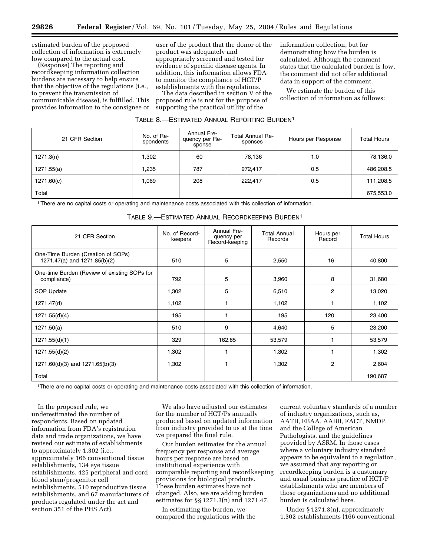estimated burden of the proposed collection of information is extremely low compared to the actual cost.

(Response) The reporting and recordkeeping information collection burdens are necessary to help ensure that the objective of the regulations (i.e., to prevent the transmission of communicable disease), is fulfilled. This provides information to the consignee or user of the product that the donor of the product was adequately and appropriately screened and tested for evidence of specific disease agents. In addition, this information allows FDA to monitor the compliance of HCT/P establishments with the regulations.

The data described in section V of the proposed rule is not for the purpose of supporting the practical utility of the

information collection, but for demonstrating how the burden is calculated. Although the comment states that the calculated burden is low, the comment did not offer additional data in support of the comment.

We estimate the burden of this collection of information as follows:

| TABLE 8.—ESTIMATED ANNUAL REPORTING BURDEN <sup>1</sup> |  |  |  |
|---------------------------------------------------------|--|--|--|
|---------------------------------------------------------|--|--|--|

| 21 CFR Section | No. of Re-<br>spondents | Annual Fre-<br>quency per Re-<br>sponse | <b>Total Annual Re-</b><br>sponses | Hours per Response | <b>Total Hours</b> |
|----------------|-------------------------|-----------------------------------------|------------------------------------|--------------------|--------------------|
| 1271.3(n)      | 302. ا                  | 60                                      | 78,136                             | 1.0                | 78,136.0           |
| 1271.55(a)     | 1.235                   | 787                                     | 972,417                            | 0.5                | 486,208.5          |
| 1271.60(c)     | 069                     | 208                                     | 222.417                            | 0.5                | 111,208.5          |
| Total          |                         |                                         |                                    |                    | 675,553.0          |

1There are no capital costs or operating and maintenance costs associated with this collection of information.

| TABLE 9.—ESTIMATED ANNUAL RECORDKEEPING BURDEN <sup>1</sup> |  |  |
|-------------------------------------------------------------|--|--|
|-------------------------------------------------------------|--|--|

| 21 CFR Section                                                     | No. of Record-<br>keepers | Annual Fre-<br>quency per<br>Record-keeping | <b>Total Annual</b><br>Records | Hours per<br>Record | <b>Total Hours</b> |
|--------------------------------------------------------------------|---------------------------|---------------------------------------------|--------------------------------|---------------------|--------------------|
| One-Time Burden (Creation of SOPs)<br>1271.47(a) and 1271.85(b)(2) | 510                       | 5                                           | 2,550                          | 16                  | 40,800             |
| One-time Burden (Review of existing SOPs for<br>compliance)        | 792                       | 5                                           | 3,960                          | 8                   | 31,680             |
| SOP Update                                                         | 1,302                     | 5                                           | 6,510                          | 2                   | 13,020             |
| 1271.47(d)                                                         | 1,102                     |                                             | 1,102                          |                     | 1,102              |
| 1271.55(d)(4)                                                      | 195                       |                                             | 195                            | 120                 | 23,400             |
| 1271.50(a)                                                         | 510                       | 9                                           | 4,640                          | 5                   | 23,200             |
| 1271.55(d)(1)                                                      | 329                       | 162.85                                      | 53,579                         |                     | 53,579             |
| 1271.55(d)(2)                                                      | 1,302                     |                                             | 1,302                          |                     | 1,302              |
| 1271.60(d)(3) and 1271.65(b)(3)                                    | 1,302                     |                                             | 1,302                          | $\overline{2}$      | 2,604              |
| Total                                                              |                           |                                             |                                |                     | 190,687            |

1There are no capital costs or operating and maintenance costs associated with this collection of information.

In the proposed rule, we underestimated the number of respondents. Based on updated information from FDA's registration data and trade organizations, we have revised our estimate of establishments to approximately 1,302 (i.e., approximately 166 conventional tissue establishments, 134 eye tissue establishments, 425 peripheral and cord blood stem/progenitor cell establishments, 510 reproductive tissue establishments, and 67 manufacturers of products regulated under the act and section 351 of the PHS Act).

We also have adjusted our estimates for the number of HCT/Ps annually produced based on updated information from industry provided to us at the time we prepared the final rule.

Our burden estimates for the annual frequency per response and average hours per response are based on institutional experience with comparable reporting and recordkeeping provisions for biological products. These burden estimates have not changed. Also, we are adding burden estimates for §§ 1271.3(n) and 1271.47.

In estimating the burden, we compared the regulations with the

current voluntary standards of a number of industry organizations, such as, AATB, EBAA, AABB, FACT, NMDP, and the College of American Pathologists, and the guidelines provided by ASRM. In those cases where a voluntary industry standard appears to be equivalent to a regulation, we assumed that any reporting or recordkeeping burden is a customary and usual business practice of HCT/P establishments who are members of those organizations and no additional burden is calculated here.

Under § 1271.3(n), approximately 1,302 establishments (166 conventional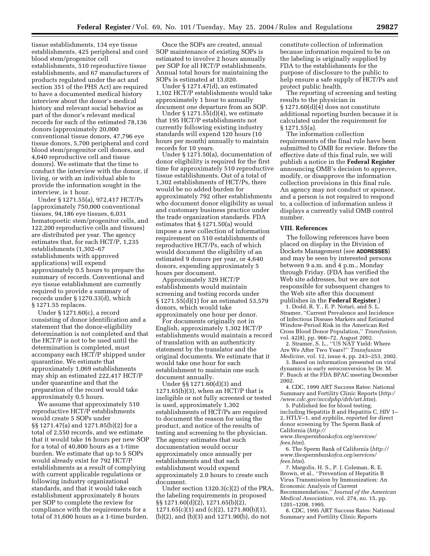tissue establishments, 134 eye tissue establishments, 425 peripheral and cord blood stem/progenitor cell establishments, 510 reproductive tissue establishments, and 67 manufacturers of products regulated under the act and section 351 of the PHS Act) are required to have a documented medical history interview about the donor's medical history and relevant social behavior as part of the donor's relevant medical records for each of the estimated 78,136 donors (approximately 20,000 conventional tissue donors, 47,796 eye tissue donors, 5,700 peripheral and cord blood stem/progenitor cell donors, and 4,640 reproductive cell and tissue donors). We estimate that the time to conduct the interview with the donor, if living, or with an individual able to provide the information sought in the interview, is 1 hour.

Under § 1271.55(a), 972,417 HCT/Ps (approximately 750,000 conventional tissues, 94,186 eye tissues, 6,031 hematopoetic stem/progenitor cells, and 122,200 reproductive cells and tissues) are distributed per year. The agency estimates that, for each HCT/P, 1,235 establishments (1,302–67 establishments with approved applications) will expend approximately 0.5 hours to prepare the summary of records. Conventional and eye tissue establishment are currently required to provide a summary of records under § 1270.33(d), which § 1271.55 replaces.

Under § 1271.60(c), a record consisting of donor identification and a statement that the donor-eligibility determination is not completed and that the HCT/P is not to be used until the determination is completed, must accompany each HCT/P shipped under quarantine. We estimate that approximately 1,069 establishments may ship an estimated 222,417 HCT/P under quarantine and that the preparation of the record would take approximately 0.5 hours.

We assume that approximately 510 reproductive HCT/P establishments would create 5 SOPs under §§ 1271.47(a) and 1271.85(b)(2) for a total of 2,550 records, and we estimate that it would take 16 hours per new SOP for a total of 40,800 hours as a 1-time burden. We estimate that up to 5 SOPs would already exist for 792 HCT/P establishments as a result of complying with current applicable regulations or following industry organizational standards, and that it would take each establishment approximately 8 hours per SOP to complete the review for compliance with the requirements for a total of 31,600 hours as a 1-time burden.

Once the SOPs are created, annual SOP maintenance of existing SOPs is estimated to involve 2 hours annually per SOP for all HCT/P establishments. Annual total hours for maintaining the SOPs is estimated at 13,020.

Under § 1271.47(d), an estimated 1,102 HCT/P establishments would take approximately 1 hour to annually document one departure from an SOP.

Under  $\S 1271.55(d)(4)$ , we estimate that 195 HCT/P establishments not currently following existing industry standards will expend 120 hours (10 hours per month) annually to maintain records for 10 years.

Under § 1271.50(a), documentation of donor eligibility is required for the first time for approximately 510 reproductive tissue establishments. Out of a total of 1,302 establishments of HCT/Ps, there would be no added burden for approximately 792 other establishments who document donor eligibility as usual and customary business practice under the trade organization standards. FDA estimates that § 1271.50(a) would impose a new collection of information requirement on 510 establishments of reproductive HCT/Ps, each of which would document the eligibility of an estimated 9 donors per year, or 4,640 donors, expending approximately 5 hours per document.

Approximately 329 HCT/P establishments would maintain screening and testing records under § 1271.55(d)(1) for an estimated 53,579 donors, which would take approximately one hour per donor.

For documents originally not in English, approximately 1,302 HCT/P establishments would maintain a record of translation with an authenticity statement by the translator and the original documents. We estimate that it would take one hour for each establishment to maintain one such document annually.

Under §§ 1271.60(d)(3) and  $1271.65(b)(3)$ , when an HCT/P that is ineligible or not fully screened or tested is used, approximately 1,302 establishments of HCT/Ps are required to document the reason for using the product, and notice of the results of testing and screening to the physician. The agency estimates that such documentation would occur approximately once annually per establishments and that each establishment would expend approximately 2.0 hours to create such document.

Under section 1320.3(c)(2) of the PRA, the labeling requirements in proposed §§ 1271.60(d)(2), 1271.65(b)(2), 1271.65(c)(1) and (c)(2), 1271.80(b)(1), (b)(2), and (b)(3) and 1271.90(b), do not

constitute collection of information because information required to be on the labeling is originally supplied by FDA to the establishments for the purpose of disclosure to the public to help ensure a safe supply of HCT/Ps and protect public health.

The reporting of screening and testing results to the physician in § 1271.60(d)(4) does not constitute additional reporting burden because it is calculated under the requirement for § 1271.55(a).

The information collection requirements of the final rule have been submitted to OMB for review. Before the effective date of this final rule, we will publish a notice in the **Federal Register** announcing OMB's decision to approve, modify, or disapprove the information collection provisions in this final rule. An agency may not conduct or sponsor, and a person is not required to respond to, a collection of information unless it displays a currently valid OMB control number.

# **VIII. References**

The following references have been placed on display in the Division of Dockets Management (see **ADDRESSES**) and may be seen by interested persons between 9 a.m. and 4 p.m., Monday through Friday. (FDA has verified the Web site addresses, but we are not responsible for subsequent changes to the Web site after this document publishes in the **Federal Register**.)

1. Dodd, R. Y., E. P. Notari, and S. L. Stramer, ''Current Prevalence and Incidence of Infectious Disease Markers and Estimated Window-Period Risk in the American Red Cross Blood Donor Population,'' *Transfusion*, vol. 42(8), pp. 966–72, August 2002.

2. Stramer, S. L., ''US NAT Yield: Where Are We After Two Years?'' *Transfusion* 

*Medicine*, vol. 12, issue 4, pp. 243–253, 2002. 3. Based on information presented on viral dynamics in early seroconversion by Dr. M. P. Busch at the FDA BPAC meeting December 2002.

4. CDC, 1999 ART Success Rates: National Summary and Fertility Clinic Reports (*http:/ /www.cdc.gov/nccdphp/drh/art.htm*).

5. Published fee for blood testing, including Hepatitis B and Hepatitis C, HIV 1– 2, HTLV–1, and syphilis, reported for direct donor screening by The Sperm Bank of California (*http://*

*www.thespermbankofca.org/services/ fees.htm*).

6. The Sperm Bank of California (*http:// www.thespermbankofca.org/services/ fees.htm*).

7. Margolis, H. S., P. J. Coleman, R. E. Brown, et al., ''Prevention of Hepatitis B Virus Transmission by Immunization: An Economic Analysis of Current Recommendations,'' *Journal of the American Medical Association*, vol. 274, no. 15, pp. 1201–1208, 1995.

8. CDC, 1995 ART Success Rates: National Summary and Fertility Clinic Reports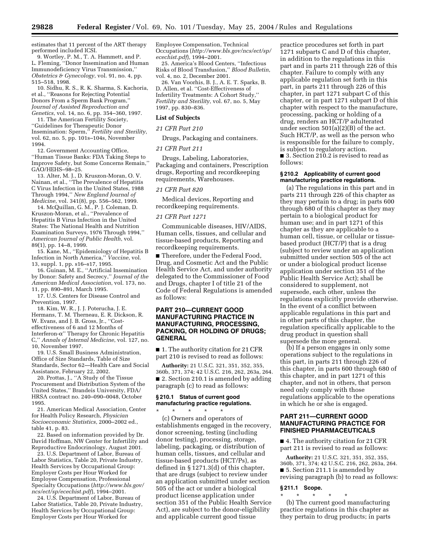estimates that 11 percent of the ART therapy performed included ICSI.

9. Wortley, P. M., T. A. Hammett, and P. L. Fleming, ''Donor Insemination and Human Immunodeficiency Virus Transmission,'' *Obstetrics & Gynecology*, vol. 91, no. 4, pp. 515–518, 1998.

10. Sidhu, R. S., R. K. Sharma, S. Kachoria, et al., ''Reasons for Rejecting Potential Donors From a Sperm Bank Program,'' *Journal of Assisted Reproduction and Genetics*, vol. 14, no. 6, pp. 354–360, 1997.

11. The American Fertility Society, ''Guidelines for Therapeutic Donor Insemination: Sperm,'' *Fertility and Sterility*, vol. 62, no. 5, pp. 101s–104s, November 1994.

12. Government Accounting Office, ''Human Tissue Banks: FDA Taking Steps to Improve Safety, but Some Concerns Remain,'' GAO/HEHS–98–25.

13. Alter, M. J., D. Kruszon-Moran, O. V. Nainan, et al., ''The Prevalence of Hepatitis C Virus Infection in the United States, 1988 Through 1994,'' *New England Journal of Medicine*, vol. 341(8), pp. 556–562, 1999.

14. McQuillan, G. M., P. J. Coleman, D. Kruszon-Moran, et al., ''Prevalence of Hepatitis B Virus Infection in the United States: The National Health and Nutrition Examination Surveys, 1976 Through 1994,'' *American Journal of Public Health*, vol. 89(1), pp. 14–8, 1999.

15. Kane, M., ''Epidemiology of Hepatitis B Infection in North America,'' *Vaccine*, vol. 13, suppl. 1, pp. s16–s17, 1995.

16. Guinan, M. E., ''Artificial Insemination by Donor: Safety and Secrecy,'' *Journal of the American Medical Association*, vol. 173, no. 11, pp. 890–891, March 1995.

17. U.S. Centers for Disease Control and Prevention, 1997.

18. Kim, W. R., J. J. Poterucha, J. E. Hermans, T. M. Therneau, E. R. Dickson, R. W. Evans, and J. B. Gross, Jr., ''Costeffectiveness of 6 and 12 Months of Interferon-a'' Therapy for Chronic Hepatitis C,'' *Annals of Internal Medicine*, vol. 127, no. 10, November 1997.

19. U.S. Small Business Administration, Office of Size Standards, Table of Size Standards, Sector 62—Health Care and Social Assistance, February 22, 2002.

20. Prottas, J., ''A Study of the Tissue Procurement and Distribution System of the United States,'' Brandeis University, FDA/ HRSA contract no. 240–090–0048, October 1995.

21. American Medical Association, Center for Health Policy Research, *Physician Socioeconomic Statistics*, 2000–2002 ed., table 41, p. 83.

22. Based on information provided by Dr. David Hoffman, NW Center for Infertility and Reproductive Endocrinology, August 2001.

23. U.S. Department of Labor, Bureau of Labor Statistics, Table 20, Private Industry, Health Services by Occupational Group: Employer Costs per Hour Worked for Employee Compensation, Professional Specialty Occupations (*http://www.bls.gov/ ncs/ect/sp/ecechist.pdf*), 1994–2001.

24. U.S. Department of Labor, Bureau of Labor Statistics, Table 20, Private Industry, Health Services by Occupational Group: Employer Costs per Hour Worked for

Employee Compensation, Technical Occupations (*http://www.bls.gov/ncs/ect/sp/ ecechist.pdf*), 1994–2001.

25. America's Blood Centers, ''Infectious Risks of Blood Transfusion,'' *Blood Bulletin*, vol. 4, no. 2, December 2001.

26. Van Voorhis, B. J., A. E. T. Sparks, B. D. Allen, et al. ''Cost-Effectiveness of Infertility Treatments: A Cohort Study,'' *Fertility and Sterility*, vol. 67, no. 5, May 1997, pp. 830–836.

#### **List of Subjects**

#### *21 CFR Part 210*

Drugs, Packaging and containers.

#### *21 CFR Part 211*

Drugs, Labeling, Laboratories, Packaging and containers, Prescription drugs, Reporting and recordkeeping requirements, Warehouses.

#### *21 CFR Part 820*

Medical devices, Reporting and recordkeeping requirements.

#### *21 CFR Part 1271*

Communicable diseases, HIV/AIDS, Human cells, tissues, and cellular and tissue-based products, Reporting and recordkeeping requirements.

■ Therefore, under the Federal Food, Drug, and Cosmetic Act and the Public Health Service Act, and under authority delegated to the Commissioner of Food and Drugs, chapter I of title 21 of the Code of Federal Regulations is amended as follows:

# **PART 210—CURRENT GOOD MANUFACTURING PRACTICE IN MANUFACTURING, PROCESSING, PACKING, OR HOLDING OF DRUGS; GENERAL**

■ 1. The authority citation for 21 CFR part 210 is revised to read as follows:

**Authority:** 21 U.S.C. 321, 351, 352, 355, 360b, 371, 374; 42 U.S.C. 216, 262, 263a, 264. ■ 2. Section 210.1 is amended by adding paragraph (c) to read as follows:

# **§ 210.1 Status of current good manufacturing practice regulations.**

\* \* \* \* \*

(c) Owners and operators of establishments engaged in the recovery, donor screening, testing (including donor testing), processing, storage, labeling, packaging, or distribution of human cells, tissues, and cellular and tissue-based products (HCT/Ps), as defined in § 1271.3(d) of this chapter, that are drugs (subject to review under an application submitted under section 505 of the act or under a biological product license application under section 351 of the Public Health Service Act), are subject to the donor-eligibility and applicable current good tissue

practice procedures set forth in part 1271 subparts C and D of this chapter, in addition to the regulations in this part and in parts 211 through 226 of this chapter. Failure to comply with any applicable regulation set forth in this part, in parts 211 through 226 of this chapter, in part 1271 subpart C of this chapter, or in part 1271 subpart D of this chapter with respect to the manufacture, processing, packing or holding of a drug, renders an HCT/P adulterated under section 501(a)(2)(B) of the act. Such HCT/P, as well as the person who is responsible for the failure to comply, is subject to regulatory action. ■ 3. Section 210.2 is revised to read as

follows:

#### **§ 210.2 Applicability of current good manufacturing practice regulations.**

(a) The regulations in this part and in parts 211 through 226 of this chapter as they may pertain to a drug; in parts 600 through 680 of this chapter as they may pertain to a biological product for human use; and in part 1271 of this chapter as they are applicable to a human cell, tissue, or cellular or tissuebased product (HCT/P) that is a drug (subject to review under an application submitted under section 505 of the act or under a biological product license application under section 351 of the Public Health Service Act); shall be considered to supplement, not supersede, each other, unless the regulations explicitly provide otherwise. In the event of a conflict between applicable regulations in this part and in other parts of this chapter, the regulation specifically applicable to the drug product in question shall supersede the more general.

(b) If a person engages in only some operations subject to the regulations in this part, in parts 211 through 226 of this chapter, in parts 600 through 680 of this chapter, and in part 1271 of this chapter, and not in others, that person need only comply with those regulations applicable to the operations in which he or she is engaged.

# **PART 211—CURRENT GOOD MANUFACTURING PRACTICE FOR FINISHED PHARMACEUTICALS**

■ 4. The authority citation for 21 CFR part 211 is revised to read as follows:

**Authority:** 21 U.S.C. 321, 351, 352, 355, 360b, 371, 374; 42 U.S.C. 216, 262, 263a, 264. ■ 5. Section 211.1 is amended by revising paragraph (b) to read as follows:

#### **§ 211.1 Scope.**

\* \* \* \* \* (b) The current good manufacturing practice regulations in this chapter as they pertain to drug products; in parts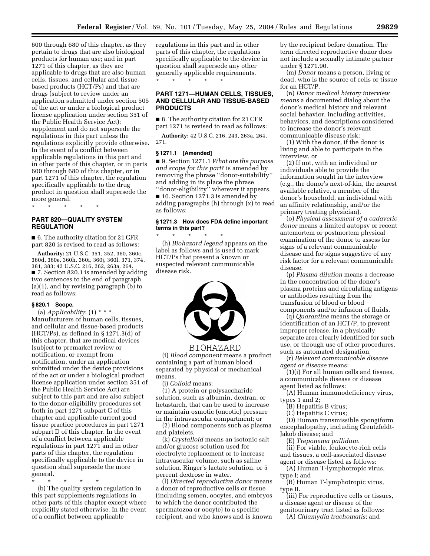600 through 680 of this chapter, as they pertain to drugs that are also biological products for human use; and in part 1271 of this chapter, as they are applicable to drugs that are also human cells, tissues, and cellular and tissuebased products (HCT/Ps) and that are drugs (subject to review under an application submitted under section 505 of the act or under a biological product license application under section 351 of the Public Health Service Act); supplement and do not supersede the regulations in this part unless the regulations explicitly provide otherwise. In the event of a conflict between applicable regulations in this part and in other parts of this chapter, or in parts 600 through 680 of this chapter, or in part 1271 of this chapter, the regulation specifically applicable to the drug product in question shall supersede the more general.

\* \* \* \* \*

# **PART 820—QUALITY SYSTEM REGULATION**

■ 6. The authority citation for 21 CFR part 820 is revised to read as follows:

**Authority:** 21 U.S.C. 351, 352, 360, 360c, 360d, 360e, 360h, 360i, 360j, 360l, 371, 374, 381, 383; 42 U.S.C. 216, 262, 263a, 264. ■ 7. Section 820.1 is amended by adding two sentences to the end of paragraph (a)(1), and by revising paragraph (b) to read as follows:

# **§ 820.1 Scope.**

(a) *Applicability*. (1) \* \* \* Manufacturers of human cells, tissues, and cellular and tissue-based products  $(HCT/Ps)$ , as defined in § 1271.3(d) of this chapter, that are medical devices (subject to premarket review or notification, or exempt from notification, under an application submitted under the device provisions of the act or under a biological product license application under section 351 of the Public Health Service Act) are subject to this part and are also subject to the donor-eligibility procedures set forth in part 1271 subpart C of this chapter and applicable current good tissue practice procedures in part 1271 subpart D of this chapter. In the event of a conflict between applicable regulations in part 1271 and in other parts of this chapter, the regulation specifically applicable to the device in question shall supersede the more general.

\* \* \* \* \* (b) The quality system regulation in this part supplements regulations in other parts of this chapter except where explicitly stated otherwise. In the event of a conflict between applicable

regulations in this part and in other parts of this chapter, the regulations specifically applicable to the device in question shall supersede any other generally applicable requirements. \* \* \* \* \*

# **PART 1271—HUMAN CELLS, TISSUES, AND CELLULAR AND TISSUE-BASED PRODUCTS**

■ 8. The authority citation for 21 CFR part 1271 is revised to read as follows:

**Authority:** 42 U.S.C. 216, 243, 263a, 264, 271.

# **§ 1271.1 [Amended]**

■ 9. Section 1271.1 *What are the purpose and scope for this part?* is amended by removing the phrase ''donor-suitability'' and adding in its place the phrase "donor-eligibility" wherever it appears. ■ 10. Section 1271.3 is amended by adding paragraphs (h) through (x) to read as follows:

#### **§ 1271.3 How does FDA define important terms in this part?**

\* \* \* \* \* (h) *Biohazard legend* appears on the label as follows and is used to mark HCT/Ps that present a known or suspected relevant communicable disease risk.



BIOHAZARD (i) *Blood component* means a product

containing a part of human blood separated by physical or mechanical means.

(j) *Colloid* means:

(1) A protein or polysaccharide solution, such as albumin, dextran, or hetastarch, that can be used to increase or maintain osmotic (oncotic) pressure in the intravascular compartment; or

(2) Blood components such as plasma and platelets.

(k) *Crystalloid* means an isotonic salt and/or glucose solution used for electrolyte replacement or to increase intravascular volume, such as saline solution, Ringer's lactate solution, or 5 percent dextrose in water.

(l) *Directed reproductive donor* means a donor of reproductive cells or tissue (including semen, oocytes, and embryos to which the donor contributed the spermatozoa or oocyte) to a specific recipient, and who knows and is known

by the recipient before donation. The term directed reproductive donor does not include a sexually intimate partner under § 1271.90.

(m) *Donor* means a person, living or dead, who is the source of cells or tissue for an HCT/P.

(n) *Donor medical history interview means* a documented dialog about the donor's medical history and relevant social behavior, including activities, behaviors, and descriptions considered to increase the donor's relevant communicable disease risk:

(1) With the donor, if the donor is living and able to participate in the interview, or

(2) If not, with an individual or individuals able to provide the information sought in the interview (e.g., the donor's next-of-kin, the nearest available relative, a member of the donor's household, an individual with an affinity relationship, and/or the primary treating physician).

(o) *Physical assessment of a cadaveric donor* means a limited autopsy or recent antemortem or postmortem physical examination of the donor to assess for signs of a relevant communicable disease and for signs suggestive of any risk factor for a relevant communicable disease.

(p) *Plasma dilution* means a decrease in the concentration of the donor's plasma proteins and circulating antigens or antibodies resulting from the transfusion of blood or blood components and/or infusion of fluids.

(q) *Quarantine* means the storage or identification of an HCT/P, to prevent improper release, in a physically separate area clearly identified for such use, or through use of other procedures, such as automated designation.

(r) *Relevant communicable disease agent or disease* means:

(1)(i) For all human cells and tissues, a communicable disease or disease agent listed as follows:

(A) Human immunodeficiency virus, types 1 and 2;

(B) Hepatitis B virus;

(C) Hepatitis C virus;

(D) Human transmissible spongiform encephalopathy, including Creutzfeldt-Jakob disease; and

(E) *Treponema pallidum*.

(ii) For viable, leukocyte-rich cells and tissues, a cell-associated disease agent or disease listed as follows:

(A) Human T-lymphotropic virus, type I; and

(B) Human T-lymphotropic virus, type II.

(iii) For reproductive cells or tissues, a disease agent or disease of the

genitourinary tract listed as follows: (A) *Chlamydia trachomatis*; and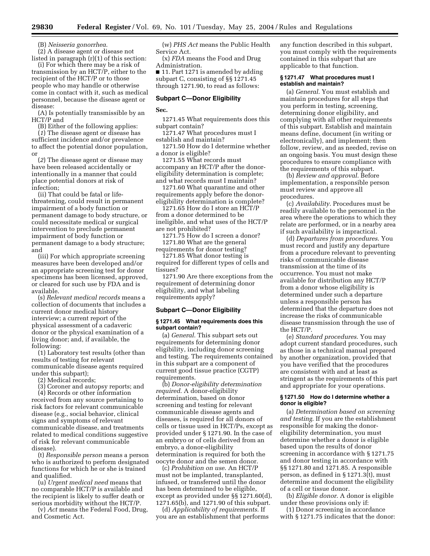(B) *Neisseria gonorrhea*.

(2) A disease agent or disease not listed in paragraph (r)(1) of this section:

(i) For which there may be a risk of transmission by an HCT/P, either to the recipient of the HCT/P or to those people who may handle or otherwise come in contact with it, such as medical personnel, because the disease agent or disease:

(A) Is potentially transmissible by an HCT/P and

(B) Either of the following applies:

(*1*) The disease agent or disease has sufficient incidence and/or prevalence to affect the potential donor population, or

(*2*) The disease agent or disease may have been released accidentally or intentionally in a manner that could place potential donors at risk of infection;

(ii) That could be fatal or lifethreatening, could result in permanent impairment of a body function or permanent damage to body structure, or could necessitate medical or surgical intervention to preclude permanent impairment of body function or permanent damage to a body structure; and

(iii) For which appropriate screening measures have been developed and/or an appropriate screening test for donor specimens has been licensed, approved, or cleared for such use by FDA and is available.

(s) *Relevant medical records* means a collection of documents that includes a current donor medical history interview; a current report of the physical assessment of a cadaveric donor or the physical examination of a living donor; and, if available, the following:

(1) Laboratory test results (other than results of testing for relevant communicable disease agents required under this subpart);

(2) Medical records;

(3) Coroner and autopsy reports; and (4) Records or other information

received from any source pertaining to risk factors for relevant communicable disease (e.g., social behavior, clinical signs and symptoms of relevant communicable disease, and treatments related to medical conditions suggestive of risk for relevant communicable disease).

(t) *Responsible person* means a person who is authorized to perform designated functions for which he or she is trained and qualified.

(u) *Urgent medical need* means that no comparable HCT/P is available and the recipient is likely to suffer death or serious morbidity without the HCT/P.

(v) *Act* means the Federal Food, Drug, and Cosmetic Act.

(w) *PHS Act* means the Public Health Service Act.

(x) *FDA* means the Food and Drug Administration.

■ 11. Part 1271 is amended by adding subpart C, consisting of §§ 1271.45 through 1271.90, to read as follows:

# **Subpart C—Donor Eligibility**

**Sec.**

1271.45 What requirements does this subpart contain?

1271.47 What procedures must I establish and maintain?

1271.50 How do I determine whether a donor is eligible?

1271.55 What records must accompany an HCT/P after the donoreligibility determination is complete; and what records must I maintain?

1271.60 What quarantine and other requirements apply before the donoreligibility determination is complete?

1271.65 How do I store an HCT/P from a donor determined to be ineligible, and what uses of the HCT/P are not prohibited?

1271.75 How do I screen a donor? 1271.80 What are the general

requirements for donor testing? 1271.85 What donor testing is

required for different types of cells and tissues?

1271.90 Are there exceptions from the requirement of determining donor eligibility, and what labeling requirements apply?

#### **Subpart C—Donor Eligibility**

#### **§ 1271.45 What requirements does this subpart contain?**

(a) *General*. This subpart sets out requirements for determining donor eligibility, including donor screening and testing. The requirements contained in this subpart are a component of current good tissue practice (CGTP) requirements.

(b) *Donor-eligibility determination required*. A donor-eligibility determination, based on donor screening and testing for relevant communicable disease agents and diseases, is required for all donors of cells or tissue used in HCT/Ps, except as provided under § 1271.90. In the case of an embryo or of cells derived from an embryo, a donor-eligibility determination is required for both the oocyte donor and the semen donor.

(c) *Prohibition on use*. An HCT/P must not be implanted, transplanted, infused, or transferred until the donor has been determined to be eligible, except as provided under §§ 1271.60(d), 1271.65(b), and 1271.90 of this subpart.

(d) *Applicability of requirements*. If you are an establishment that performs any function described in this subpart, you must comply with the requirements contained in this subpart that are applicable to that function.

# **§ 1271.47 What procedures must I establish and maintain?**

(a) *General*. You must establish and maintain procedures for all steps that you perform in testing, screening, determining donor eligibility, and complying with all other requirements of this subpart. Establish and maintain means define, document (in writing or electronically), and implement; then follow, review, and as needed, revise on an ongoing basis. You must design these procedures to ensure compliance with the requirements of this subpart.

(b) *Review and approval*. Before implementation, a responsible person must review and approve all procedures.

(c) *Availability*. Procedures must be readily available to the personnel in the area where the operations to which they relate are performed, or in a nearby area if such availability is impractical.

(d) *Departures from procedures*. You must record and justify any departure from a procedure relevant to preventing risks of communicable disease transmission at the time of its occurrence. You must not make available for distribution any HCT/P from a donor whose eligibility is determined under such a departure unless a responsible person has determined that the departure does not increase the risks of communicable disease transmission through the use of the HCT/P.

(e) *Standard procedures*. You may adopt current standard procedures, such as those in a technical manual prepared by another organization, provided that you have verified that the procedures are consistent with and at least as stringent as the requirements of this part and appropriate for your operations.

# **§ 1271.50 How do I determine whether a donor is eligible?**

(a) *Determination based on screening and testing*. If you are the establishment responsible for making the donoreligibility determination, you must determine whether a donor is eligible based upon the results of donor screening in accordance with § 1271.75 and donor testing in accordance with §§ 1271.80 and 1271.85. A responsible person, as defined in § 1271.3(t), must determine and document the eligibility of a cell or tissue donor.

(b) *Eligible donor*. A donor is eligible under these provisions only if:

(1) Donor screening in accordance with § 1271.75 indicates that the donor: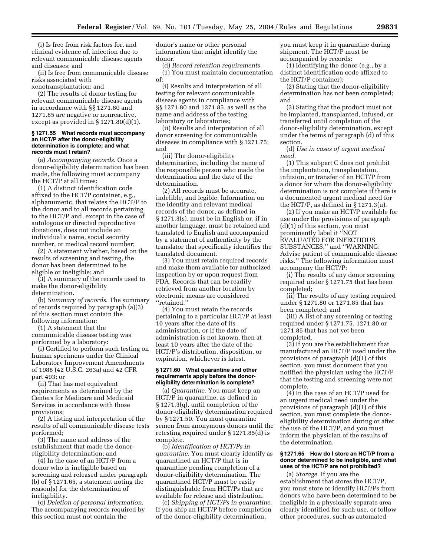(i) Is free from risk factors for, and clinical evidence of, infection due to relevant communicable disease agents and diseases; and

(ii) Is free from communicable disease risks associated with xenotransplantation; and

(2) The results of donor testing for relevant communicable disease agents in accordance with §§ 1271.80 and 1271.85 are negative or nonreactive, except as provided in § 1271.80(d)(1).

#### **§ 1271.55 What records must accompany an HCT/P after the donor-eligibility determination is complete; and what records must I retain?**

(a) *Accompanying records*. Once a donor-eligibility determination has been made, the following must accompany the HCT/P at all times:

(1) A distinct identification code affixed to the HCT/P container, e.g., alphanumeric, that relates the HCT/P to the donor and to all records pertaining to the HCT/P and, except in the case of autologous or directed reproductive donations, does not include an individual's name, social security number, or medical record number;

(2) A statement whether, based on the results of screening and testing, the donor has been determined to be eligible or ineligible; and

(3) A summary of the records used to make the donor-eligibility determination.

(b) *Summary of records*. The summary of records required by paragraph (a)(3) of this section must contain the following information:

(1) A statement that the communicable disease testing was

performed by a laboratory:

(i) Certified to perform such testing on human specimens under the Clinical Laboratory Improvement Amendments of 1988 (42 U.S.C. 263a) and 42 CFR part 493; or

(ii) That has met equivalent requirements as determined by the Centers for Medicare and Medicaid Services in accordance with those provisions;

(2) A listing and interpretation of the results of all communicable disease tests performed;

(3) The name and address of the establishment that made the donoreligibility determination; and

(4) In the case of an HCT/P from a donor who is ineligible based on screening and released under paragraph (b) of § 1271.65, a statement noting the reason(s) for the determination of ineligibility.

(c) *Deletion of personal information*. The accompanying records required by this section must not contain the

donor's name or other personal information that might identify the donor.

(d) *Record retention requirements*. (1) You must maintain documentation of:

(i) Results and interpretation of all testing for relevant communicable disease agents in compliance with §§ 1271.80 and 1271.85, as well as the name and address of the testing laboratory or laboratories;

(ii) Results and interpretation of all donor screening for communicable diseases in compliance with § 1271.75; and

(iii) The donor-eligibility determination, including the name of the responsible person who made the determination and the date of the determination.

(2) All records must be accurate, indelible, and legible. Information on the identity and relevant medical records of the donor, as defined in § 1271.3(s), must be in English or, if in another language, must be retained and translated to English and accompanied by a statement of authenticity by the translator that specifically identifies the translated document.

(3) You must retain required records and make them available for authorized inspection by or upon request from FDA. Records that can be readily retrieved from another location by electronic means are considered ''retained.''

(4) You must retain the records pertaining to a particular HCT/P at least 10 years after the date of its administration, or if the date of administration is not known, then at least 10 years after the date of the HCT/P's distribution, disposition, or expiration, whichever is latest.

#### **§ 1271.60 What quarantine and other requirements apply before the donoreligibility determination is complete?**

(a) *Quarantine*. You must keep an HCT/P in quarantine, as defined in § 1271.3(q), until completion of the donor-eligibility determination required by § 1271.50. You must quarantine semen from anonymous donors until the retesting required under § 1271.85(d) is complete.

(b) *Identification of HCT/Ps in quarantine*. You must clearly identify as quarantined an HCT/P that is in quarantine pending completion of a donor-eligibility determination. The quarantined HCT/P must be easily distinguishable from HCT/Ps that are available for release and distribution.

(c) *Shipping of HCT/Ps in quarantine*. If you ship an HCT/P before completion of the donor-eligibility determination,

you must keep it in quarantine during shipment. The HCT/P must be accompanied by records:

(1) Identifying the donor (e.g., by a distinct identification code affixed to the HCT/P container);

(2) Stating that the donor-eligibility determination has not been completed; and

(3) Stating that the product must not be implanted, transplanted, infused, or transferred until completion of the donor-eligibility determination, except under the terms of paragraph (d) of this section.

(d) *Use in cases of urgent medical need*.

(1) This subpart C does not prohibit the implantation, transplantation, infusion, or transfer of an HCT/P from a donor for whom the donor-eligibility determination is not complete if there is a documented urgent medical need for the HCT/P, as defined in § 1271.3(u).

(2) If you make an HCT/P available for use under the provisions of paragraph (d)(1) of this section, you must prominently label it ''NOT EVALUATED FOR INFECTIOUS SUBSTANCES,'' and ''WARNING: Advise patient of communicable disease risks.'' The following information must accompany the HCT/P:

(i) The results of any donor screening required under § 1271.75 that has been completed;

(ii) The results of any testing required under § 1271.80 or 1271.85 that has been completed; and

(iii) A list of any screening or testing required under § 1271.75, 1271.80 or 1271.85 that has not yet been completed.

(3) If you are the establishment that manufactured an HCT/P used under the provisions of paragraph (d)(1) of this section, you must document that you notified the physician using the HCT/P that the testing and screening were not complete.

(4) In the case of an HCT/P used for an urgent medical need under the provisions of paragraph (d)(1) of this section, you must complete the donoreligibility determination during or after the use of the HCT/P, and you must inform the physician of the results of the determination.

#### **§ 1271.65 How do I store an HCT/P from a donor determined to be ineligible, and what uses of the HCT/P are not prohibited?**

(a) *Storage*. If you are the establishment that stores the HCT/P, you must store or identify HCT/Ps from donors who have been determined to be ineligible in a physically separate area clearly identified for such use, or follow other procedures, such as automated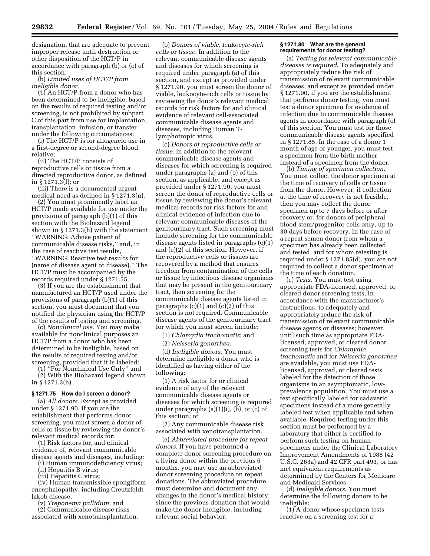designation, that are adequate to prevent improper release until destruction or other disposition of the HCT/P in accordance with paragraph (b) or (c) of this section.

(b) *Limited uses of HCT/P from ineligible donor*.

(1) An HCT/P from a donor who has been determined to be ineligible, based on the results of required testing and/or screening, is not prohibited by subpart C of this part from use for implantation, transplantation, infusion, or transfer under the following circumstances:

(i) The HCT/P is for allogeneic use in a first-degree or second-degree blood relative;

(ii) The HCT/P consists of reproductive cells or tissue from a directed reproductive donor, as defined in § 1271.3(l); or

(iii) There is a documented urgent medical need as defined in § 1271.3(u).

(2) You must prominently label an HCT/P made available for use under the provisions of paragraph (b)(1) of this section with the Biohazard legend shown in § 1271.3(h) with the statement ''WARNING: Advise patient of communicable disease risks,'' and, in the case of reactive test results, ''WARNING: Reactive test results for (name of disease agent or disease).'' The HCT/P must be accompanied by the records required under § 1271.55.

(3) If you are the establishment that manufactured an HCT/P used under the provisions of paragraph (b)(1) of this section, you must document that you notified the physician using the HCT/P of the results of testing and screening.

(c) *Nonclinical use*. You may make available for nonclinical purposes an HCT/P from a donor who has been determined to be ineligible, based on the results of required testing and/or screening, provided that it is labeled:

(1) ''For Nonclinical Use Only'' and (2) With the Biohazard legend shown in § 1271.3(h).

#### **§ 1271.75 How do I screen a donor?**

(a) *All donors*. Except as provided under § 1271.90, if you are the establishment that performs donor screening, you must screen a donor of cells or tissue by reviewing the donor's relevant medical records for:

(1) Risk factors for, and clinical evidence of, relevant communicable disease agents and diseases, including:

(i) Human immunodeficiency virus;

(ii) Hepatitis B virus;

(iii) Hepatitis C virus;

(iv) Human transmissible spongiform encephalopathy, including Creutzfeldt-Jakob disease;

(v) *Treponema pallidum*; and

(2) Communicable disease risks associated with xenotransplantation.

(b) *Donors of viable, leukocyte-rich cells or tissue*. In addition to the relevant communicable disease agents and diseases for which screening is required under paragraph (a) of this section, and except as provided under § 1271.90, you must screen the donor of viable, leukocyte-rich cells or tissue by reviewing the donor's relevant medical records for risk factors for and clinical evidence of relevant cell-associated communicable disease agents and diseases, including Human Tlymphotropic virus.

(c) *Donors of reproductive cells or tissue*. In addition to the relevant communicable disease agents and diseases for which screening is required under paragraphs (a) and (b) of this section, as applicable, and except as provided under § 1271.90, you must screen the donor of reproductive cells or tissue by reviewing the donor's relevant medical records for risk factors for and clinical evidence of infection due to relevant communicable diseases of the genitourinary tract. Such screening must include screening for the communicable disease agents listed in paragraphs (c)(1) and (c)(2) of this section. However, if the reproductive cells or tissues are recovered by a method that ensures freedom from contamination of the cells or tissue by infectious disease organisms that may be present in the genitourinary tract, then screening for the communicable disease agents listed in paragraphs  $(c)(1)$  and  $(c)(2)$  of this section is not required. Communicable disease agents of the genitourinary tract for which you must screen include:

(1) *Chlamydia trachomatis*; and

(2) *Neisseria gonorrhea*.

(d) *Ineligible donors*. You must determine ineligible a donor who is identified as having either of the following:

(1) A risk factor for or clinical evidence of any of the relevant communicable disease agents or diseases for which screening is required under paragraphs  $(a)(1)(i)$ ,  $(b)$ , or  $(c)$  of this section; or

(2) Any communicable disease risk associated with xenotransplantation.

(e) *Abbreviated procedure for repeat donors*. If you have performed a complete donor screening procedure on a living donor within the previous 6 months, you may use an abbreviated donor screening procedure on repeat donations. The abbreviated procedure must determine and document any changes in the donor's medical history since the previous donation that would make the donor ineligible, including relevant social behavior.

#### **§ 1271.80 What are the general requirements for donor testing?**

(a) *Testing for relevant communicable diseases is required*. To adequately and appropriately reduce the risk of transmission of relevant communicable diseases, and except as provided under § 1271.90, if you are the establishment that performs donor testing, you must test a donor specimen for evidence of infection due to communicable disease agents in accordance with paragraph (c) of this section. You must test for those communicable disease agents specified in § 1271.85. In the case of a donor 1 month of age or younger, you must test a specimen from the birth mother instead of a specimen from the donor.

(b) *Timing of specimen collection*. You must collect the donor specimen at the time of recovery of cells or tissue from the donor. However, if collection at the time of recovery is not feasible, then you may collect the donor specimen up to 7 days before or after recovery or, for donors of peripheral blood stem/progenitor cells only, up to 30 days before recovery. In the case of a repeat semen donor from whom a specimen has already been collected and tested, and for whom retesting is required under § 1271.85(d), you are not required to collect a donor specimen at the time of each donation.

(c) *Tests*. You must test using appropriate FDA-licensed, approved, or cleared donor screening tests, in accordance with the manufacturer's instructions, to adequately and appropriately reduce the risk of transmission of relevant communicable disease agents or diseases; however, until such time as appropriate FDAlicensed, approved, or cleared donor screening tests for *Chlamydia trachomatis* and for *Neisseria gonorrhea* are available, you must use FDAlicensed, approved, or cleared tests labeled for the detection of those organisms in an asymptomatic, lowprevalence population. You must use a test specifically labeled for cadaveric specimens instead of a more generally labeled test when applicable and when available. Required testing under this section must be performed by a laboratory that either is certified to perform such testing on human specimens under the Clinical Laboratory Improvement Amendments of 1988 (42 U.S.C. 263a) and 42 CFR part 493, or has met equivalent requirements as determined by the Centers for Medicare and Medicaid Services.

(d) *Ineligible donors*. You must determine the following donors to be ineligible:

(1) A donor whose specimen tests reactive on a screening test for a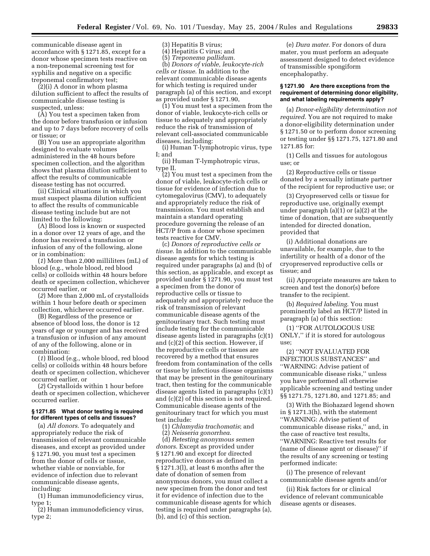communicable disease agent in accordance with § 1271.85, except for a donor whose specimen tests reactive on a non-treponemal screening test for syphilis and negative on a specific treponemal confirmatory test;

(2)(i) A donor in whom plasma dilution sufficient to affect the results of communicable disease testing is suspected, unless:

(A) You test a specimen taken from the donor before transfusion or infusion and up to 7 days before recovery of cells or tissue; or

(B) You use an appropriate algorithm designed to evaluate volumes administered in the 48 hours before specimen collection, and the algorithm shows that plasma dilution sufficient to affect the results of communicable disease testing has not occurred.

(ii) Clinical situations in which you must suspect plasma dilution sufficient to affect the results of communicable disease testing include but are not limited to the following:

(A) Blood loss is known or suspected in a donor over 12 years of age, and the donor has received a transfusion or infusion of any of the following, alone or in combination:

(*1*) More than 2,000 milliliters (mL) of blood (e.g., whole blood, red blood cells) or colloids within 48 hours before death or specimen collection, whichever occurred earlier, or

(*2*) More than 2,000 mL of crystalloids within 1 hour before death or specimen collection, whichever occurred earlier.

(B) Regardless of the presence or absence of blood loss, the donor is 12 years of age or younger and has received a transfusion or infusion of any amount of any of the following, alone or in combination:

(*1*) Blood (e.g., whole blood, red blood cells) or colloids within 48 hours before death or specimen collection, whichever occurred earlier, or

(*2*) Crystalloids within 1 hour before death or specimen collection, whichever occurred earlier.

#### **§ 1271.85 What donor testing is required for different types of cells and tissues?**

(a) *All donors*. To adequately and appropriately reduce the risk of transmission of relevant communicable diseases, and except as provided under § 1271.90, you must test a specimen from the donor of cells or tissue, whether viable or nonviable, for evidence of infection due to relevant communicable disease agents, including:

(1) Human immunodeficiency virus, type 1;

(2) Human immunodeficiency virus, type 2;

(3) Hepatitis B virus; (4) Hepatitis C virus; and

(5) *Treponema pallidum*. (b) *Donors of viable, leukocyte-rich cells or tissue*. In addition to the relevant communicable disease agents for which testing is required under paragraph (a) of this section, and except as provided under § 1271.90,

(1) You must test a specimen from the donor of viable, leukocyte-rich cells or tissue to adequately and appropriately reduce the risk of transmission of relevant cell-associated communicable diseases, including:

(i) Human T-lymphotropic virus, type I; and

(ii) Human T-lymphotropic virus, type II.

(2) You must test a specimen from the donor of viable, leukocyte-rich cells or tissue for evidence of infection due to cytomegalovirus (CMV), to adequately and appropriately reduce the risk of transmission. You must establish and maintain a standard operating procedure governing the release of an HCT/P from a donor whose specimen tests reactive for CMV.

(c) *Donors of reproductive cells or tissue*. In addition to the communicable disease agents for which testing is required under paragraphs (a) and (b) of this section, as applicable, and except as provided under § 1271.90, you must test a specimen from the donor of reproductive cells or tissue to adequately and appropriately reduce the risk of transmission of relevant communicable disease agents of the genitourinary tract. Such testing must include testing for the communicable disease agents listed in paragraphs (c)(1) and (c)(2) of this section. However, if the reproductive cells or tissues are recovered by a method that ensures freedom from contamination of the cells or tissue by infectious disease organisms that may be present in the genitourinary tract, then testing for the communicable disease agents listed in paragraphs (c)(1) and (c)(2) of this section is not required. Communicable disease agents of the genitourinary tract for which you must test include:

(1) *Chlamydia trachomatis*; and

(2) *Neisseria gonorrhea*.

(d) *Retesting anonymous semen donors*. Except as provided under § 1271.90 and except for directed reproductive donors as defined in § 1271.3(l), at least 6 months after the date of donation of semen from anonymous donors, you must collect a new specimen from the donor and test it for evidence of infection due to the communicable disease agents for which testing is required under paragraphs (a), (b), and (c) of this section.

(e) *Dura mater*. For donors of dura mater, you must perform an adequate assessment designed to detect evidence of transmissible spongiform encephalopathy.

#### **§ 1271.90 Are there exceptions from the requirement of determining donor eligibility, and what labeling requirements apply?**

(a) *Donor-eligibility determination not required*. You are not required to make a donor-eligibility determination under § 1271.50 or to perform donor screening or testing under §§ 1271.75, 1271.80 and 1271.85 for:

(1) Cells and tissues for autologous use; or

(2) Reproductive cells or tissue donated by a sexually intimate partner of the recipient for reproductive use; or

(3) Cryopreserved cells or tissue for reproductive use, originally exempt under paragraph (a)(1) or (a)(2) at the time of donation, that are subsequently intended for directed donation, provided that

(i) Additional donations are unavailable, for example, due to the infertility or health of a donor of the cryopreserved reproductive cells or tissue; and

(ii) Appropriate measures are taken to screen and test the donor(s) before transfer to the recipient.

(b) *Required labeling*. You must prominently label an HCT/P listed in paragraph (a) of this section:

(1) ''FOR AUTOLOGOUS USE ONLY,'' if it is stored for autologous use;

(2) ''NOT EVALUATED FOR INFECTIOUS SUBSTANCES'' and ''WARNING: Advise patient of communicable disease risks,'' unless you have performed all otherwise applicable screening and testing under §§ 1271.75, 1271.80, and 1271.85; and

(3) With the Biohazard legend shown in § 1271.3(h), with the statement ''WARNING: Advise patient of communicable disease risks,'' and, in the case of reactive test results, ''WARNING: Reactive test results for (name of disease agent or disease)'' if the results of any screening or testing performed indicate:

(i) The presence of relevant communicable disease agents and/or

(ii) Risk factors for or clinical evidence of relevant communicable disease agents or diseases.